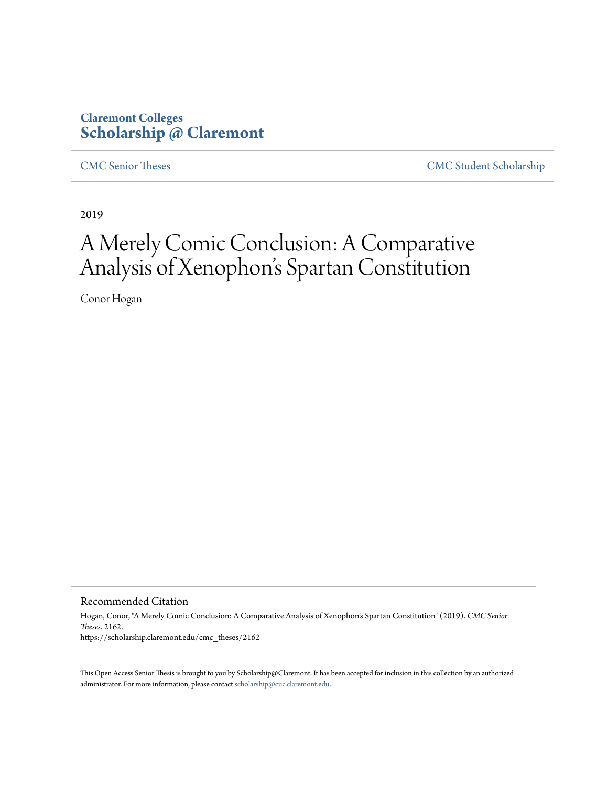## **Claremont Colleges [Scholarship @ Claremont](https://scholarship.claremont.edu)**

[CMC Senior Theses](https://scholarship.claremont.edu/cmc_theses) [CMC Student Scholarship](https://scholarship.claremont.edu/cmc_student)

2019

# A Merely Comic Conclusion: A Comparative Analysis of Xenophon's Spartan Constitution

Conor Hogan

Recommended Citation

Hogan, Conor, "A Merely Comic Conclusion: A Comparative Analysis of Xenophon's Spartan Constitution" (2019). *CMC Senior Theses*. 2162. https://scholarship.claremont.edu/cmc\_theses/2162

This Open Access Senior Thesis is brought to you by Scholarship@Claremont. It has been accepted for inclusion in this collection by an authorized administrator. For more information, please contact [scholarship@cuc.claremont.edu.](mailto:scholarship@cuc.claremont.edu)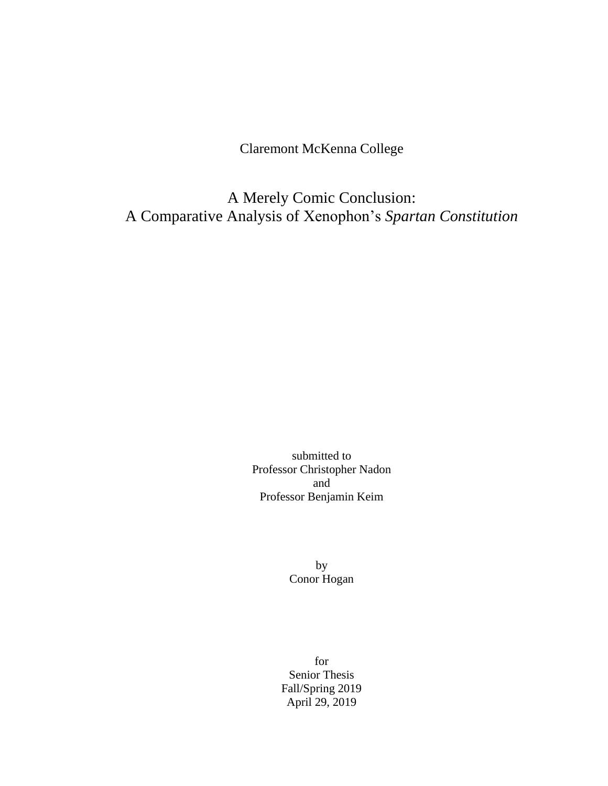Claremont McKenna College

A Merely Comic Conclusion: A Comparative Analysis of Xenophon's *Spartan Constitution*

> submitted to Professor Christopher Nadon and Professor Benjamin Keim

> > by Conor Hogan

for Senior Thesis Fall/Spring 2019 April 29, 2019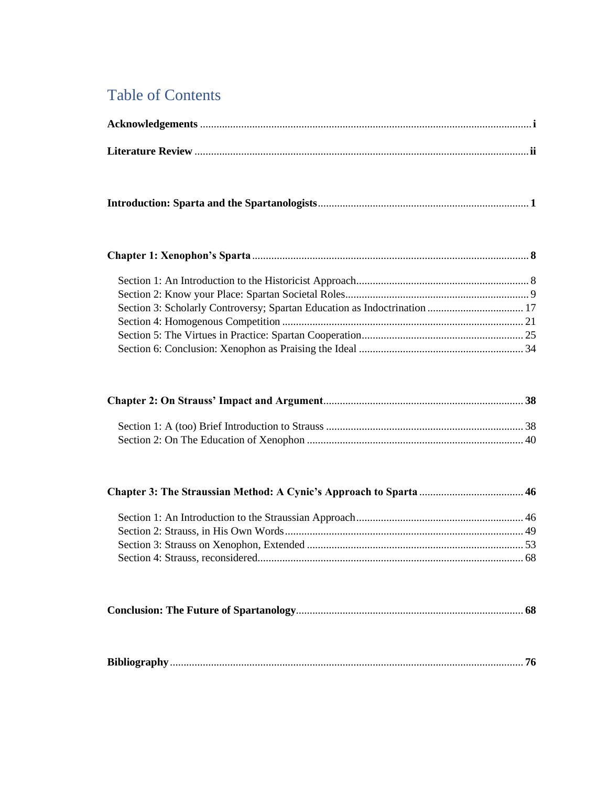## Table of Contents

| Section 3: Scholarly Controversy; Spartan Education as Indoctrination  17 |  |
|---------------------------------------------------------------------------|--|
|                                                                           |  |
|                                                                           |  |
|                                                                           |  |
|                                                                           |  |
|                                                                           |  |
|                                                                           |  |
|                                                                           |  |
|                                                                           |  |

| <b>Bibliography</b> |
|---------------------|
|---------------------|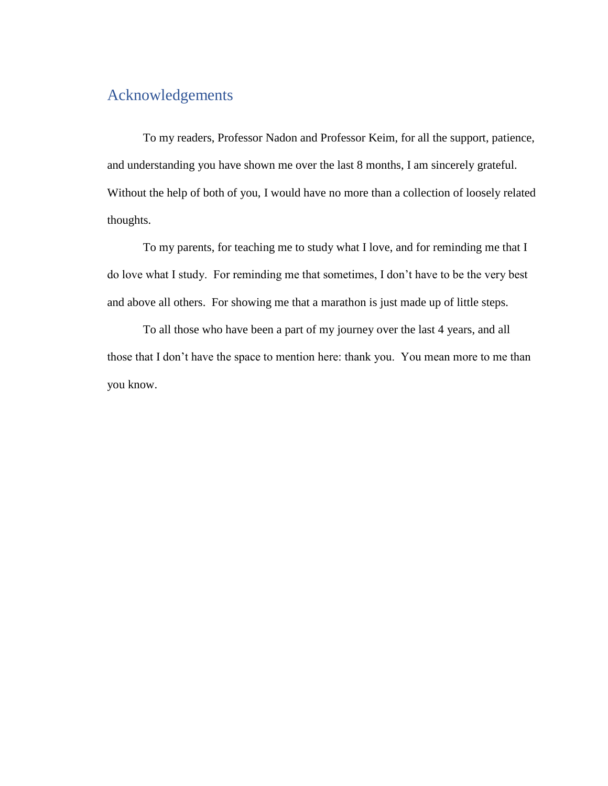## Acknowledgements

To my readers, Professor Nadon and Professor Keim, for all the support, patience, and understanding you have shown me over the last 8 months, I am sincerely grateful. Without the help of both of you, I would have no more than a collection of loosely related thoughts.

To my parents, for teaching me to study what I love, and for reminding me that I do love what I study. For reminding me that sometimes, I don't have to be the very best and above all others. For showing me that a marathon is just made up of little steps.

To all those who have been a part of my journey over the last 4 years, and all those that I don't have the space to mention here: thank you. You mean more to me than you know.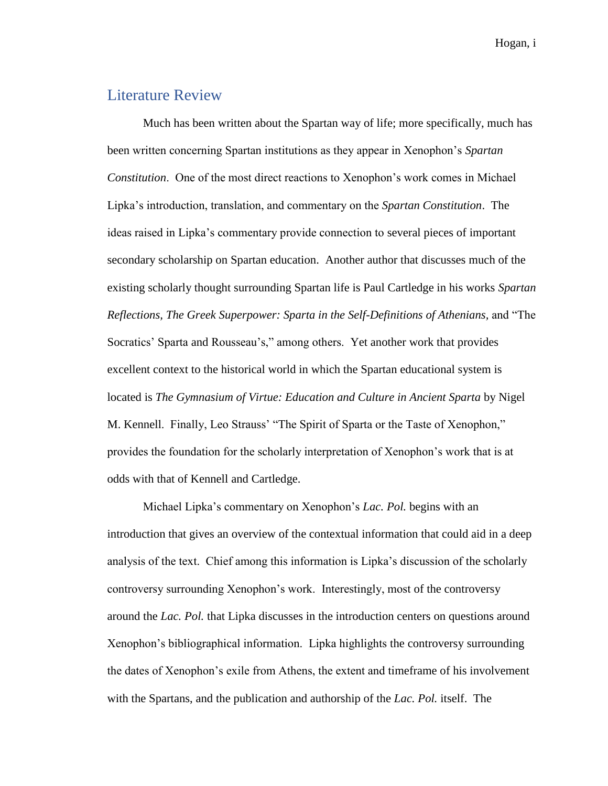Hogan, i

## Literature Review

Much has been written about the Spartan way of life; more specifically, much has been written concerning Spartan institutions as they appear in Xenophon's *Spartan Constitution*. One of the most direct reactions to Xenophon's work comes in Michael Lipka's introduction, translation, and commentary on the *Spartan Constitution*. The ideas raised in Lipka's commentary provide connection to several pieces of important secondary scholarship on Spartan education. Another author that discusses much of the existing scholarly thought surrounding Spartan life is Paul Cartledge in his works *Spartan Reflections, The Greek Superpower: Sparta in the Self-Definitions of Athenians,* and "The Socratics' Sparta and Rousseau's," among others. Yet another work that provides excellent context to the historical world in which the Spartan educational system is located is *The Gymnasium of Virtue: Education and Culture in Ancient Sparta* by Nigel M. Kennell. Finally, Leo Strauss' "The Spirit of Sparta or the Taste of Xenophon," provides the foundation for the scholarly interpretation of Xenophon's work that is at odds with that of Kennell and Cartledge.

Michael Lipka's commentary on Xenophon's *Lac. Pol.* begins with an introduction that gives an overview of the contextual information that could aid in a deep analysis of the text. Chief among this information is Lipka's discussion of the scholarly controversy surrounding Xenophon's work. Interestingly, most of the controversy around the *Lac. Pol.* that Lipka discusses in the introduction centers on questions around Xenophon's bibliographical information. Lipka highlights the controversy surrounding the dates of Xenophon's exile from Athens, the extent and timeframe of his involvement with the Spartans, and the publication and authorship of the *Lac. Pol.* itself. The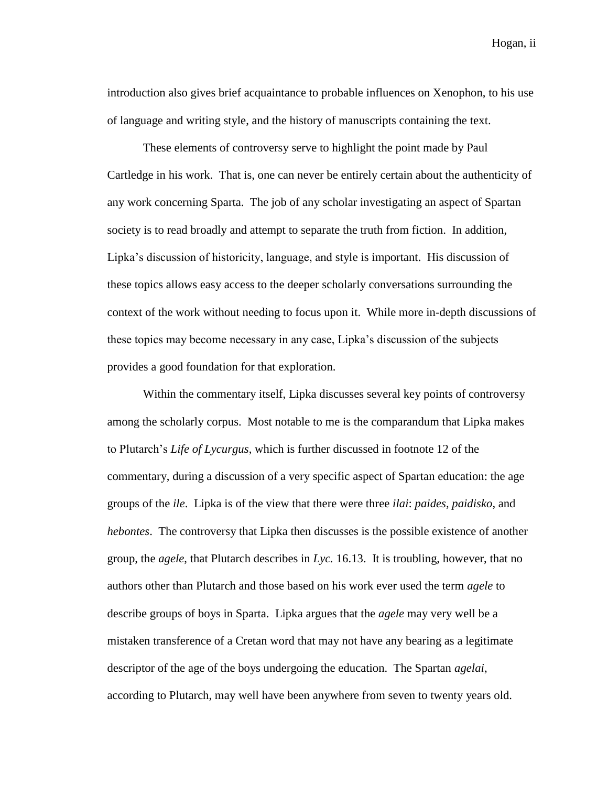Hogan, ii

introduction also gives brief acquaintance to probable influences on Xenophon, to his use of language and writing style, and the history of manuscripts containing the text.

These elements of controversy serve to highlight the point made by Paul Cartledge in his work. That is, one can never be entirely certain about the authenticity of any work concerning Sparta. The job of any scholar investigating an aspect of Spartan society is to read broadly and attempt to separate the truth from fiction. In addition, Lipka's discussion of historicity, language, and style is important. His discussion of these topics allows easy access to the deeper scholarly conversations surrounding the context of the work without needing to focus upon it. While more in-depth discussions of these topics may become necessary in any case, Lipka's discussion of the subjects provides a good foundation for that exploration.

Within the commentary itself, Lipka discusses several key points of controversy among the scholarly corpus. Most notable to me is the comparandum that Lipka makes to Plutarch's *Life of Lycurgus*, which is further discussed in footnote 12 of the commentary, during a discussion of a very specific aspect of Spartan education: the age groups of the *ile*. Lipka is of the view that there were three *ilai*: *paides, paidisko*, and *hebontes*. The controversy that Lipka then discusses is the possible existence of another group, the *agele*, that Plutarch describes in *Lyc.* 16.13. It is troubling, however, that no authors other than Plutarch and those based on his work ever used the term *agele* to describe groups of boys in Sparta. Lipka argues that the *agele* may very well be a mistaken transference of a Cretan word that may not have any bearing as a legitimate descriptor of the age of the boys undergoing the education. The Spartan *agelai*, according to Plutarch, may well have been anywhere from seven to twenty years old.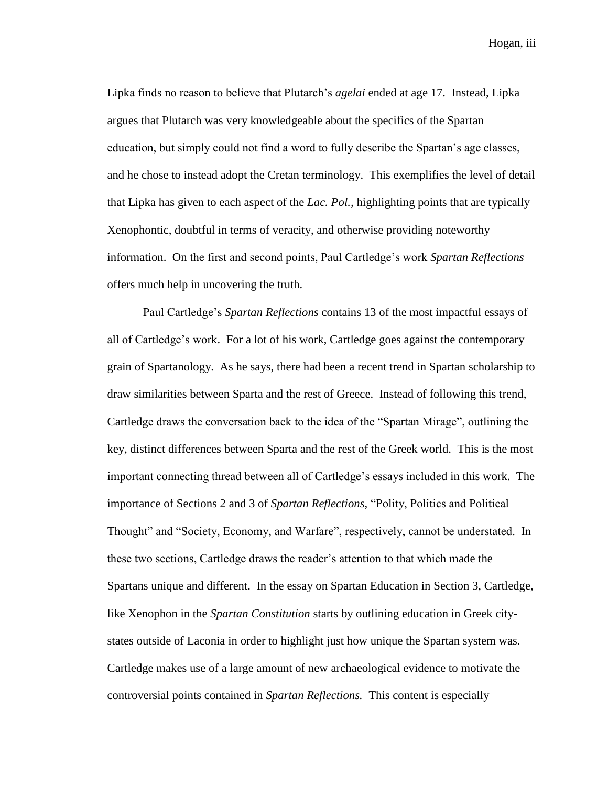Hogan, iii

Lipka finds no reason to believe that Plutarch's *agelai* ended at age 17. Instead, Lipka argues that Plutarch was very knowledgeable about the specifics of the Spartan education, but simply could not find a word to fully describe the Spartan's age classes, and he chose to instead adopt the Cretan terminology. This exemplifies the level of detail that Lipka has given to each aspect of the *Lac. Pol.,* highlighting points that are typically Xenophontic, doubtful in terms of veracity, and otherwise providing noteworthy information. On the first and second points, Paul Cartledge's work *Spartan Reflections*  offers much help in uncovering the truth.

Paul Cartledge's *Spartan Reflections* contains 13 of the most impactful essays of all of Cartledge's work. For a lot of his work, Cartledge goes against the contemporary grain of Spartanology. As he says, there had been a recent trend in Spartan scholarship to draw similarities between Sparta and the rest of Greece. Instead of following this trend, Cartledge draws the conversation back to the idea of the "Spartan Mirage", outlining the key, distinct differences between Sparta and the rest of the Greek world. This is the most important connecting thread between all of Cartledge's essays included in this work. The importance of Sections 2 and 3 of *Spartan Reflections,* "Polity, Politics and Political Thought" and "Society, Economy, and Warfare", respectively, cannot be understated. In these two sections, Cartledge draws the reader's attention to that which made the Spartans unique and different. In the essay on Spartan Education in Section 3, Cartledge, like Xenophon in the *Spartan Constitution* starts by outlining education in Greek citystates outside of Laconia in order to highlight just how unique the Spartan system was. Cartledge makes use of a large amount of new archaeological evidence to motivate the controversial points contained in *Spartan Reflections.* This content is especially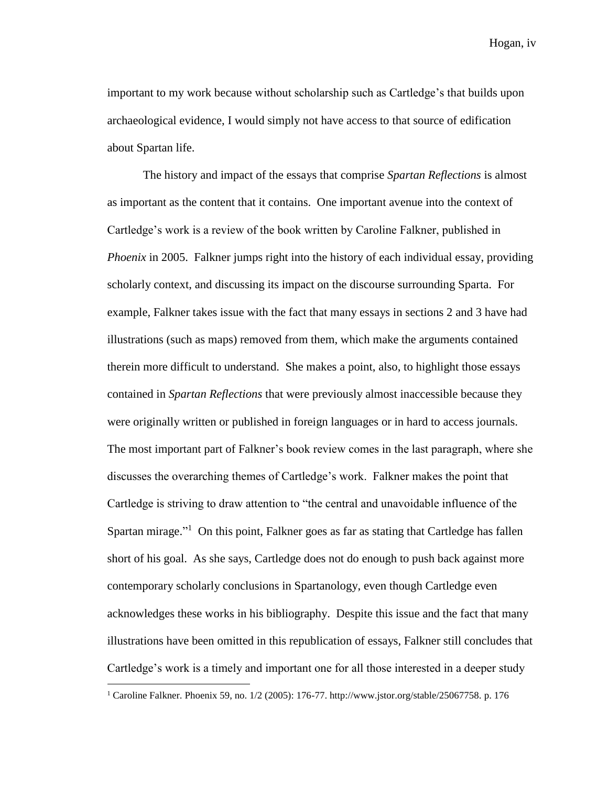Hogan, iv

important to my work because without scholarship such as Cartledge's that builds upon archaeological evidence, I would simply not have access to that source of edification about Spartan life.

The history and impact of the essays that comprise *Spartan Reflections* is almost as important as the content that it contains. One important avenue into the context of Cartledge's work is a review of the book written by Caroline Falkner, published in *Phoenix* in 2005. Falkner jumps right into the history of each individual essay, providing scholarly context, and discussing its impact on the discourse surrounding Sparta. For example, Falkner takes issue with the fact that many essays in sections 2 and 3 have had illustrations (such as maps) removed from them, which make the arguments contained therein more difficult to understand. She makes a point, also, to highlight those essays contained in *Spartan Reflections* that were previously almost inaccessible because they were originally written or published in foreign languages or in hard to access journals. The most important part of Falkner's book review comes in the last paragraph, where she discusses the overarching themes of Cartledge's work. Falkner makes the point that Cartledge is striving to draw attention to "the central and unavoidable influence of the Spartan mirage."<sup>1</sup> On this point, Falkner goes as far as stating that Cartledge has fallen short of his goal. As she says, Cartledge does not do enough to push back against more contemporary scholarly conclusions in Spartanology, even though Cartledge even acknowledges these works in his bibliography. Despite this issue and the fact that many illustrations have been omitted in this republication of essays, Falkner still concludes that Cartledge's work is a timely and important one for all those interested in a deeper study

<sup>&</sup>lt;sup>1</sup> Caroline Falkner. Phoenix 59, no. 1/2 (2005): 176-77. http://www.jstor.org/stable/25067758. p. 176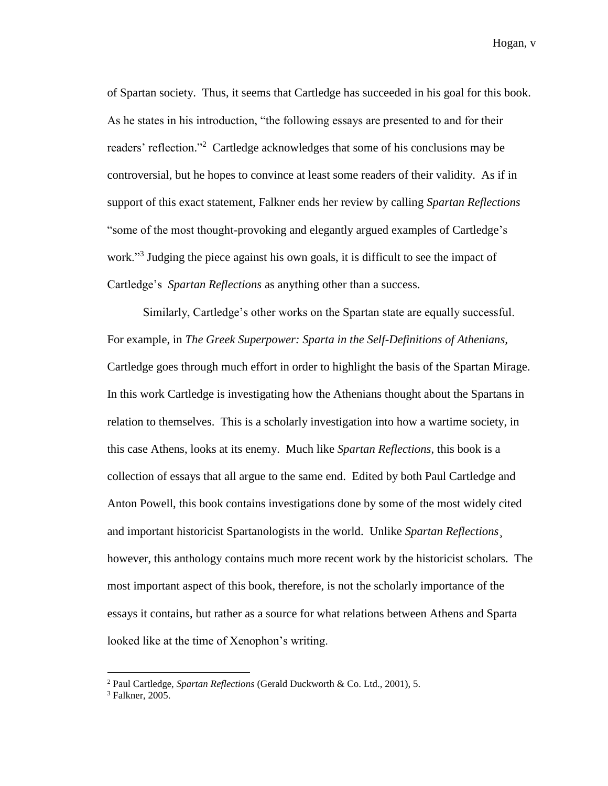Hogan, v

of Spartan society. Thus, it seems that Cartledge has succeeded in his goal for this book. As he states in his introduction, "the following essays are presented to and for their readers' reflection."<sup>2</sup> Cartledge acknowledges that some of his conclusions may be controversial, but he hopes to convince at least some readers of their validity. As if in support of this exact statement, Falkner ends her review by calling *Spartan Reflections*  "some of the most thought-provoking and elegantly argued examples of Cartledge's work."<sup>3</sup> Judging the piece against his own goals, it is difficult to see the impact of Cartledge's *Spartan Reflections* as anything other than a success.

Similarly, Cartledge's other works on the Spartan state are equally successful. For example, in *The Greek Superpower: Sparta in the Self-Definitions of Athenians,*  Cartledge goes through much effort in order to highlight the basis of the Spartan Mirage. In this work Cartledge is investigating how the Athenians thought about the Spartans in relation to themselves. This is a scholarly investigation into how a wartime society, in this case Athens, looks at its enemy. Much like *Spartan Reflections*, this book is a collection of essays that all argue to the same end. Edited by both Paul Cartledge and Anton Powell, this book contains investigations done by some of the most widely cited and important historicist Spartanologists in the world. Unlike *Spartan Reflections*¸ however, this anthology contains much more recent work by the historicist scholars. The most important aspect of this book, therefore, is not the scholarly importance of the essays it contains, but rather as a source for what relations between Athens and Sparta looked like at the time of Xenophon's writing.

<sup>2</sup> Paul Cartledge, *Spartan Reflections* (Gerald Duckworth & Co. Ltd., 2001), 5.

 $3$  Falkner, 2005.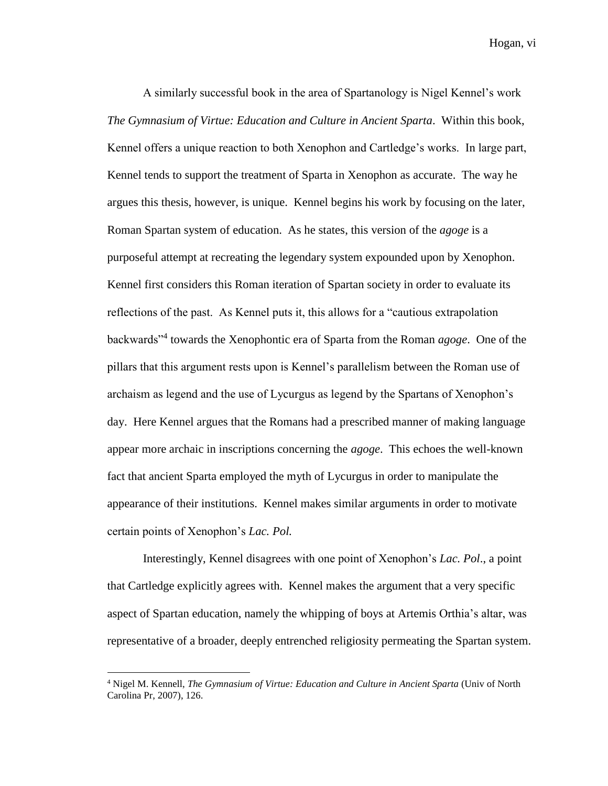Hogan, vi

A similarly successful book in the area of Spartanology is Nigel Kennel's work *The Gymnasium of Virtue: Education and Culture in Ancient Sparta*. Within this book, Kennel offers a unique reaction to both Xenophon and Cartledge's works. In large part, Kennel tends to support the treatment of Sparta in Xenophon as accurate. The way he argues this thesis, however, is unique. Kennel begins his work by focusing on the later, Roman Spartan system of education. As he states, this version of the *agoge* is a purposeful attempt at recreating the legendary system expounded upon by Xenophon. Kennel first considers this Roman iteration of Spartan society in order to evaluate its reflections of the past. As Kennel puts it, this allows for a "cautious extrapolation backwards<sup>34</sup> towards the Xenophontic era of Sparta from the Roman *agoge*. One of the pillars that this argument rests upon is Kennel's parallelism between the Roman use of archaism as legend and the use of Lycurgus as legend by the Spartans of Xenophon's day. Here Kennel argues that the Romans had a prescribed manner of making language appear more archaic in inscriptions concerning the *agoge*. This echoes the well-known fact that ancient Sparta employed the myth of Lycurgus in order to manipulate the appearance of their institutions. Kennel makes similar arguments in order to motivate certain points of Xenophon's *Lac. Pol.*

Interestingly, Kennel disagrees with one point of Xenophon's *Lac. Pol*., a point that Cartledge explicitly agrees with. Kennel makes the argument that a very specific aspect of Spartan education, namely the whipping of boys at Artemis Orthia's altar, was representative of a broader, deeply entrenched religiosity permeating the Spartan system.

<sup>4</sup> Nigel M. Kennell, *The Gymnasium of Virtue: Education and Culture in Ancient Sparta* (Univ of North Carolina Pr, 2007), 126.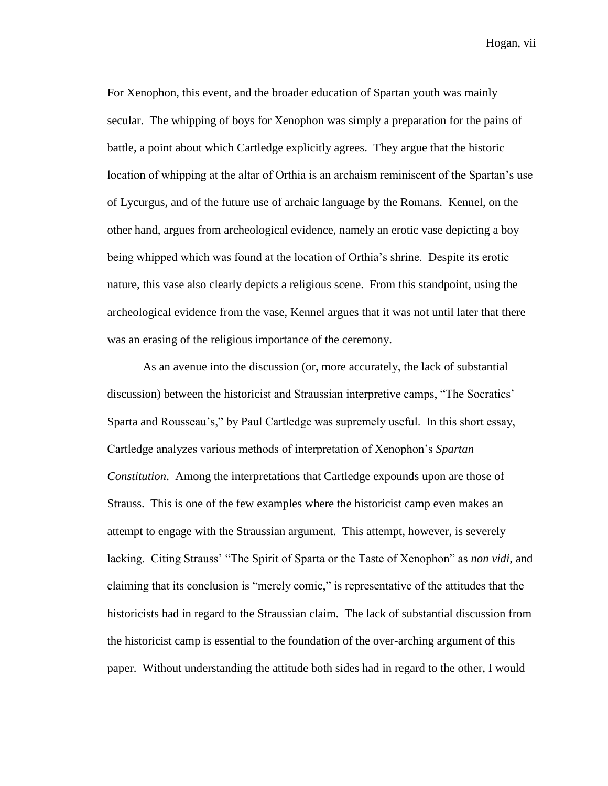Hogan, vii

For Xenophon, this event, and the broader education of Spartan youth was mainly secular. The whipping of boys for Xenophon was simply a preparation for the pains of battle, a point about which Cartledge explicitly agrees. They argue that the historic location of whipping at the altar of Orthia is an archaism reminiscent of the Spartan's use of Lycurgus, and of the future use of archaic language by the Romans. Kennel, on the other hand, argues from archeological evidence, namely an erotic vase depicting a boy being whipped which was found at the location of Orthia's shrine. Despite its erotic nature, this vase also clearly depicts a religious scene. From this standpoint, using the archeological evidence from the vase, Kennel argues that it was not until later that there was an erasing of the religious importance of the ceremony.

As an avenue into the discussion (or, more accurately, the lack of substantial discussion) between the historicist and Straussian interpretive camps, "The Socratics' Sparta and Rousseau's," by Paul Cartledge was supremely useful. In this short essay, Cartledge analyzes various methods of interpretation of Xenophon's *Spartan Constitution*. Among the interpretations that Cartledge expounds upon are those of Strauss. This is one of the few examples where the historicist camp even makes an attempt to engage with the Straussian argument. This attempt, however, is severely lacking. Citing Strauss' "The Spirit of Sparta or the Taste of Xenophon" as *non vidi*, and claiming that its conclusion is "merely comic," is representative of the attitudes that the historicists had in regard to the Straussian claim. The lack of substantial discussion from the historicist camp is essential to the foundation of the over-arching argument of this paper. Without understanding the attitude both sides had in regard to the other, I would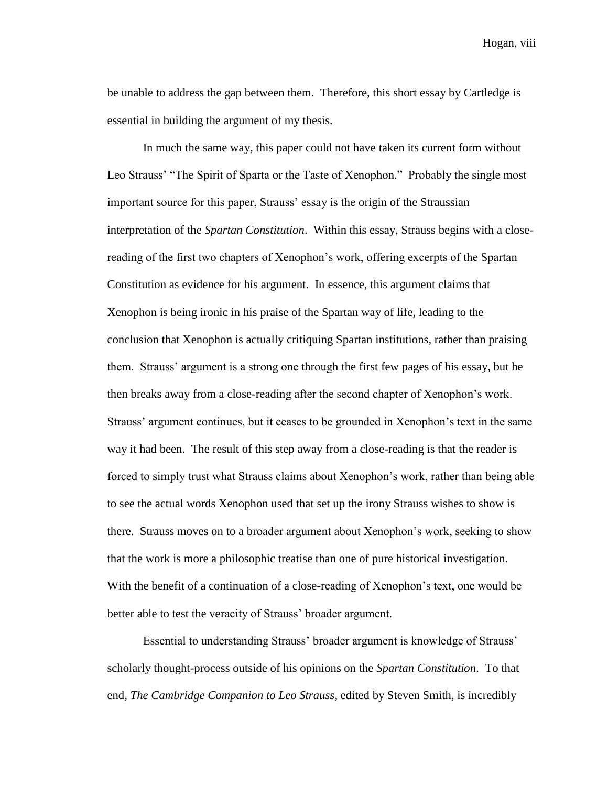Hogan, viii

be unable to address the gap between them. Therefore, this short essay by Cartledge is essential in building the argument of my thesis.

In much the same way, this paper could not have taken its current form without Leo Strauss' "The Spirit of Sparta or the Taste of Xenophon." Probably the single most important source for this paper, Strauss' essay is the origin of the Straussian interpretation of the *Spartan Constitution*. Within this essay, Strauss begins with a closereading of the first two chapters of Xenophon's work, offering excerpts of the Spartan Constitution as evidence for his argument. In essence, this argument claims that Xenophon is being ironic in his praise of the Spartan way of life, leading to the conclusion that Xenophon is actually critiquing Spartan institutions, rather than praising them. Strauss' argument is a strong one through the first few pages of his essay, but he then breaks away from a close-reading after the second chapter of Xenophon's work. Strauss' argument continues, but it ceases to be grounded in Xenophon's text in the same way it had been. The result of this step away from a close-reading is that the reader is forced to simply trust what Strauss claims about Xenophon's work, rather than being able to see the actual words Xenophon used that set up the irony Strauss wishes to show is there. Strauss moves on to a broader argument about Xenophon's work, seeking to show that the work is more a philosophic treatise than one of pure historical investigation. With the benefit of a continuation of a close-reading of Xenophon's text, one would be better able to test the veracity of Strauss' broader argument.

Essential to understanding Strauss' broader argument is knowledge of Strauss' scholarly thought-process outside of his opinions on the *Spartan Constitution*. To that end, *The Cambridge Companion to Leo Strauss*, edited by Steven Smith, is incredibly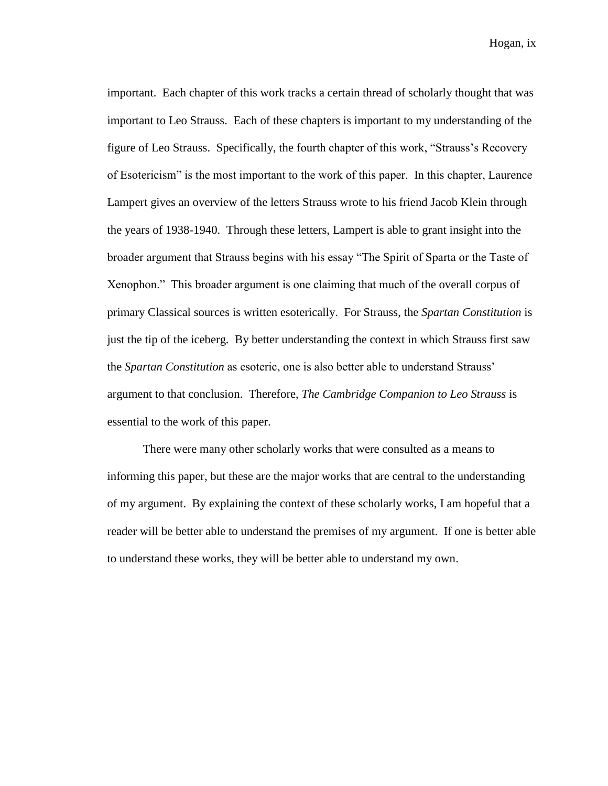Hogan, ix

important. Each chapter of this work tracks a certain thread of scholarly thought that was important to Leo Strauss. Each of these chapters is important to my understanding of the figure of Leo Strauss. Specifically, the fourth chapter of this work, "Strauss's Recovery of Esotericism" is the most important to the work of this paper. In this chapter, Laurence Lampert gives an overview of the letters Strauss wrote to his friend Jacob Klein through the years of 1938-1940. Through these letters, Lampert is able to grant insight into the broader argument that Strauss begins with his essay "The Spirit of Sparta or the Taste of Xenophon." This broader argument is one claiming that much of the overall corpus of primary Classical sources is written esoterically. For Strauss, the *Spartan Constitution* is just the tip of the iceberg. By better understanding the context in which Strauss first saw the *Spartan Constitution* as esoteric, one is also better able to understand Strauss' argument to that conclusion. Therefore, *The Cambridge Companion to Leo Strauss* is essential to the work of this paper.

There were many other scholarly works that were consulted as a means to informing this paper, but these are the major works that are central to the understanding of my argument. By explaining the context of these scholarly works, I am hopeful that a reader will be better able to understand the premises of my argument. If one is better able to understand these works, they will be better able to understand my own.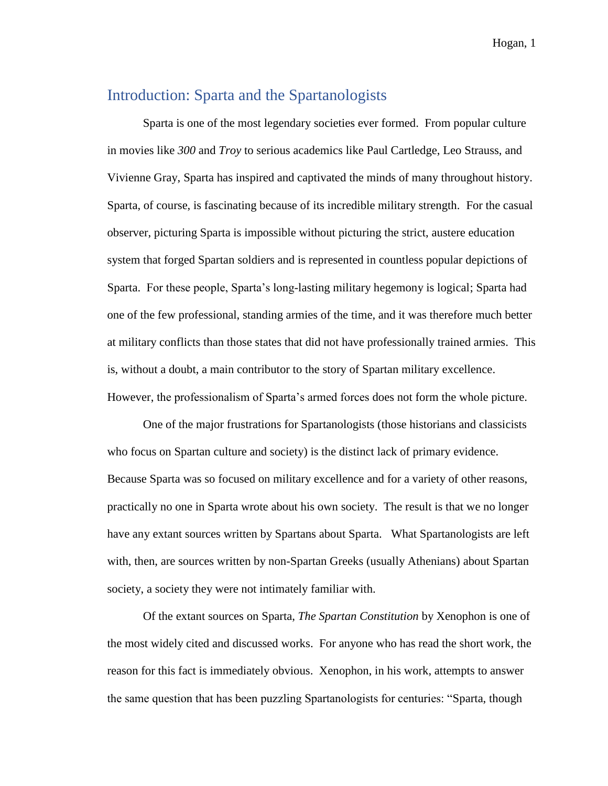### Introduction: Sparta and the Spartanologists

Sparta is one of the most legendary societies ever formed. From popular culture in movies like *300* and *Troy* to serious academics like Paul Cartledge, Leo Strauss, and Vivienne Gray, Sparta has inspired and captivated the minds of many throughout history. Sparta, of course, is fascinating because of its incredible military strength. For the casual observer, picturing Sparta is impossible without picturing the strict, austere education system that forged Spartan soldiers and is represented in countless popular depictions of Sparta. For these people, Sparta's long-lasting military hegemony is logical; Sparta had one of the few professional, standing armies of the time, and it was therefore much better at military conflicts than those states that did not have professionally trained armies. This is, without a doubt, a main contributor to the story of Spartan military excellence. However, the professionalism of Sparta's armed forces does not form the whole picture.

One of the major frustrations for Spartanologists (those historians and classicists who focus on Spartan culture and society) is the distinct lack of primary evidence. Because Sparta was so focused on military excellence and for a variety of other reasons, practically no one in Sparta wrote about his own society. The result is that we no longer have any extant sources written by Spartans about Sparta. What Spartanologists are left with, then, are sources written by non-Spartan Greeks (usually Athenians) about Spartan society, a society they were not intimately familiar with.

Of the extant sources on Sparta, *The Spartan Constitution* by Xenophon is one of the most widely cited and discussed works. For anyone who has read the short work, the reason for this fact is immediately obvious. Xenophon, in his work, attempts to answer the same question that has been puzzling Spartanologists for centuries: "Sparta, though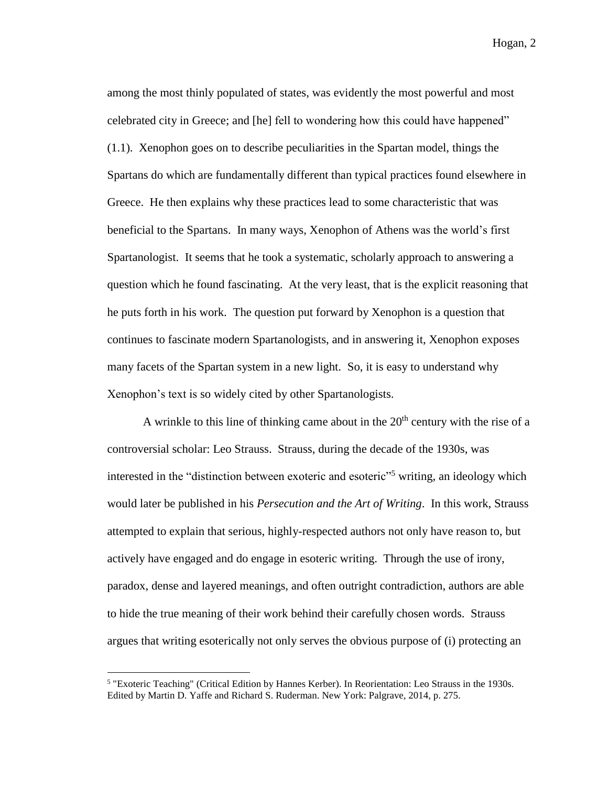among the most thinly populated of states, was evidently the most powerful and most celebrated city in Greece; and [he] fell to wondering how this could have happened" (1.1). Xenophon goes on to describe peculiarities in the Spartan model, things the Spartans do which are fundamentally different than typical practices found elsewhere in Greece. He then explains why these practices lead to some characteristic that was beneficial to the Spartans. In many ways, Xenophon of Athens was the world's first Spartanologist. It seems that he took a systematic, scholarly approach to answering a question which he found fascinating. At the very least, that is the explicit reasoning that he puts forth in his work. The question put forward by Xenophon is a question that continues to fascinate modern Spartanologists, and in answering it, Xenophon exposes many facets of the Spartan system in a new light. So, it is easy to understand why Xenophon's text is so widely cited by other Spartanologists.

A wrinkle to this line of thinking came about in the  $20<sup>th</sup>$  century with the rise of a controversial scholar: Leo Strauss. Strauss, during the decade of the 1930s, was interested in the "distinction between exoteric and esoteric"<sup>5</sup> writing, an ideology which would later be published in his *Persecution and the Art of Writing*. In this work, Strauss attempted to explain that serious, highly-respected authors not only have reason to, but actively have engaged and do engage in esoteric writing. Through the use of irony, paradox, dense and layered meanings, and often outright contradiction, authors are able to hide the true meaning of their work behind their carefully chosen words. Strauss argues that writing esoterically not only serves the obvious purpose of (i) protecting an

<sup>&</sup>lt;sup>5</sup> "Exoteric Teaching" (Critical Edition by Hannes Kerber). In Reorientation: Leo Strauss in the 1930s. Edited by Martin D. Yaffe and Richard S. Ruderman. New York: Palgrave, 2014, p. 275.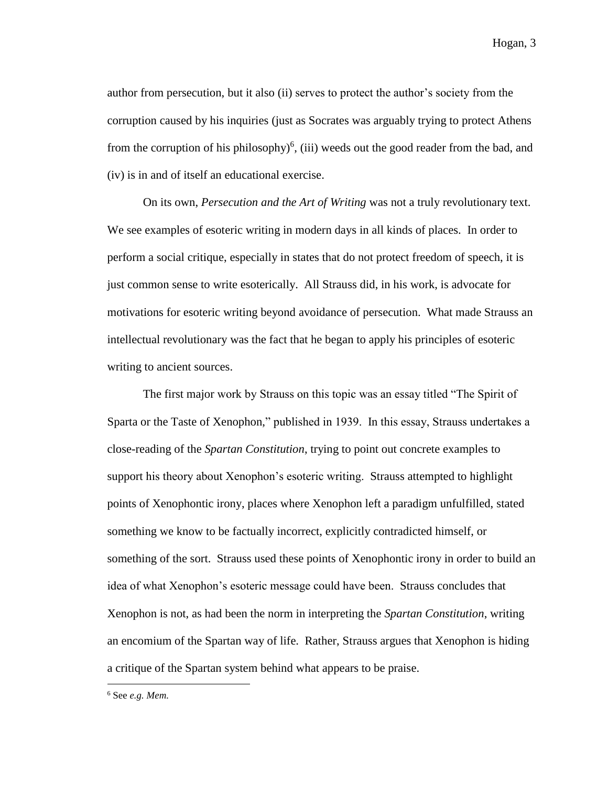author from persecution, but it also (ii) serves to protect the author's society from the corruption caused by his inquiries (just as Socrates was arguably trying to protect Athens from the corruption of his philosophy $(iii)$  weeds out the good reader from the bad, and (iv) is in and of itself an educational exercise.

On its own, *Persecution and the Art of Writing* was not a truly revolutionary text. We see examples of esoteric writing in modern days in all kinds of places. In order to perform a social critique, especially in states that do not protect freedom of speech, it is just common sense to write esoterically. All Strauss did, in his work, is advocate for motivations for esoteric writing beyond avoidance of persecution. What made Strauss an intellectual revolutionary was the fact that he began to apply his principles of esoteric writing to ancient sources.

The first major work by Strauss on this topic was an essay titled "The Spirit of Sparta or the Taste of Xenophon," published in 1939. In this essay, Strauss undertakes a close-reading of the *Spartan Constitution*, trying to point out concrete examples to support his theory about Xenophon's esoteric writing. Strauss attempted to highlight points of Xenophontic irony, places where Xenophon left a paradigm unfulfilled, stated something we know to be factually incorrect, explicitly contradicted himself, or something of the sort. Strauss used these points of Xenophontic irony in order to build an idea of what Xenophon's esoteric message could have been. Strauss concludes that Xenophon is not, as had been the norm in interpreting the *Spartan Constitution*, writing an encomium of the Spartan way of life. Rather, Strauss argues that Xenophon is hiding a critique of the Spartan system behind what appears to be praise.

<sup>6</sup> See *e.g. Mem.*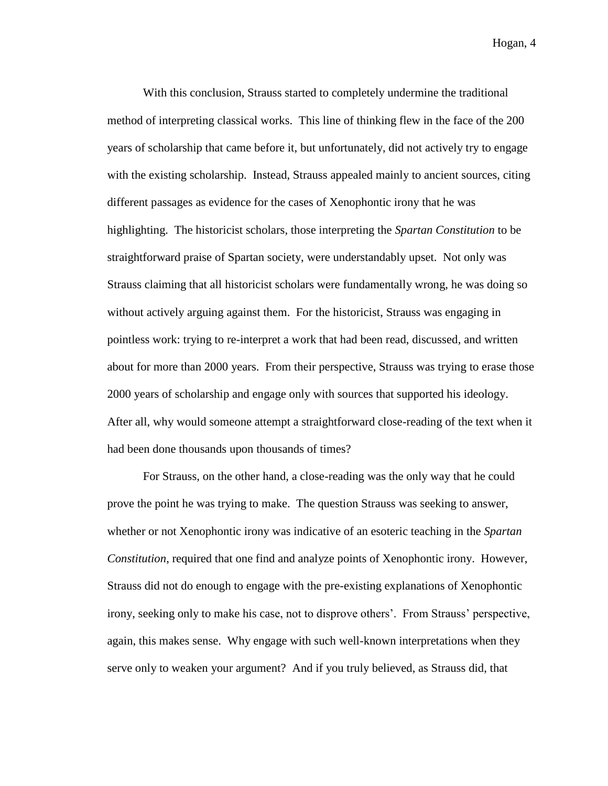With this conclusion, Strauss started to completely undermine the traditional method of interpreting classical works. This line of thinking flew in the face of the 200 years of scholarship that came before it, but unfortunately, did not actively try to engage with the existing scholarship. Instead, Strauss appealed mainly to ancient sources, citing different passages as evidence for the cases of Xenophontic irony that he was highlighting. The historicist scholars, those interpreting the *Spartan Constitution* to be straightforward praise of Spartan society, were understandably upset. Not only was Strauss claiming that all historicist scholars were fundamentally wrong, he was doing so without actively arguing against them. For the historicist, Strauss was engaging in pointless work: trying to re-interpret a work that had been read, discussed, and written about for more than 2000 years. From their perspective, Strauss was trying to erase those 2000 years of scholarship and engage only with sources that supported his ideology. After all, why would someone attempt a straightforward close-reading of the text when it had been done thousands upon thousands of times?

For Strauss, on the other hand, a close-reading was the only way that he could prove the point he was trying to make. The question Strauss was seeking to answer, whether or not Xenophontic irony was indicative of an esoteric teaching in the *Spartan Constitution*, required that one find and analyze points of Xenophontic irony. However, Strauss did not do enough to engage with the pre-existing explanations of Xenophontic irony, seeking only to make his case, not to disprove others'. From Strauss' perspective, again, this makes sense. Why engage with such well-known interpretations when they serve only to weaken your argument? And if you truly believed, as Strauss did, that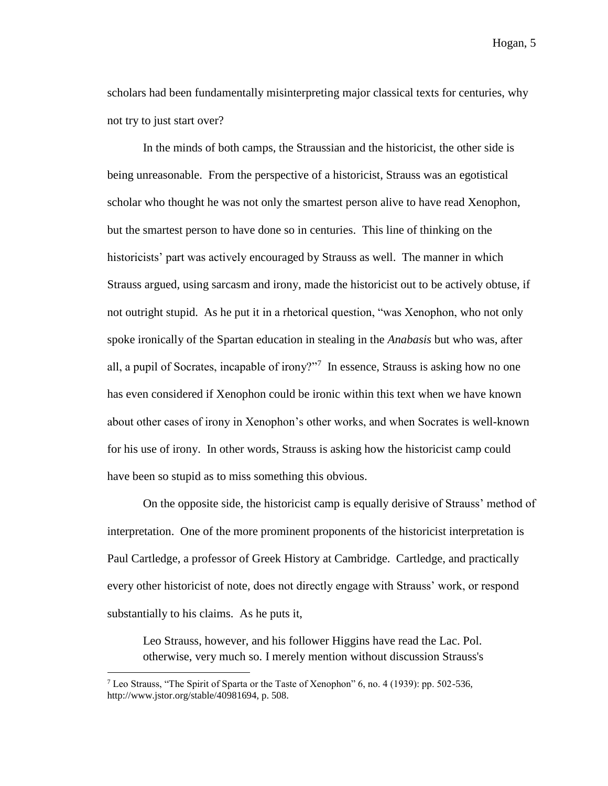scholars had been fundamentally misinterpreting major classical texts for centuries, why not try to just start over?

In the minds of both camps, the Straussian and the historicist, the other side is being unreasonable. From the perspective of a historicist, Strauss was an egotistical scholar who thought he was not only the smartest person alive to have read Xenophon, but the smartest person to have done so in centuries. This line of thinking on the historicists' part was actively encouraged by Strauss as well. The manner in which Strauss argued, using sarcasm and irony, made the historicist out to be actively obtuse, if not outright stupid. As he put it in a rhetorical question, "was Xenophon, who not only spoke ironically of the Spartan education in stealing in the *Anabasis* but who was, after all, a pupil of Socrates, incapable of irony?"<sup>7</sup> In essence, Strauss is asking how no one has even considered if Xenophon could be ironic within this text when we have known about other cases of irony in Xenophon's other works, and when Socrates is well-known for his use of irony. In other words, Strauss is asking how the historicist camp could have been so stupid as to miss something this obvious.

On the opposite side, the historicist camp is equally derisive of Strauss' method of interpretation. One of the more prominent proponents of the historicist interpretation is Paul Cartledge, a professor of Greek History at Cambridge. Cartledge, and practically every other historicist of note, does not directly engage with Strauss' work, or respond substantially to his claims. As he puts it,

Leo Strauss, however, and his follower Higgins have read the Lac. Pol. otherwise, very much so. I merely mention without discussion Strauss's

<sup>&</sup>lt;sup>7</sup> Leo Strauss, "The Spirit of Sparta or the Taste of Xenophon" 6, no. 4 (1939): pp. 502-536, http://www.jstor.org/stable/40981694, p. 508.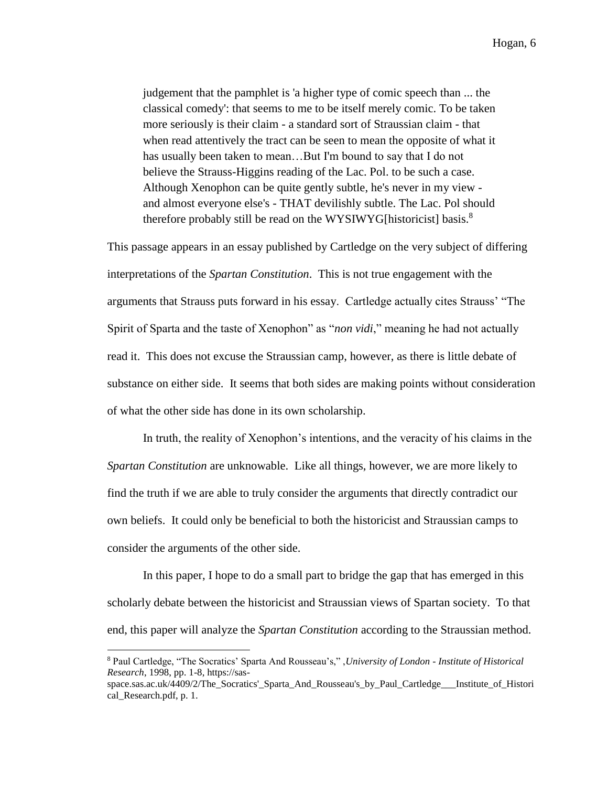judgement that the pamphlet is 'a higher type of comic speech than ... the classical comedy': that seems to me to be itself merely comic. To be taken more seriously is their claim - a standard sort of Straussian claim - that when read attentively the tract can be seen to mean the opposite of what it has usually been taken to mean…But I'm bound to say that I do not believe the Strauss-Higgins reading of the Lac. Pol. to be such a case. Although Xenophon can be quite gently subtle, he's never in my view and almost everyone else's - THAT devilishly subtle. The Lac. Pol should therefore probably still be read on the WYSIWYG[historicist] basis.<sup>8</sup>

This passage appears in an essay published by Cartledge on the very subject of differing interpretations of the *Spartan Constitution*. This is not true engagement with the arguments that Strauss puts forward in his essay. Cartledge actually cites Strauss' "The Spirit of Sparta and the taste of Xenophon" as "*non vidi*," meaning he had not actually read it. This does not excuse the Straussian camp, however, as there is little debate of substance on either side. It seems that both sides are making points without consideration of what the other side has done in its own scholarship.

In truth, the reality of Xenophon's intentions, and the veracity of his claims in the *Spartan Constitution* are unknowable. Like all things, however, we are more likely to find the truth if we are able to truly consider the arguments that directly contradict our own beliefs. It could only be beneficial to both the historicist and Straussian camps to consider the arguments of the other side.

In this paper, I hope to do a small part to bridge the gap that has emerged in this scholarly debate between the historicist and Straussian views of Spartan society. To that end, this paper will analyze the *Spartan Constitution* according to the Straussian method.

<sup>8</sup> Paul Cartledge, "The Socratics' Sparta And Rousseau's," ,*University of London - Institute of Historical Research*, 1998, pp. 1-8, https://sas-

space.sas.ac.uk/4409/2/The Socratics' Sparta And Rousseau's by Paul Cartledge Institute of Histori cal Research.pdf, p. 1.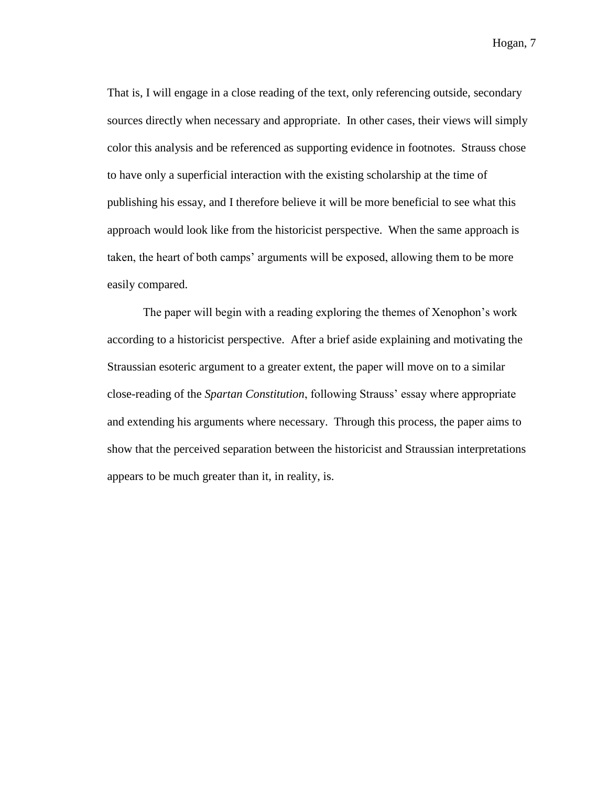That is, I will engage in a close reading of the text, only referencing outside, secondary sources directly when necessary and appropriate. In other cases, their views will simply color this analysis and be referenced as supporting evidence in footnotes. Strauss chose to have only a superficial interaction with the existing scholarship at the time of publishing his essay, and I therefore believe it will be more beneficial to see what this approach would look like from the historicist perspective. When the same approach is taken, the heart of both camps' arguments will be exposed, allowing them to be more easily compared.

The paper will begin with a reading exploring the themes of Xenophon's work according to a historicist perspective. After a brief aside explaining and motivating the Straussian esoteric argument to a greater extent, the paper will move on to a similar close-reading of the *Spartan Constitution*, following Strauss' essay where appropriate and extending his arguments where necessary. Through this process, the paper aims to show that the perceived separation between the historicist and Straussian interpretations appears to be much greater than it, in reality, is.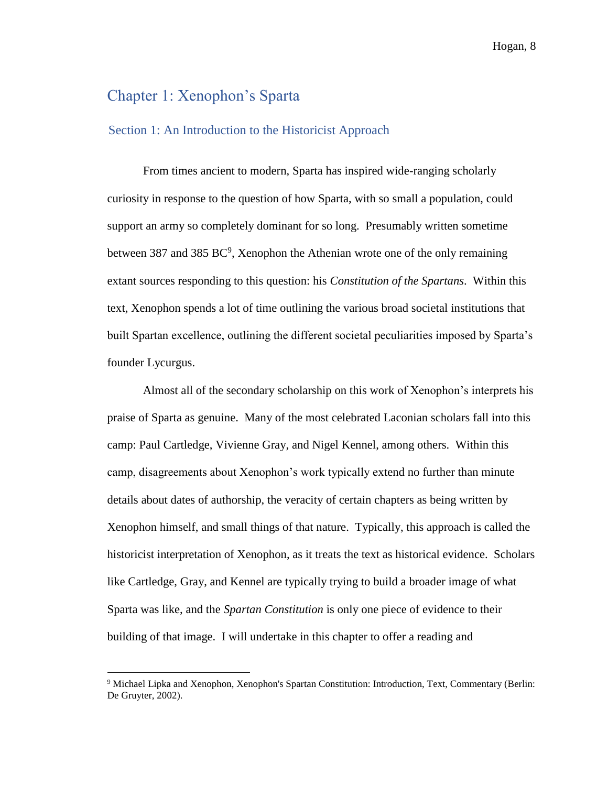## Chapter 1: Xenophon's Sparta

 $\overline{a}$ 

#### Section 1: An Introduction to the Historicist Approach

From times ancient to modern, Sparta has inspired wide-ranging scholarly curiosity in response to the question of how Sparta, with so small a population, could support an army so completely dominant for so long. Presumably written sometime between 387 and 385  $BC^9$ , Xenophon the Athenian wrote one of the only remaining extant sources responding to this question: his *Constitution of the Spartans*. Within this text, Xenophon spends a lot of time outlining the various broad societal institutions that built Spartan excellence, outlining the different societal peculiarities imposed by Sparta's founder Lycurgus.

Almost all of the secondary scholarship on this work of Xenophon's interprets his praise of Sparta as genuine. Many of the most celebrated Laconian scholars fall into this camp: Paul Cartledge, Vivienne Gray, and Nigel Kennel, among others. Within this camp, disagreements about Xenophon's work typically extend no further than minute details about dates of authorship, the veracity of certain chapters as being written by Xenophon himself, and small things of that nature. Typically, this approach is called the historicist interpretation of Xenophon, as it treats the text as historical evidence. Scholars like Cartledge, Gray, and Kennel are typically trying to build a broader image of what Sparta was like, and the *Spartan Constitution* is only one piece of evidence to their building of that image. I will undertake in this chapter to offer a reading and

<sup>9</sup> Michael Lipka and Xenophon, Xenophon's Spartan Constitution: Introduction, Text, Commentary (Berlin: De Gruyter, 2002).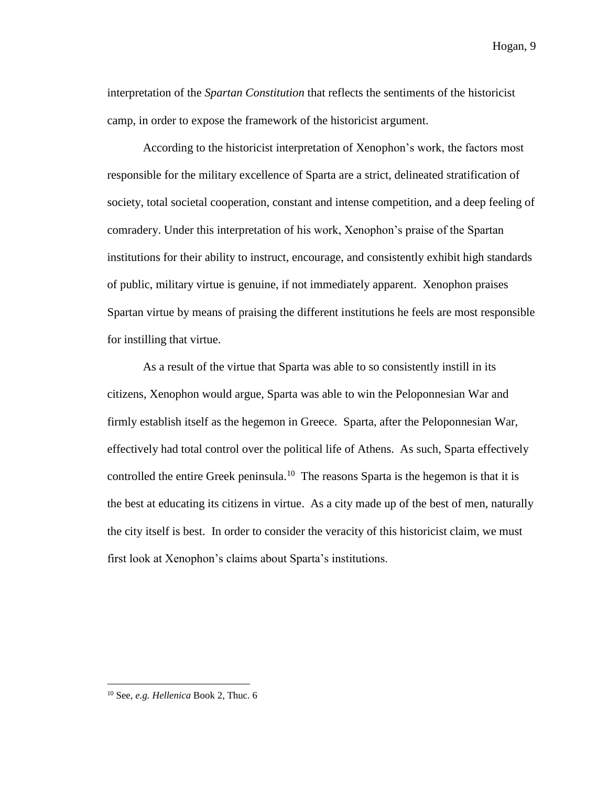interpretation of the *Spartan Constitution* that reflects the sentiments of the historicist camp, in order to expose the framework of the historicist argument.

According to the historicist interpretation of Xenophon's work, the factors most responsible for the military excellence of Sparta are a strict, delineated stratification of society, total societal cooperation, constant and intense competition, and a deep feeling of comradery. Under this interpretation of his work, Xenophon's praise of the Spartan institutions for their ability to instruct, encourage, and consistently exhibit high standards of public, military virtue is genuine, if not immediately apparent. Xenophon praises Spartan virtue by means of praising the different institutions he feels are most responsible for instilling that virtue.

As a result of the virtue that Sparta was able to so consistently instill in its citizens, Xenophon would argue, Sparta was able to win the Peloponnesian War and firmly establish itself as the hegemon in Greece. Sparta, after the Peloponnesian War, effectively had total control over the political life of Athens. As such, Sparta effectively controlled the entire Greek peninsula.<sup>10</sup> The reasons Sparta is the hegemon is that it is the best at educating its citizens in virtue. As a city made up of the best of men, naturally the city itself is best. In order to consider the veracity of this historicist claim, we must first look at Xenophon's claims about Sparta's institutions.

<sup>10</sup> See, *e.g. Hellenica* Book 2, Thuc. 6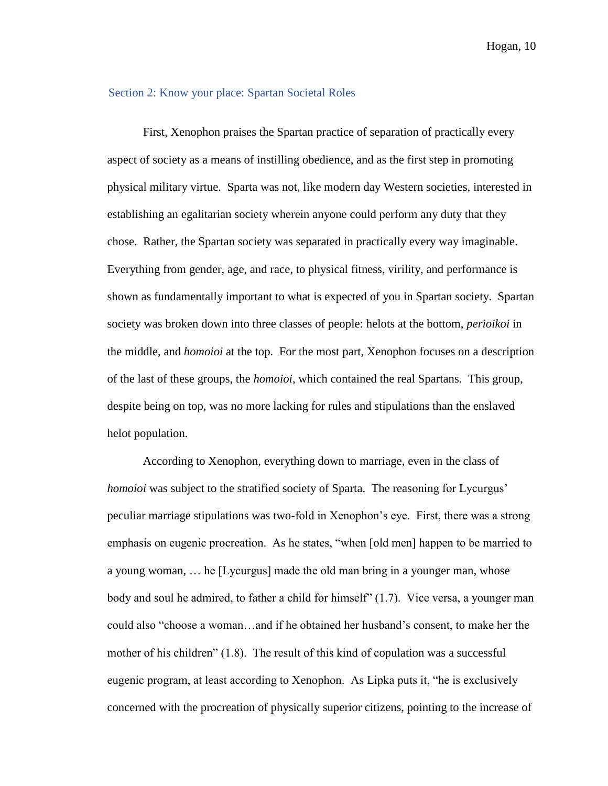#### Section 2: Know your place: Spartan Societal Roles

First, Xenophon praises the Spartan practice of separation of practically every aspect of society as a means of instilling obedience, and as the first step in promoting physical military virtue. Sparta was not, like modern day Western societies, interested in establishing an egalitarian society wherein anyone could perform any duty that they chose. Rather, the Spartan society was separated in practically every way imaginable. Everything from gender, age, and race, to physical fitness, virility, and performance is shown as fundamentally important to what is expected of you in Spartan society. Spartan society was broken down into three classes of people: helots at the bottom, *perioikoi* in the middle, and *homoioi* at the top. For the most part, Xenophon focuses on a description of the last of these groups, the *homoioi*, which contained the real Spartans. This group, despite being on top, was no more lacking for rules and stipulations than the enslaved helot population.

According to Xenophon, everything down to marriage, even in the class of *homoioi* was subject to the stratified society of Sparta. The reasoning for Lycurgus' peculiar marriage stipulations was two-fold in Xenophon's eye. First, there was a strong emphasis on eugenic procreation. As he states, "when [old men] happen to be married to a young woman, … he [Lycurgus] made the old man bring in a younger man, whose body and soul he admired, to father a child for himself" (1.7). Vice versa, a younger man could also "choose a woman…and if he obtained her husband's consent, to make her the mother of his children" (1.8). The result of this kind of copulation was a successful eugenic program, at least according to Xenophon. As Lipka puts it, "he is exclusively concerned with the procreation of physically superior citizens, pointing to the increase of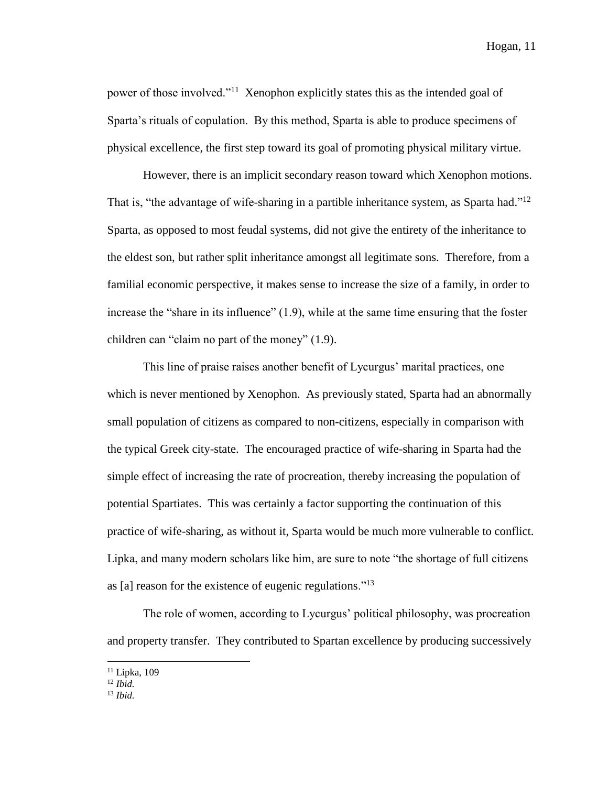power of those involved."<sup>11</sup> Xenophon explicitly states this as the intended goal of Sparta's rituals of copulation. By this method, Sparta is able to produce specimens of physical excellence, the first step toward its goal of promoting physical military virtue.

However, there is an implicit secondary reason toward which Xenophon motions. That is, "the advantage of wife-sharing in a partible inheritance system, as Sparta had."<sup>12</sup> Sparta, as opposed to most feudal systems, did not give the entirety of the inheritance to the eldest son, but rather split inheritance amongst all legitimate sons. Therefore, from a familial economic perspective, it makes sense to increase the size of a family, in order to increase the "share in its influence" (1.9), while at the same time ensuring that the foster children can "claim no part of the money" (1.9).

This line of praise raises another benefit of Lycurgus' marital practices, one which is never mentioned by Xenophon. As previously stated, Sparta had an abnormally small population of citizens as compared to non-citizens, especially in comparison with the typical Greek city-state. The encouraged practice of wife-sharing in Sparta had the simple effect of increasing the rate of procreation, thereby increasing the population of potential Spartiates. This was certainly a factor supporting the continuation of this practice of wife-sharing, as without it, Sparta would be much more vulnerable to conflict. Lipka, and many modern scholars like him, are sure to note "the shortage of full citizens as [a] reason for the existence of eugenic regulations."<sup>13</sup>

The role of women, according to Lycurgus' political philosophy, was procreation and property transfer. They contributed to Spartan excellence by producing successively

<sup>&</sup>lt;sup>11</sup> Lipka, 109

 $^{12}$  *Ibid.* 

<sup>13</sup> *Ibid.*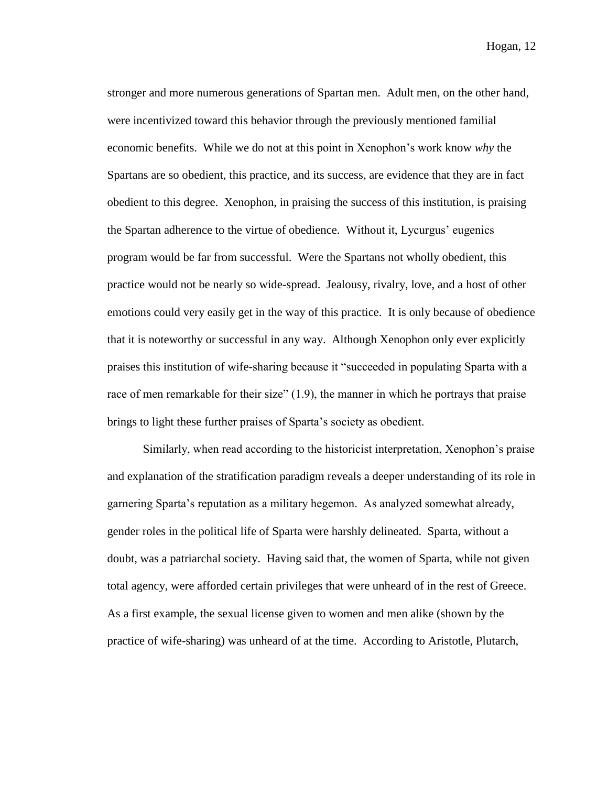stronger and more numerous generations of Spartan men. Adult men, on the other hand, were incentivized toward this behavior through the previously mentioned familial economic benefits. While we do not at this point in Xenophon's work know *why* the Spartans are so obedient, this practice, and its success, are evidence that they are in fact obedient to this degree. Xenophon, in praising the success of this institution, is praising the Spartan adherence to the virtue of obedience. Without it, Lycurgus' eugenics program would be far from successful. Were the Spartans not wholly obedient, this practice would not be nearly so wide-spread. Jealousy, rivalry, love, and a host of other emotions could very easily get in the way of this practice. It is only because of obedience that it is noteworthy or successful in any way. Although Xenophon only ever explicitly praises this institution of wife-sharing because it "succeeded in populating Sparta with a race of men remarkable for their size" (1.9), the manner in which he portrays that praise brings to light these further praises of Sparta's society as obedient.

Similarly, when read according to the historicist interpretation, Xenophon's praise and explanation of the stratification paradigm reveals a deeper understanding of its role in garnering Sparta's reputation as a military hegemon. As analyzed somewhat already, gender roles in the political life of Sparta were harshly delineated. Sparta, without a doubt, was a patriarchal society. Having said that, the women of Sparta, while not given total agency, were afforded certain privileges that were unheard of in the rest of Greece. As a first example, the sexual license given to women and men alike (shown by the practice of wife-sharing) was unheard of at the time. According to Aristotle, Plutarch,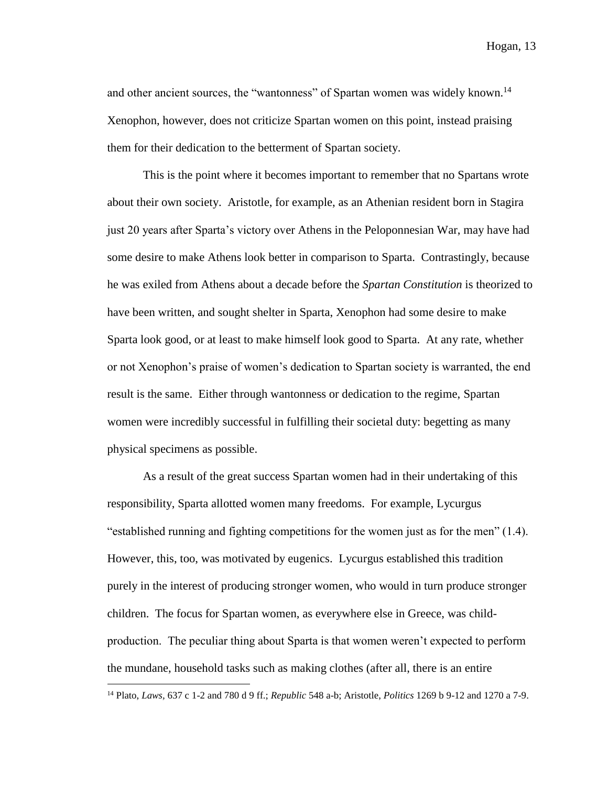and other ancient sources, the "wantonness" of Spartan women was widely known.<sup>14</sup> Xenophon, however, does not criticize Spartan women on this point, instead praising them for their dedication to the betterment of Spartan society.

This is the point where it becomes important to remember that no Spartans wrote about their own society. Aristotle, for example, as an Athenian resident born in Stagira just 20 years after Sparta's victory over Athens in the Peloponnesian War, may have had some desire to make Athens look better in comparison to Sparta. Contrastingly, because he was exiled from Athens about a decade before the *Spartan Constitution* is theorized to have been written, and sought shelter in Sparta, Xenophon had some desire to make Sparta look good, or at least to make himself look good to Sparta. At any rate, whether or not Xenophon's praise of women's dedication to Spartan society is warranted, the end result is the same. Either through wantonness or dedication to the regime, Spartan women were incredibly successful in fulfilling their societal duty: begetting as many physical specimens as possible.

As a result of the great success Spartan women had in their undertaking of this responsibility, Sparta allotted women many freedoms. For example, Lycurgus "established running and fighting competitions for the women just as for the men" (1.4). However, this, too, was motivated by eugenics. Lycurgus established this tradition purely in the interest of producing stronger women, who would in turn produce stronger children. The focus for Spartan women, as everywhere else in Greece, was childproduction. The peculiar thing about Sparta is that women weren't expected to perform the mundane, household tasks such as making clothes (after all, there is an entire

<sup>14</sup> Plato, *Laws,* 637 c 1-2 and 780 d 9 ff.; *Republic* 548 a-b; Aristotle, *Politics* 1269 b 9-12 and 1270 a 7-9.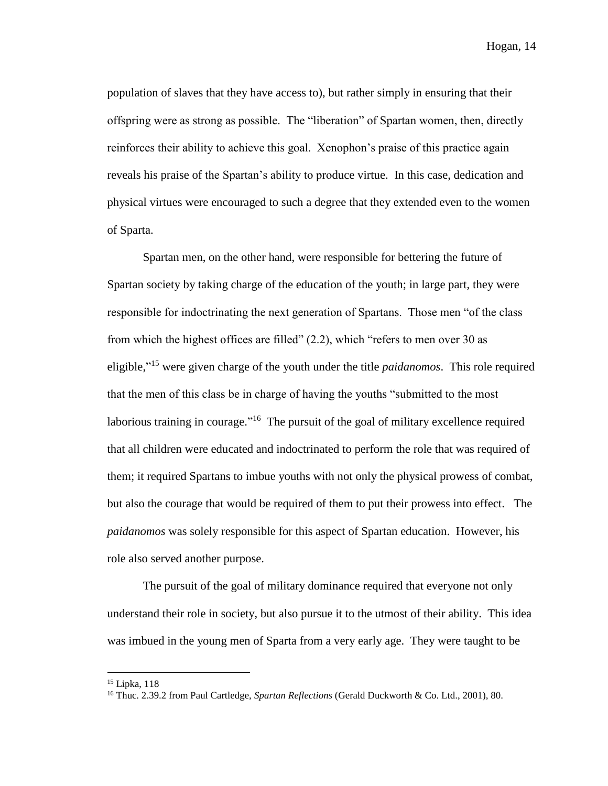population of slaves that they have access to), but rather simply in ensuring that their offspring were as strong as possible. The "liberation" of Spartan women, then, directly reinforces their ability to achieve this goal. Xenophon's praise of this practice again reveals his praise of the Spartan's ability to produce virtue. In this case, dedication and physical virtues were encouraged to such a degree that they extended even to the women of Sparta.

Spartan men, on the other hand, were responsible for bettering the future of Spartan society by taking charge of the education of the youth; in large part, they were responsible for indoctrinating the next generation of Spartans. Those men "of the class from which the highest offices are filled" (2.2), which "refers to men over 30 as eligible," <sup>15</sup> were given charge of the youth under the title *paidanomos*. This role required that the men of this class be in charge of having the youths "submitted to the most laborious training in courage."<sup>16</sup> The pursuit of the goal of military excellence required that all children were educated and indoctrinated to perform the role that was required of them; it required Spartans to imbue youths with not only the physical prowess of combat, but also the courage that would be required of them to put their prowess into effect. The *paidanomos* was solely responsible for this aspect of Spartan education. However, his role also served another purpose.

The pursuit of the goal of military dominance required that everyone not only understand their role in society, but also pursue it to the utmost of their ability. This idea was imbued in the young men of Sparta from a very early age. They were taught to be

<sup>15</sup> Lipka, 118

<sup>16</sup> Thuc. 2.39.2 from Paul Cartledge, *Spartan Reflections* (Gerald Duckworth & Co. Ltd., 2001), 80.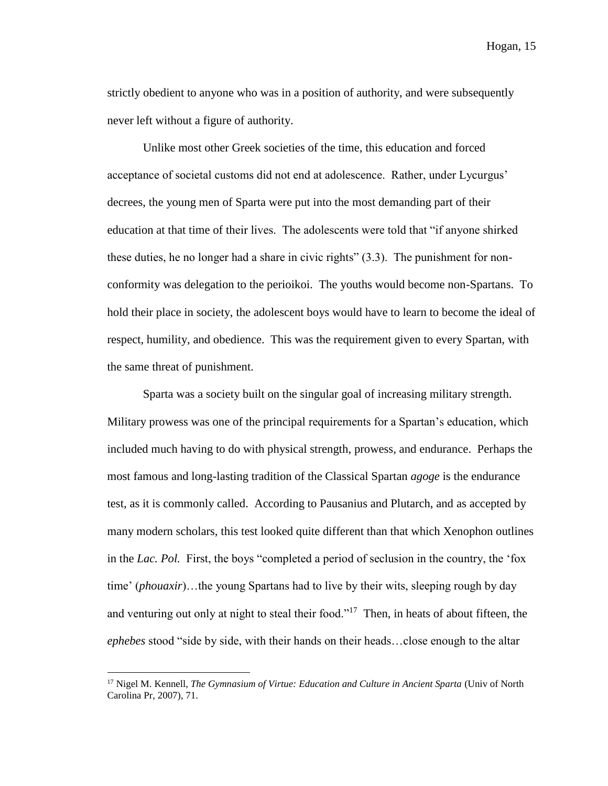strictly obedient to anyone who was in a position of authority, and were subsequently never left without a figure of authority.

Unlike most other Greek societies of the time, this education and forced acceptance of societal customs did not end at adolescence. Rather, under Lycurgus' decrees, the young men of Sparta were put into the most demanding part of their education at that time of their lives. The adolescents were told that "if anyone shirked these duties, he no longer had a share in civic rights" (3.3). The punishment for nonconformity was delegation to the perioikoi. The youths would become non-Spartans. To hold their place in society, the adolescent boys would have to learn to become the ideal of respect, humility, and obedience. This was the requirement given to every Spartan, with the same threat of punishment.

Sparta was a society built on the singular goal of increasing military strength. Military prowess was one of the principal requirements for a Spartan's education, which included much having to do with physical strength, prowess, and endurance. Perhaps the most famous and long-lasting tradition of the Classical Spartan *agoge* is the endurance test, as it is commonly called. According to Pausanius and Plutarch, and as accepted by many modern scholars, this test looked quite different than that which Xenophon outlines in the *Lac. Pol.* First, the boys "completed a period of seclusion in the country, the 'fox time' (*phouaxir*)…the young Spartans had to live by their wits, sleeping rough by day and venturing out only at night to steal their food."<sup>17</sup> Then, in heats of about fifteen, the *ephebes* stood "side by side, with their hands on their heads…close enough to the altar

<sup>17</sup> Nigel M. Kennell, *The Gymnasium of Virtue: Education and Culture in Ancient Sparta* (Univ of North Carolina Pr, 2007), 71.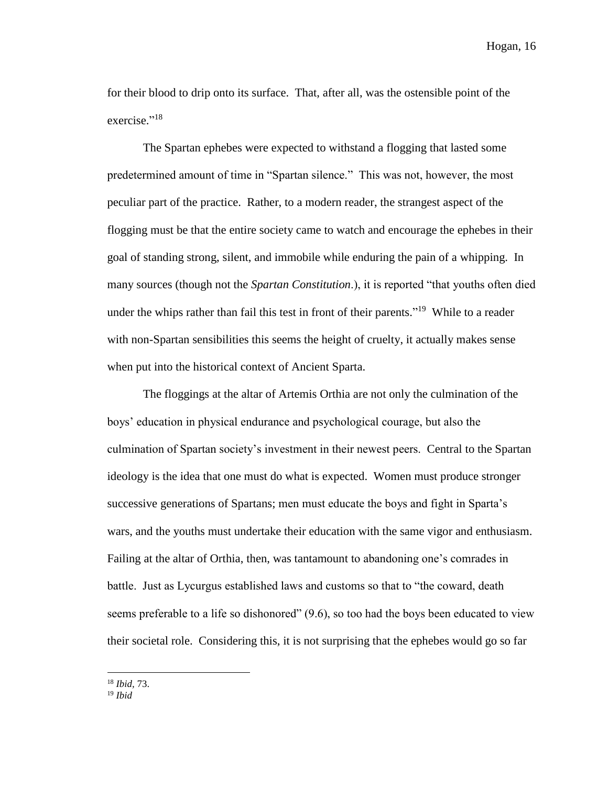for their blood to drip onto its surface. That, after all, was the ostensible point of the exercise."<sup>18</sup>

The Spartan ephebes were expected to withstand a flogging that lasted some predetermined amount of time in "Spartan silence." This was not, however, the most peculiar part of the practice. Rather, to a modern reader, the strangest aspect of the flogging must be that the entire society came to watch and encourage the ephebes in their goal of standing strong, silent, and immobile while enduring the pain of a whipping. In many sources (though not the *Spartan Constitution*.), it is reported "that youths often died under the whips rather than fail this test in front of their parents."<sup>19</sup> While to a reader with non-Spartan sensibilities this seems the height of cruelty, it actually makes sense when put into the historical context of Ancient Sparta.

The floggings at the altar of Artemis Orthia are not only the culmination of the boys' education in physical endurance and psychological courage, but also the culmination of Spartan society's investment in their newest peers. Central to the Spartan ideology is the idea that one must do what is expected. Women must produce stronger successive generations of Spartans; men must educate the boys and fight in Sparta's wars, and the youths must undertake their education with the same vigor and enthusiasm. Failing at the altar of Orthia, then, was tantamount to abandoning one's comrades in battle. Just as Lycurgus established laws and customs so that to "the coward, death seems preferable to a life so dishonored" (9.6), so too had the boys been educated to view their societal role. Considering this, it is not surprising that the ephebes would go so far

<sup>18</sup> *Ibid,* 73.

<sup>19</sup> *Ibid*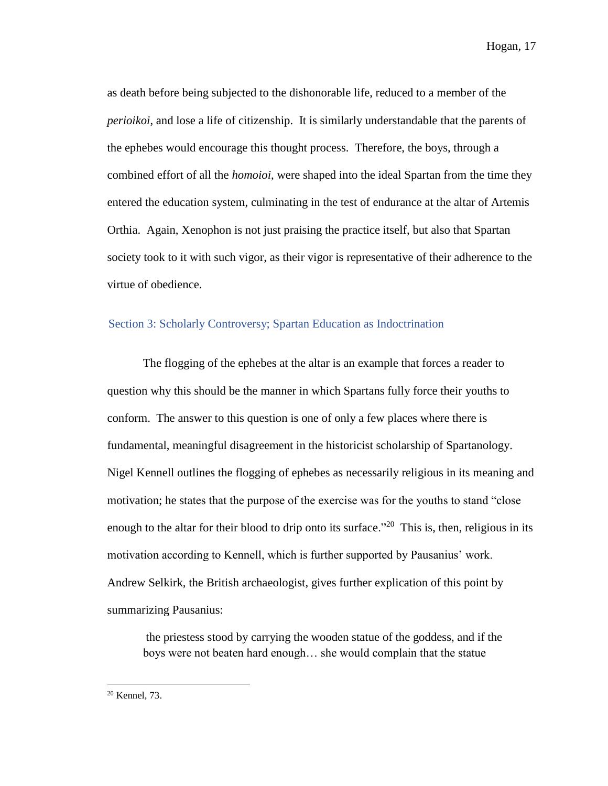as death before being subjected to the dishonorable life, reduced to a member of the *perioikoi*, and lose a life of citizenship. It is similarly understandable that the parents of the ephebes would encourage this thought process. Therefore, the boys, through a combined effort of all the *homoioi*, were shaped into the ideal Spartan from the time they entered the education system, culminating in the test of endurance at the altar of Artemis Orthia. Again, Xenophon is not just praising the practice itself, but also that Spartan society took to it with such vigor, as their vigor is representative of their adherence to the virtue of obedience.

#### Section 3: Scholarly Controversy; Spartan Education as Indoctrination

The flogging of the ephebes at the altar is an example that forces a reader to question why this should be the manner in which Spartans fully force their youths to conform. The answer to this question is one of only a few places where there is fundamental, meaningful disagreement in the historicist scholarship of Spartanology. Nigel Kennell outlines the flogging of ephebes as necessarily religious in its meaning and motivation; he states that the purpose of the exercise was for the youths to stand "close enough to the altar for their blood to drip onto its surface."<sup>20</sup> This is, then, religious in its motivation according to Kennell, which is further supported by Pausanius' work. Andrew Selkirk, the British archaeologist, gives further explication of this point by summarizing Pausanius:

the priestess stood by carrying the wooden statue of the goddess, and if the boys were not beaten hard enough… she would complain that the statue

 $20$  Kennel, 73.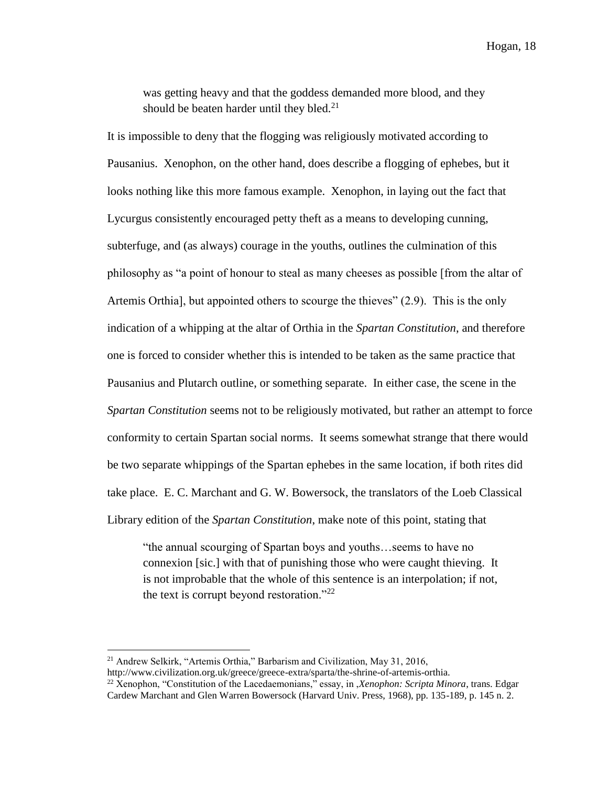was getting heavy and that the goddess demanded more blood, and they should be beaten harder until they bled. $21$ 

It is impossible to deny that the flogging was religiously motivated according to Pausanius. Xenophon, on the other hand, does describe a flogging of ephebes, but it looks nothing like this more famous example. Xenophon, in laying out the fact that Lycurgus consistently encouraged petty theft as a means to developing cunning, subterfuge, and (as always) courage in the youths, outlines the culmination of this philosophy as "a point of honour to steal as many cheeses as possible [from the altar of Artemis Orthia], but appointed others to scourge the thieves" (2.9). This is the only indication of a whipping at the altar of Orthia in the *Spartan Constitution*, and therefore one is forced to consider whether this is intended to be taken as the same practice that Pausanius and Plutarch outline, or something separate. In either case, the scene in the *Spartan Constitution* seems not to be religiously motivated, but rather an attempt to force conformity to certain Spartan social norms. It seems somewhat strange that there would be two separate whippings of the Spartan ephebes in the same location, if both rites did take place. E. C. Marchant and G. W. Bowersock, the translators of the Loeb Classical Library edition of the *Spartan Constitution*, make note of this point, stating that

"the annual scourging of Spartan boys and youths…seems to have no connexion [sic.] with that of punishing those who were caught thieving. It is not improbable that the whole of this sentence is an interpolation; if not, the text is corrupt beyond restoration."<sup>22</sup>

 $\overline{a}$ <sup>21</sup> Andrew Selkirk, "Artemis Orthia," Barbarism and Civilization, May 31, 2016,

http://www.civilization.org.uk/greece/greece-extra/sparta/the-shrine-of-artemis-orthia.

<sup>22</sup> Xenophon, "Constitution of the Lacedaemonians," essay, in ,*Xenophon: Scripta Minora*, trans. Edgar Cardew Marchant and Glen Warren Bowersock (Harvard Univ. Press, 1968), pp. 135-189, p. 145 n. 2.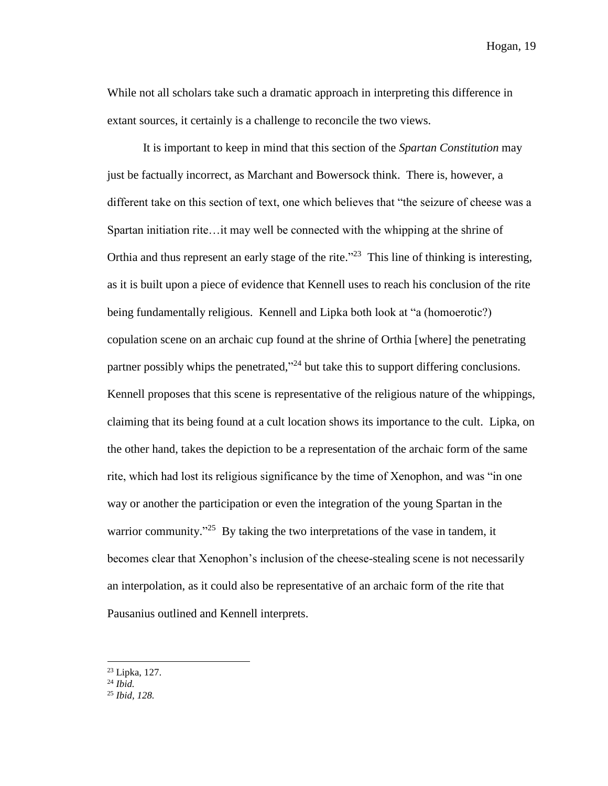While not all scholars take such a dramatic approach in interpreting this difference in extant sources, it certainly is a challenge to reconcile the two views.

It is important to keep in mind that this section of the *Spartan Constitution* may just be factually incorrect, as Marchant and Bowersock think. There is, however, a different take on this section of text, one which believes that "the seizure of cheese was a Spartan initiation rite…it may well be connected with the whipping at the shrine of Orthia and thus represent an early stage of the rite."<sup>23</sup> This line of thinking is interesting, as it is built upon a piece of evidence that Kennell uses to reach his conclusion of the rite being fundamentally religious. Kennell and Lipka both look at "a (homoerotic?) copulation scene on an archaic cup found at the shrine of Orthia [where] the penetrating partner possibly whips the penetrated,"<sup>24</sup> but take this to support differing conclusions. Kennell proposes that this scene is representative of the religious nature of the whippings, claiming that its being found at a cult location shows its importance to the cult. Lipka, on the other hand, takes the depiction to be a representation of the archaic form of the same rite, which had lost its religious significance by the time of Xenophon, and was "in one way or another the participation or even the integration of the young Spartan in the warrior community."<sup>25</sup> By taking the two interpretations of the vase in tandem, it becomes clear that Xenophon's inclusion of the cheese-stealing scene is not necessarily an interpolation, as it could also be representative of an archaic form of the rite that Pausanius outlined and Kennell interprets.

<sup>23</sup> Lipka, 127.

<sup>24</sup> *Ibid.*

<sup>25</sup> *Ibid, 128.*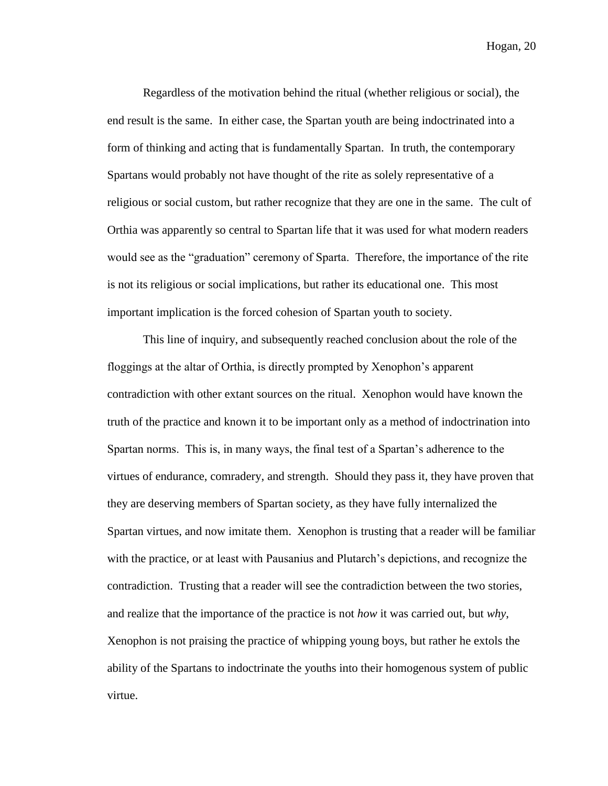Regardless of the motivation behind the ritual (whether religious or social), the end result is the same. In either case, the Spartan youth are being indoctrinated into a form of thinking and acting that is fundamentally Spartan. In truth, the contemporary Spartans would probably not have thought of the rite as solely representative of a religious or social custom, but rather recognize that they are one in the same. The cult of Orthia was apparently so central to Spartan life that it was used for what modern readers would see as the "graduation" ceremony of Sparta. Therefore, the importance of the rite is not its religious or social implications, but rather its educational one. This most important implication is the forced cohesion of Spartan youth to society.

This line of inquiry, and subsequently reached conclusion about the role of the floggings at the altar of Orthia, is directly prompted by Xenophon's apparent contradiction with other extant sources on the ritual. Xenophon would have known the truth of the practice and known it to be important only as a method of indoctrination into Spartan norms. This is, in many ways, the final test of a Spartan's adherence to the virtues of endurance, comradery, and strength. Should they pass it, they have proven that they are deserving members of Spartan society, as they have fully internalized the Spartan virtues, and now imitate them. Xenophon is trusting that a reader will be familiar with the practice, or at least with Pausanius and Plutarch's depictions, and recognize the contradiction. Trusting that a reader will see the contradiction between the two stories, and realize that the importance of the practice is not *how* it was carried out, but *why*, Xenophon is not praising the practice of whipping young boys, but rather he extols the ability of the Spartans to indoctrinate the youths into their homogenous system of public virtue.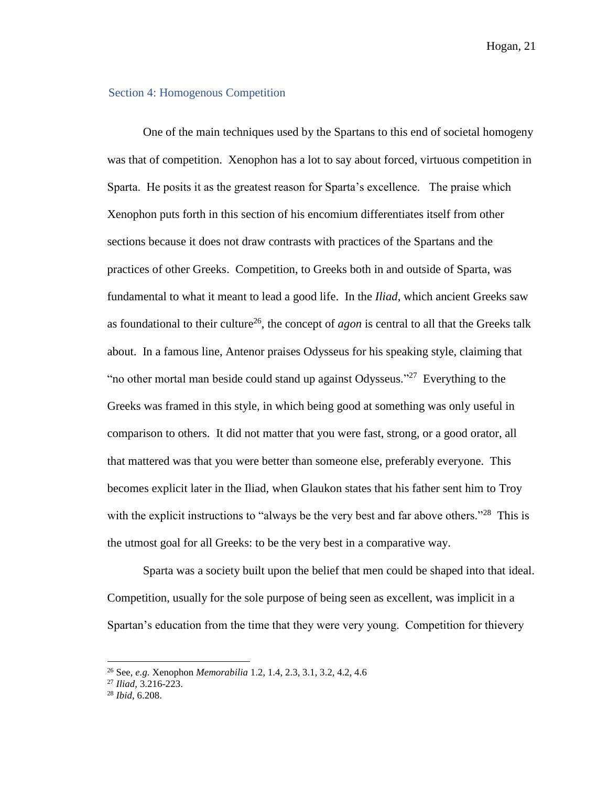#### Section 4: Homogenous Competition

One of the main techniques used by the Spartans to this end of societal homogeny was that of competition. Xenophon has a lot to say about forced, virtuous competition in Sparta. He posits it as the greatest reason for Sparta's excellence. The praise which Xenophon puts forth in this section of his encomium differentiates itself from other sections because it does not draw contrasts with practices of the Spartans and the practices of other Greeks. Competition, to Greeks both in and outside of Sparta, was fundamental to what it meant to lead a good life. In the *Iliad*, which ancient Greeks saw as foundational to their culture<sup>26</sup>, the concept of *agon* is central to all that the Greeks talk about. In a famous line, Antenor praises Odysseus for his speaking style, claiming that "no other mortal man beside could stand up against Odysseus."<sup>27</sup> Everything to the Greeks was framed in this style, in which being good at something was only useful in comparison to others. It did not matter that you were fast, strong, or a good orator, all that mattered was that you were better than someone else, preferably everyone. This becomes explicit later in the Iliad, when Glaukon states that his father sent him to Troy with the explicit instructions to "always be the very best and far above others."<sup>28</sup> This is the utmost goal for all Greeks: to be the very best in a comparative way.

Sparta was a society built upon the belief that men could be shaped into that ideal. Competition, usually for the sole purpose of being seen as excellent, was implicit in a Spartan's education from the time that they were very young. Competition for thievery

<sup>26</sup> See, *e.g.* Xenophon *Memorabilia* 1.2, 1.4, 2.3, 3.1, 3.2, 4.2, 4.6

<sup>27</sup> *Iliad,* 3.216-223.

<sup>28</sup> *Ibid,* 6.208.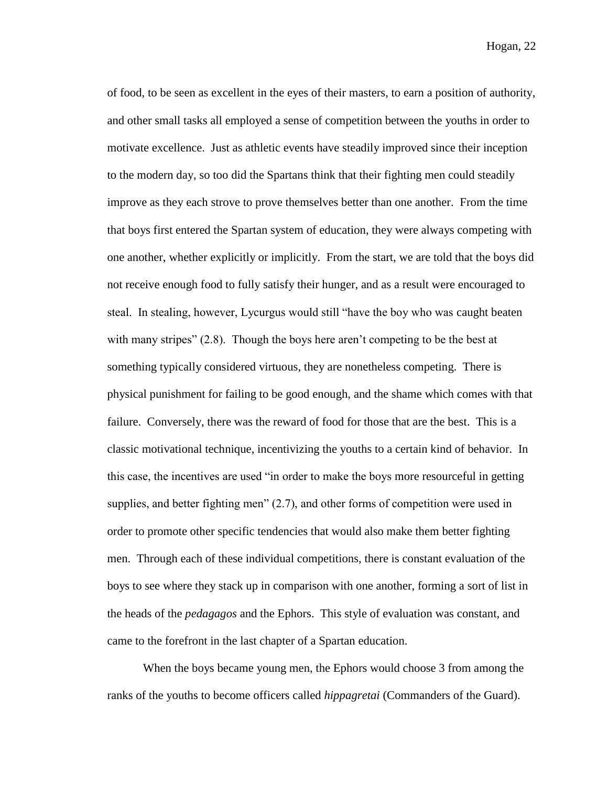of food, to be seen as excellent in the eyes of their masters, to earn a position of authority, and other small tasks all employed a sense of competition between the youths in order to motivate excellence. Just as athletic events have steadily improved since their inception to the modern day, so too did the Spartans think that their fighting men could steadily improve as they each strove to prove themselves better than one another. From the time that boys first entered the Spartan system of education, they were always competing with one another, whether explicitly or implicitly. From the start, we are told that the boys did not receive enough food to fully satisfy their hunger, and as a result were encouraged to steal. In stealing, however, Lycurgus would still "have the boy who was caught beaten with many stripes" (2.8). Though the boys here aren't competing to be the best at something typically considered virtuous, they are nonetheless competing. There is physical punishment for failing to be good enough, and the shame which comes with that failure. Conversely, there was the reward of food for those that are the best. This is a classic motivational technique, incentivizing the youths to a certain kind of behavior. In this case, the incentives are used "in order to make the boys more resourceful in getting supplies, and better fighting men" (2.7), and other forms of competition were used in order to promote other specific tendencies that would also make them better fighting men. Through each of these individual competitions, there is constant evaluation of the boys to see where they stack up in comparison with one another, forming a sort of list in the heads of the *pedagagos* and the Ephors. This style of evaluation was constant, and came to the forefront in the last chapter of a Spartan education.

When the boys became young men, the Ephors would choose 3 from among the ranks of the youths to become officers called *hippagretai* (Commanders of the Guard).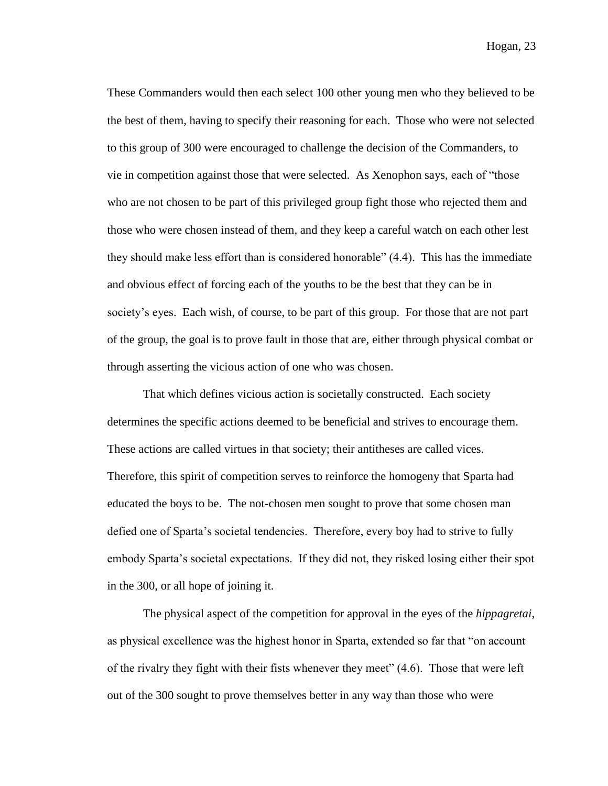These Commanders would then each select 100 other young men who they believed to be the best of them, having to specify their reasoning for each. Those who were not selected to this group of 300 were encouraged to challenge the decision of the Commanders, to vie in competition against those that were selected. As Xenophon says, each of "those who are not chosen to be part of this privileged group fight those who rejected them and those who were chosen instead of them, and they keep a careful watch on each other lest they should make less effort than is considered honorable" (4.4). This has the immediate and obvious effect of forcing each of the youths to be the best that they can be in society's eyes. Each wish, of course, to be part of this group. For those that are not part of the group, the goal is to prove fault in those that are, either through physical combat or through asserting the vicious action of one who was chosen.

That which defines vicious action is societally constructed. Each society determines the specific actions deemed to be beneficial and strives to encourage them. These actions are called virtues in that society; their antitheses are called vices. Therefore, this spirit of competition serves to reinforce the homogeny that Sparta had educated the boys to be. The not-chosen men sought to prove that some chosen man defied one of Sparta's societal tendencies. Therefore, every boy had to strive to fully embody Sparta's societal expectations. If they did not, they risked losing either their spot in the 300, or all hope of joining it.

The physical aspect of the competition for approval in the eyes of the *hippagretai*, as physical excellence was the highest honor in Sparta, extended so far that "on account of the rivalry they fight with their fists whenever they meet" (4.6). Those that were left out of the 300 sought to prove themselves better in any way than those who were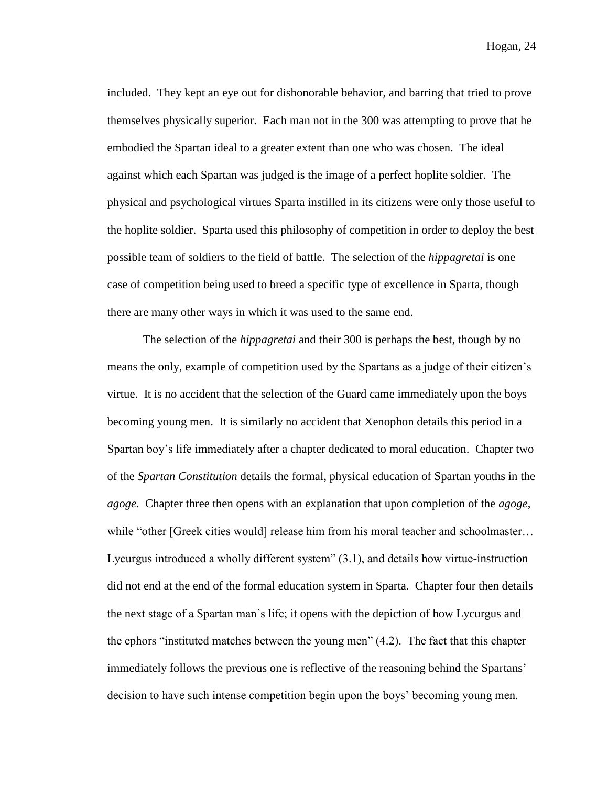included. They kept an eye out for dishonorable behavior, and barring that tried to prove themselves physically superior. Each man not in the 300 was attempting to prove that he embodied the Spartan ideal to a greater extent than one who was chosen. The ideal against which each Spartan was judged is the image of a perfect hoplite soldier. The physical and psychological virtues Sparta instilled in its citizens were only those useful to the hoplite soldier. Sparta used this philosophy of competition in order to deploy the best possible team of soldiers to the field of battle. The selection of the *hippagretai* is one case of competition being used to breed a specific type of excellence in Sparta, though there are many other ways in which it was used to the same end.

The selection of the *hippagretai* and their 300 is perhaps the best, though by no means the only, example of competition used by the Spartans as a judge of their citizen's virtue. It is no accident that the selection of the Guard came immediately upon the boys becoming young men. It is similarly no accident that Xenophon details this period in a Spartan boy's life immediately after a chapter dedicated to moral education. Chapter two of the *Spartan Constitution* details the formal, physical education of Spartan youths in the *agoge*. Chapter three then opens with an explanation that upon completion of the *agoge*, while "other [Greek cities would] release him from his moral teacher and schoolmaster... Lycurgus introduced a wholly different system" (3.1), and details how virtue-instruction did not end at the end of the formal education system in Sparta. Chapter four then details the next stage of a Spartan man's life; it opens with the depiction of how Lycurgus and the ephors "instituted matches between the young men" (4.2). The fact that this chapter immediately follows the previous one is reflective of the reasoning behind the Spartans' decision to have such intense competition begin upon the boys' becoming young men.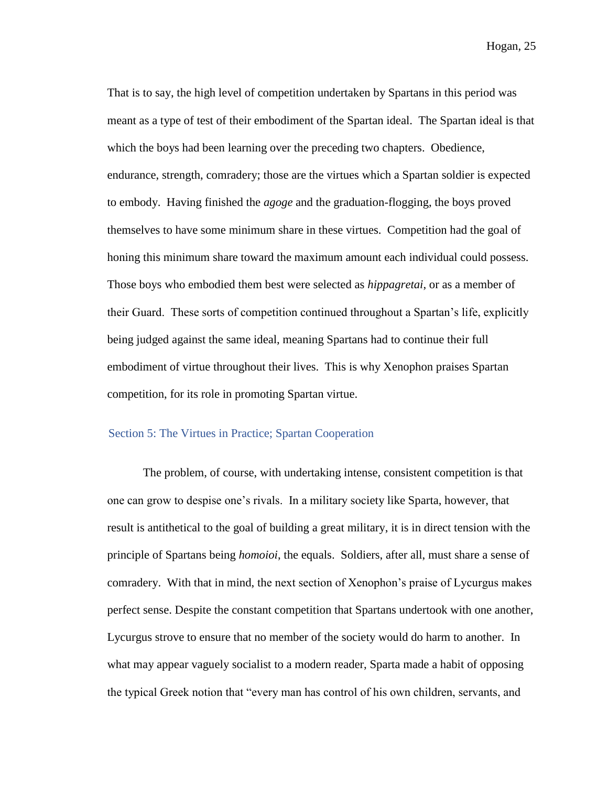That is to say, the high level of competition undertaken by Spartans in this period was meant as a type of test of their embodiment of the Spartan ideal. The Spartan ideal is that which the boys had been learning over the preceding two chapters. Obedience, endurance, strength, comradery; those are the virtues which a Spartan soldier is expected to embody. Having finished the *agoge* and the graduation-flogging, the boys proved themselves to have some minimum share in these virtues. Competition had the goal of honing this minimum share toward the maximum amount each individual could possess. Those boys who embodied them best were selected as *hippagretai*, or as a member of their Guard. These sorts of competition continued throughout a Spartan's life, explicitly being judged against the same ideal, meaning Spartans had to continue their full embodiment of virtue throughout their lives. This is why Xenophon praises Spartan competition, for its role in promoting Spartan virtue.

#### Section 5: The Virtues in Practice; Spartan Cooperation

The problem, of course, with undertaking intense, consistent competition is that one can grow to despise one's rivals. In a military society like Sparta, however, that result is antithetical to the goal of building a great military, it is in direct tension with the principle of Spartans being *homoioi*, the equals. Soldiers, after all, must share a sense of comradery. With that in mind, the next section of Xenophon's praise of Lycurgus makes perfect sense. Despite the constant competition that Spartans undertook with one another, Lycurgus strove to ensure that no member of the society would do harm to another. In what may appear vaguely socialist to a modern reader, Sparta made a habit of opposing the typical Greek notion that "every man has control of his own children, servants, and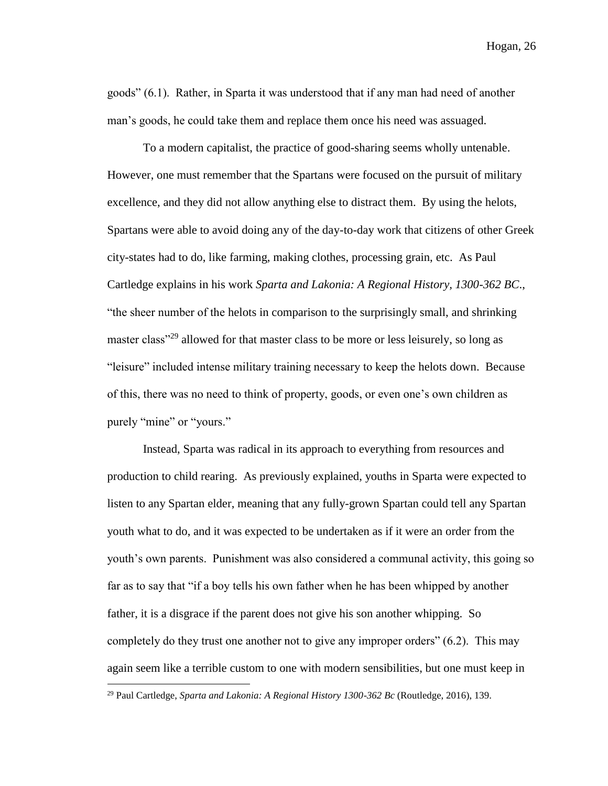goods" (6.1). Rather, in Sparta it was understood that if any man had need of another man's goods, he could take them and replace them once his need was assuaged.

To a modern capitalist, the practice of good-sharing seems wholly untenable. However, one must remember that the Spartans were focused on the pursuit of military excellence, and they did not allow anything else to distract them. By using the helots, Spartans were able to avoid doing any of the day-to-day work that citizens of other Greek city-states had to do, like farming, making clothes, processing grain, etc. As Paul Cartledge explains in his work *Sparta and Lakonia: A Regional History, 1300-362 BC*., "the sheer number of the helots in comparison to the surprisingly small, and shrinking master class<sup>"29</sup> allowed for that master class to be more or less leisurely, so long as "leisure" included intense military training necessary to keep the helots down. Because of this, there was no need to think of property, goods, or even one's own children as purely "mine" or "yours."

Instead, Sparta was radical in its approach to everything from resources and production to child rearing. As previously explained, youths in Sparta were expected to listen to any Spartan elder, meaning that any fully-grown Spartan could tell any Spartan youth what to do, and it was expected to be undertaken as if it were an order from the youth's own parents. Punishment was also considered a communal activity, this going so far as to say that "if a boy tells his own father when he has been whipped by another father, it is a disgrace if the parent does not give his son another whipping. So completely do they trust one another not to give any improper orders" (6.2). This may again seem like a terrible custom to one with modern sensibilities, but one must keep in

<sup>29</sup> Paul Cartledge, *Sparta and Lakonia: A Regional History 1300-362 Bc* (Routledge, 2016), 139.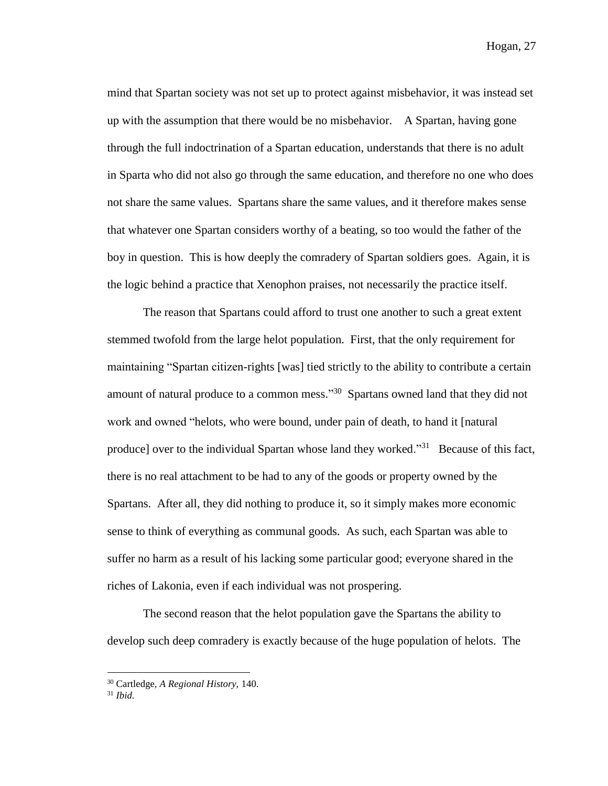mind that Spartan society was not set up to protect against misbehavior, it was instead set up with the assumption that there would be no misbehavior. A Spartan, having gone through the full indoctrination of a Spartan education, understands that there is no adult in Sparta who did not also go through the same education, and therefore no one who does not share the same values. Spartans share the same values, and it therefore makes sense that whatever one Spartan considers worthy of a beating, so too would the father of the boy in question. This is how deeply the comradery of Spartan soldiers goes. Again, it is the logic behind a practice that Xenophon praises, not necessarily the practice itself.

The reason that Spartans could afford to trust one another to such a great extent stemmed twofold from the large helot population. First, that the only requirement for maintaining "Spartan citizen-rights [was] tied strictly to the ability to contribute a certain amount of natural produce to a common mess."<sup>30</sup> Spartans owned land that they did not work and owned "helots, who were bound, under pain of death, to hand it [natural produce] over to the individual Spartan whose land they worked."<sup>31</sup> Because of this fact, there is no real attachment to be had to any of the goods or property owned by the Spartans. After all, they did nothing to produce it, so it simply makes more economic sense to think of everything as communal goods. As such, each Spartan was able to suffer no harm as a result of his lacking some particular good; everyone shared in the riches of Lakonia, even if each individual was not prospering.

The second reason that the helot population gave the Spartans the ability to develop such deep comradery is exactly because of the huge population of helots. The

<sup>30</sup> Cartledge, *A Regional History,* 140.

<sup>31</sup> *Ibid.*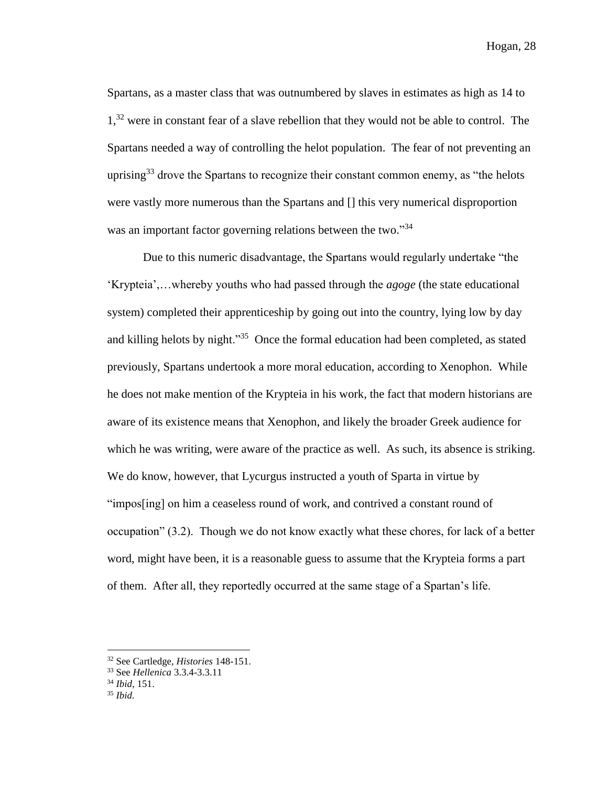Spartans, as a master class that was outnumbered by slaves in estimates as high as 14 to 1,<sup>32</sup> were in constant fear of a slave rebellion that they would not be able to control. The Spartans needed a way of controlling the helot population. The fear of not preventing an uprising<sup>33</sup> drove the Spartans to recognize their constant common enemy, as "the helots" were vastly more numerous than the Spartans and [] this very numerical disproportion was an important factor governing relations between the two."34

Due to this numeric disadvantage, the Spartans would regularly undertake "the 'Krypteia',…whereby youths who had passed through the *agoge* (the state educational system) completed their apprenticeship by going out into the country, lying low by day and killing helots by night."<sup>35</sup> Once the formal education had been completed, as stated previously, Spartans undertook a more moral education, according to Xenophon. While he does not make mention of the Krypteia in his work, the fact that modern historians are aware of its existence means that Xenophon, and likely the broader Greek audience for which he was writing, were aware of the practice as well. As such, its absence is striking. We do know, however, that Lycurgus instructed a youth of Sparta in virtue by "impos[ing] on him a ceaseless round of work, and contrived a constant round of occupation" (3.2). Though we do not know exactly what these chores, for lack of a better word, might have been, it is a reasonable guess to assume that the Krypteia forms a part of them. After all, they reportedly occurred at the same stage of a Spartan's life.

<sup>32</sup> See Cartledge, *Histories* 148-151.

<sup>33</sup> See *Hellenica* 3.3.4-3.3.11

<sup>34</sup> *Ibid,* 151.

<sup>35</sup> *Ibid.*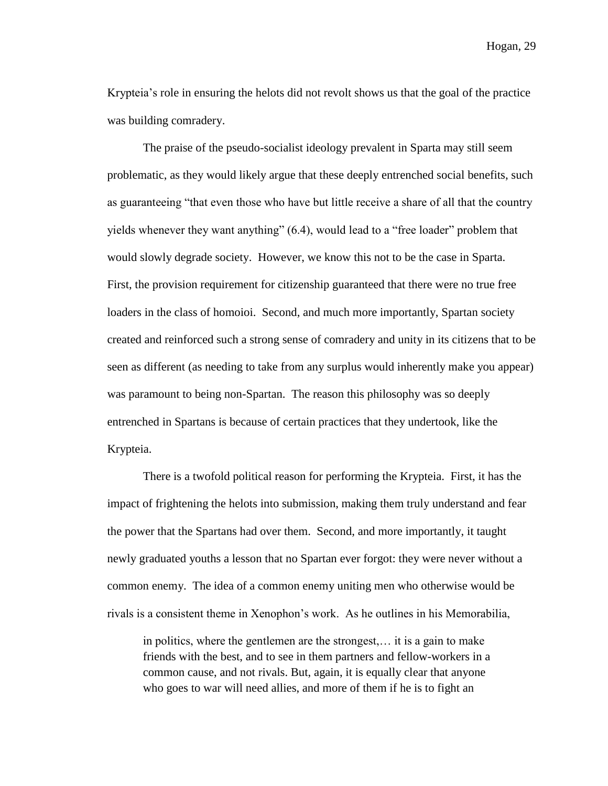Krypteia's role in ensuring the helots did not revolt shows us that the goal of the practice was building comradery.

The praise of the pseudo-socialist ideology prevalent in Sparta may still seem problematic, as they would likely argue that these deeply entrenched social benefits, such as guaranteeing "that even those who have but little receive a share of all that the country yields whenever they want anything" (6.4), would lead to a "free loader" problem that would slowly degrade society. However, we know this not to be the case in Sparta. First, the provision requirement for citizenship guaranteed that there were no true free loaders in the class of homoioi. Second, and much more importantly, Spartan society created and reinforced such a strong sense of comradery and unity in its citizens that to be seen as different (as needing to take from any surplus would inherently make you appear) was paramount to being non-Spartan. The reason this philosophy was so deeply entrenched in Spartans is because of certain practices that they undertook, like the Krypteia.

There is a twofold political reason for performing the Krypteia. First, it has the impact of frightening the helots into submission, making them truly understand and fear the power that the Spartans had over them. Second, and more importantly, it taught newly graduated youths a lesson that no Spartan ever forgot: they were never without a common enemy. The idea of a common enemy uniting men who otherwise would be rivals is a consistent theme in Xenophon's work. As he outlines in his Memorabilia,

in politics, where the gentlemen are the strongest,… it is a gain to make friends with the best, and to see in them partners and fellow-workers in a common cause, and not rivals. But, again, it is equally clear that anyone who goes to war will need allies, and more of them if he is to fight an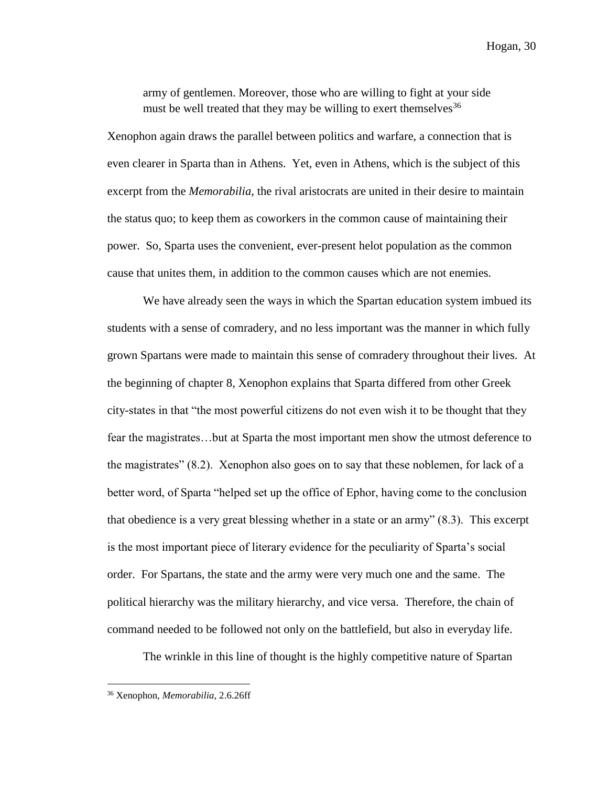army of gentlemen. Moreover, those who are willing to fight at your side must be well treated that they may be willing to exert themselves<sup>36</sup>

Xenophon again draws the parallel between politics and warfare, a connection that is even clearer in Sparta than in Athens. Yet, even in Athens, which is the subject of this excerpt from the *Memorabilia*, the rival aristocrats are united in their desire to maintain the status quo; to keep them as coworkers in the common cause of maintaining their power. So, Sparta uses the convenient, ever-present helot population as the common cause that unites them, in addition to the common causes which are not enemies.

We have already seen the ways in which the Spartan education system imbued its students with a sense of comradery, and no less important was the manner in which fully grown Spartans were made to maintain this sense of comradery throughout their lives. At the beginning of chapter 8, Xenophon explains that Sparta differed from other Greek city-states in that "the most powerful citizens do not even wish it to be thought that they fear the magistrates…but at Sparta the most important men show the utmost deference to the magistrates" (8.2). Xenophon also goes on to say that these noblemen, for lack of a better word, of Sparta "helped set up the office of Ephor, having come to the conclusion that obedience is a very great blessing whether in a state or an army" (8.3). This excerpt is the most important piece of literary evidence for the peculiarity of Sparta's social order. For Spartans, the state and the army were very much one and the same. The political hierarchy was the military hierarchy, and vice versa. Therefore, the chain of command needed to be followed not only on the battlefield, but also in everyday life.

The wrinkle in this line of thought is the highly competitive nature of Spartan

<sup>36</sup> Xenophon, *Memorabilia*, 2.6.26ff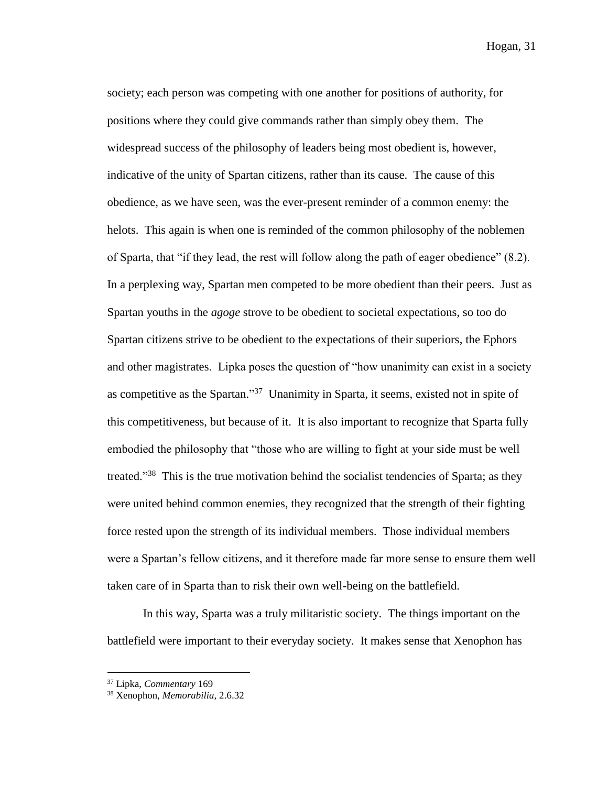society; each person was competing with one another for positions of authority, for positions where they could give commands rather than simply obey them. The widespread success of the philosophy of leaders being most obedient is, however, indicative of the unity of Spartan citizens, rather than its cause. The cause of this obedience, as we have seen, was the ever-present reminder of a common enemy: the helots. This again is when one is reminded of the common philosophy of the noblemen of Sparta, that "if they lead, the rest will follow along the path of eager obedience" (8.2). In a perplexing way, Spartan men competed to be more obedient than their peers. Just as Spartan youths in the *agoge* strove to be obedient to societal expectations, so too do Spartan citizens strive to be obedient to the expectations of their superiors, the Ephors and other magistrates. Lipka poses the question of "how unanimity can exist in a society as competitive as the Spartan."<sup>37</sup> Unanimity in Sparta, it seems, existed not in spite of this competitiveness, but because of it. It is also important to recognize that Sparta fully embodied the philosophy that "those who are willing to fight at your side must be well treated."<sup>38</sup> This is the true motivation behind the socialist tendencies of Sparta; as they were united behind common enemies, they recognized that the strength of their fighting force rested upon the strength of its individual members. Those individual members were a Spartan's fellow citizens, and it therefore made far more sense to ensure them well taken care of in Sparta than to risk their own well-being on the battlefield.

In this way, Sparta was a truly militaristic society. The things important on the battlefield were important to their everyday society. It makes sense that Xenophon has

<sup>37</sup> Lipka, *Commentary* 169

<sup>38</sup> Xenophon, *Memorabilia*, 2.6.32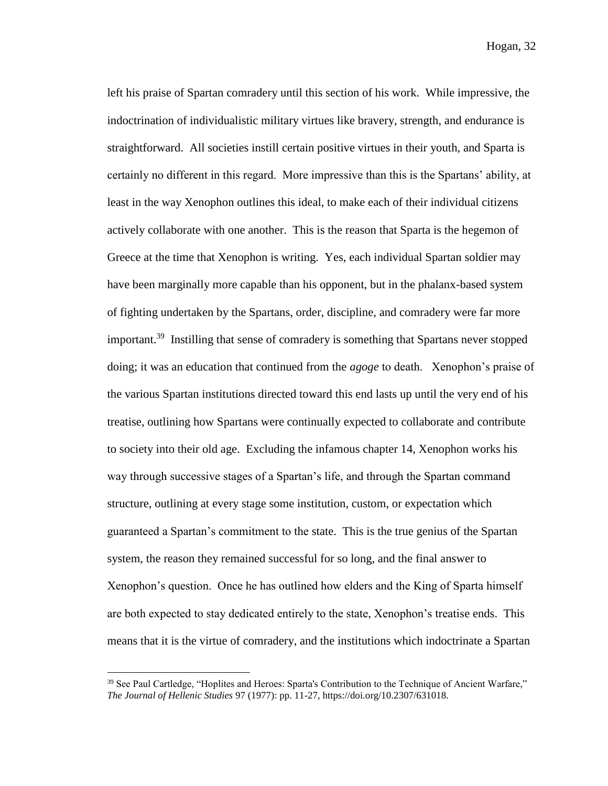left his praise of Spartan comradery until this section of his work. While impressive, the indoctrination of individualistic military virtues like bravery, strength, and endurance is straightforward. All societies instill certain positive virtues in their youth, and Sparta is certainly no different in this regard. More impressive than this is the Spartans' ability, at least in the way Xenophon outlines this ideal, to make each of their individual citizens actively collaborate with one another. This is the reason that Sparta is the hegemon of Greece at the time that Xenophon is writing. Yes, each individual Spartan soldier may have been marginally more capable than his opponent, but in the phalanx-based system of fighting undertaken by the Spartans, order, discipline, and comradery were far more important.<sup>39</sup> Instilling that sense of comradery is something that Spartans never stopped doing; it was an education that continued from the *agoge* to death. Xenophon's praise of the various Spartan institutions directed toward this end lasts up until the very end of his treatise, outlining how Spartans were continually expected to collaborate and contribute to society into their old age. Excluding the infamous chapter 14, Xenophon works his way through successive stages of a Spartan's life, and through the Spartan command structure, outlining at every stage some institution, custom, or expectation which guaranteed a Spartan's commitment to the state. This is the true genius of the Spartan system, the reason they remained successful for so long, and the final answer to Xenophon's question. Once he has outlined how elders and the King of Sparta himself are both expected to stay dedicated entirely to the state, Xenophon's treatise ends. This means that it is the virtue of comradery, and the institutions which indoctrinate a Spartan

<sup>&</sup>lt;sup>39</sup> See Paul Cartledge, "Hoplites and Heroes: Sparta's Contribution to the Technique of Ancient Warfare," *The Journal of Hellenic Studies* 97 (1977): pp. 11-27, https://doi.org/10.2307/631018.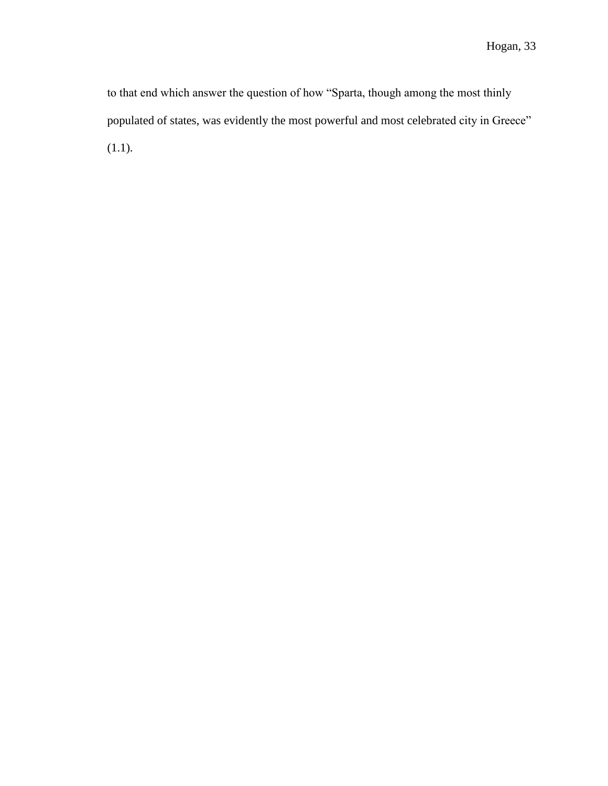to that end which answer the question of how "Sparta, though among the most thinly populated of states, was evidently the most powerful and most celebrated city in Greece" (1.1).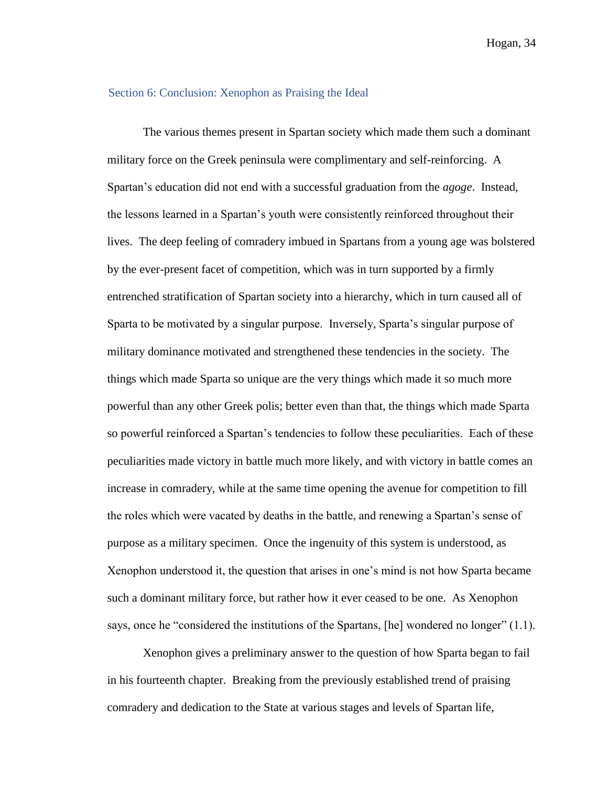#### Section 6: Conclusion: Xenophon as Praising the Ideal

The various themes present in Spartan society which made them such a dominant military force on the Greek peninsula were complimentary and self-reinforcing. A Spartan's education did not end with a successful graduation from the *agoge*. Instead, the lessons learned in a Spartan's youth were consistently reinforced throughout their lives. The deep feeling of comradery imbued in Spartans from a young age was bolstered by the ever-present facet of competition, which was in turn supported by a firmly entrenched stratification of Spartan society into a hierarchy, which in turn caused all of Sparta to be motivated by a singular purpose. Inversely, Sparta's singular purpose of military dominance motivated and strengthened these tendencies in the society. The things which made Sparta so unique are the very things which made it so much more powerful than any other Greek polis; better even than that, the things which made Sparta so powerful reinforced a Spartan's tendencies to follow these peculiarities. Each of these peculiarities made victory in battle much more likely, and with victory in battle comes an increase in comradery, while at the same time opening the avenue for competition to fill the roles which were vacated by deaths in the battle, and renewing a Spartan's sense of purpose as a military specimen. Once the ingenuity of this system is understood, as Xenophon understood it, the question that arises in one's mind is not how Sparta became such a dominant military force, but rather how it ever ceased to be one. As Xenophon says, once he "considered the institutions of the Spartans, [he] wondered no longer" (1.1).

Xenophon gives a preliminary answer to the question of how Sparta began to fail in his fourteenth chapter. Breaking from the previously established trend of praising comradery and dedication to the State at various stages and levels of Spartan life,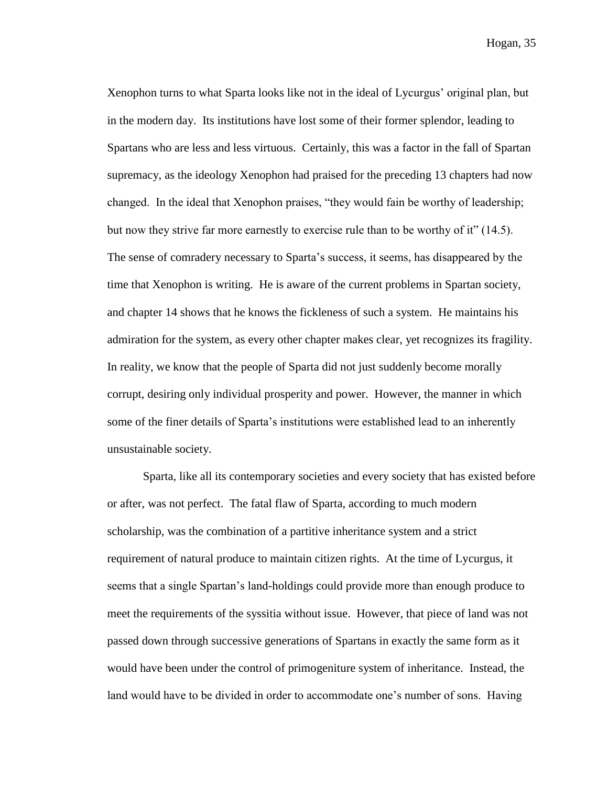Xenophon turns to what Sparta looks like not in the ideal of Lycurgus' original plan, but in the modern day. Its institutions have lost some of their former splendor, leading to Spartans who are less and less virtuous. Certainly, this was a factor in the fall of Spartan supremacy, as the ideology Xenophon had praised for the preceding 13 chapters had now changed. In the ideal that Xenophon praises, "they would fain be worthy of leadership; but now they strive far more earnestly to exercise rule than to be worthy of it" (14.5). The sense of comradery necessary to Sparta's success, it seems, has disappeared by the time that Xenophon is writing. He is aware of the current problems in Spartan society, and chapter 14 shows that he knows the fickleness of such a system. He maintains his admiration for the system, as every other chapter makes clear, yet recognizes its fragility. In reality, we know that the people of Sparta did not just suddenly become morally corrupt, desiring only individual prosperity and power. However, the manner in which some of the finer details of Sparta's institutions were established lead to an inherently unsustainable society.

Sparta, like all its contemporary societies and every society that has existed before or after, was not perfect. The fatal flaw of Sparta, according to much modern scholarship, was the combination of a partitive inheritance system and a strict requirement of natural produce to maintain citizen rights. At the time of Lycurgus, it seems that a single Spartan's land-holdings could provide more than enough produce to meet the requirements of the syssitia without issue. However, that piece of land was not passed down through successive generations of Spartans in exactly the same form as it would have been under the control of primogeniture system of inheritance. Instead, the land would have to be divided in order to accommodate one's number of sons. Having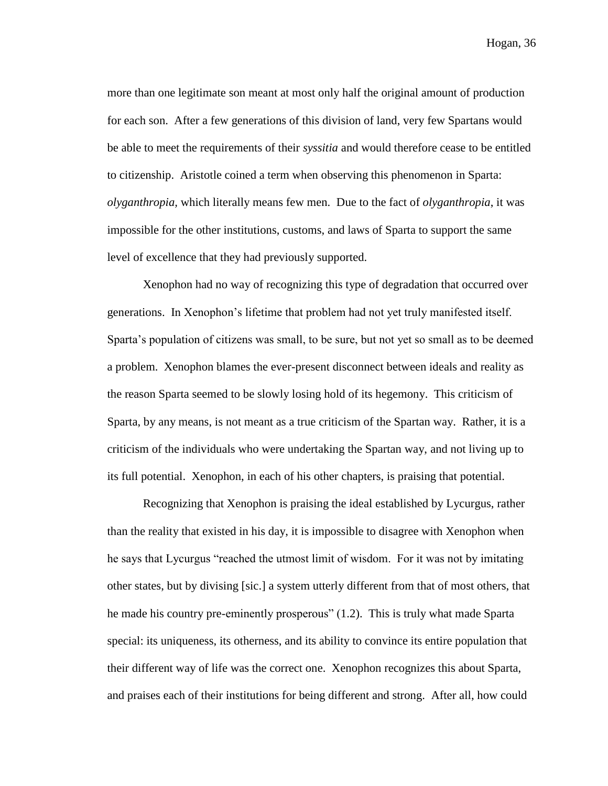more than one legitimate son meant at most only half the original amount of production for each son. After a few generations of this division of land, very few Spartans would be able to meet the requirements of their *syssitia* and would therefore cease to be entitled to citizenship. Aristotle coined a term when observing this phenomenon in Sparta: *olyganthropia,* which literally means few men.Due to the fact of *olyganthropia*, it was impossible for the other institutions, customs, and laws of Sparta to support the same level of excellence that they had previously supported.

Xenophon had no way of recognizing this type of degradation that occurred over generations. In Xenophon's lifetime that problem had not yet truly manifested itself. Sparta's population of citizens was small, to be sure, but not yet so small as to be deemed a problem. Xenophon blames the ever-present disconnect between ideals and reality as the reason Sparta seemed to be slowly losing hold of its hegemony. This criticism of Sparta, by any means, is not meant as a true criticism of the Spartan way. Rather, it is a criticism of the individuals who were undertaking the Spartan way, and not living up to its full potential. Xenophon, in each of his other chapters, is praising that potential.

Recognizing that Xenophon is praising the ideal established by Lycurgus, rather than the reality that existed in his day, it is impossible to disagree with Xenophon when he says that Lycurgus "reached the utmost limit of wisdom. For it was not by imitating other states, but by divising [sic.] a system utterly different from that of most others, that he made his country pre-eminently prosperous" (1.2). This is truly what made Sparta special: its uniqueness, its otherness, and its ability to convince its entire population that their different way of life was the correct one. Xenophon recognizes this about Sparta, and praises each of their institutions for being different and strong. After all, how could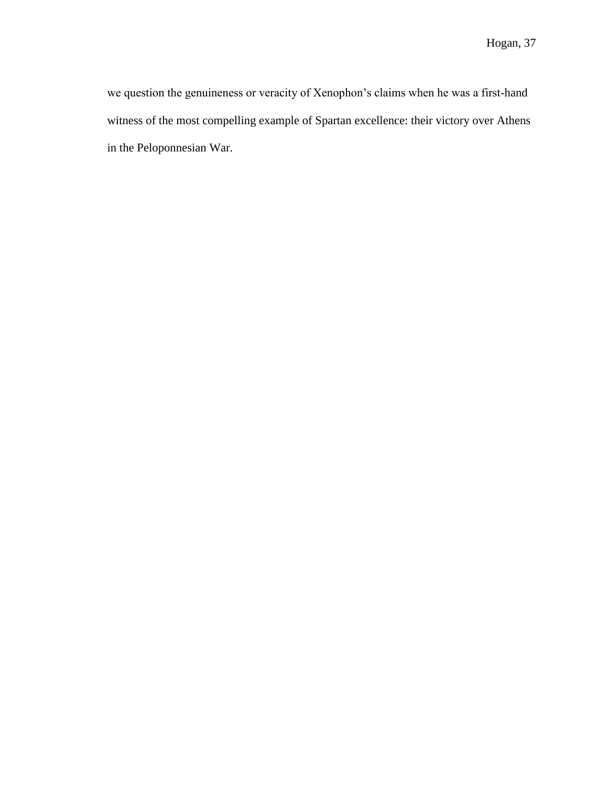we question the genuineness or veracity of Xenophon's claims when he was a first-hand witness of the most compelling example of Spartan excellence: their victory over Athens in the Peloponnesian War.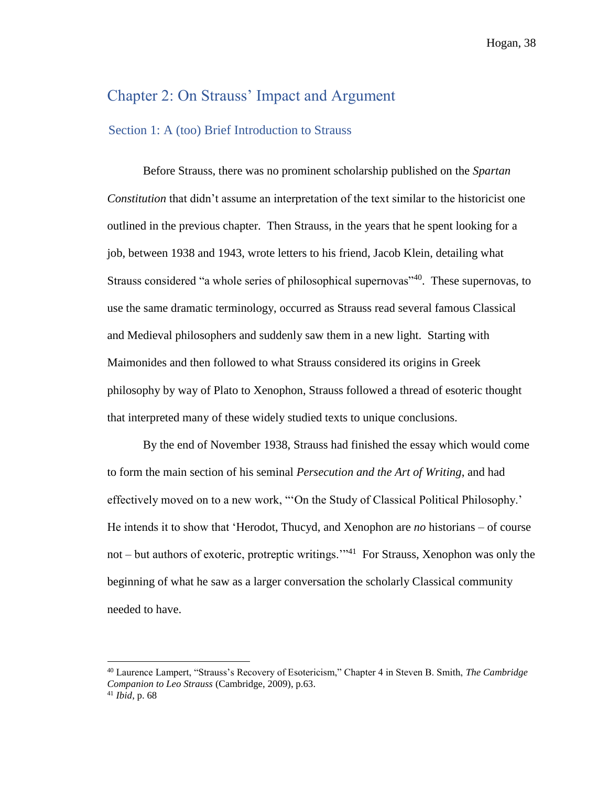# Chapter 2: On Strauss' Impact and Argument

## Section 1: A (too) Brief Introduction to Strauss

Before Strauss, there was no prominent scholarship published on the *Spartan Constitution* that didn't assume an interpretation of the text similar to the historicist one outlined in the previous chapter. Then Strauss, in the years that he spent looking for a job, between 1938 and 1943, wrote letters to his friend, Jacob Klein, detailing what Strauss considered "a whole series of philosophical supernovas"<sup>40</sup>. These supernovas, to use the same dramatic terminology, occurred as Strauss read several famous Classical and Medieval philosophers and suddenly saw them in a new light. Starting with Maimonides and then followed to what Strauss considered its origins in Greek philosophy by way of Plato to Xenophon, Strauss followed a thread of esoteric thought that interpreted many of these widely studied texts to unique conclusions.

By the end of November 1938, Strauss had finished the essay which would come to form the main section of his seminal *Persecution and the Art of Writing*, and had effectively moved on to a new work, "'On the Study of Classical Political Philosophy.' He intends it to show that 'Herodot, Thucyd, and Xenophon are *no* historians – of course not – but authors of exoteric, protreptic writings."<sup>41</sup> For Strauss, Xenophon was only the beginning of what he saw as a larger conversation the scholarly Classical community needed to have.

<sup>40</sup> Laurence Lampert, "Strauss's Recovery of Esotericism," Chapter 4 in Steven B. Smith, *The Cambridge Companion to Leo Strauss* (Cambridge, 2009), p.63.

<sup>41</sup> *Ibid*, p. 68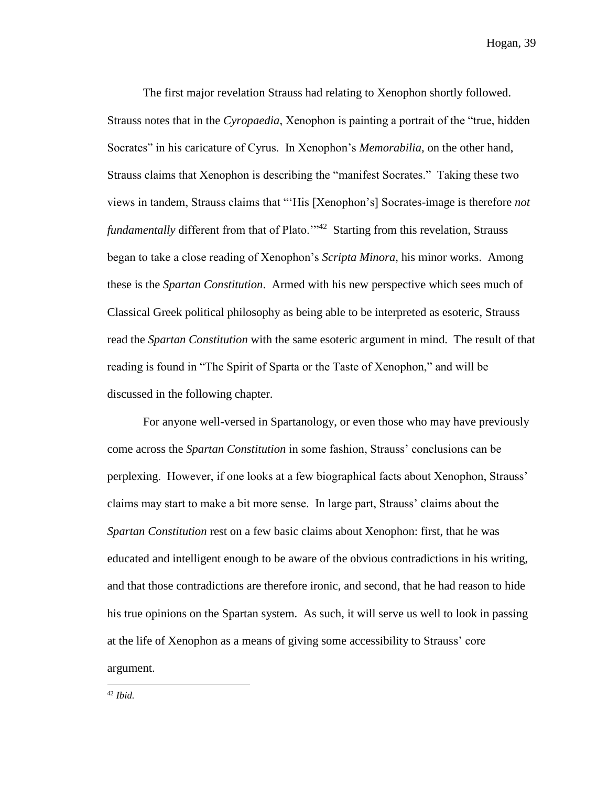The first major revelation Strauss had relating to Xenophon shortly followed. Strauss notes that in the *Cyropaedia*, Xenophon is painting a portrait of the "true, hidden Socrates" in his caricature of Cyrus. In Xenophon's *Memorabilia,* on the other hand, Strauss claims that Xenophon is describing the "manifest Socrates." Taking these two views in tandem, Strauss claims that "'His [Xenophon's] Socrates-image is therefore *not*  fundamentally different from that of Plato.<sup>'"42</sup> Starting from this revelation, Strauss began to take a close reading of Xenophon's *Scripta Minora*, his minor works. Among these is the *Spartan Constitution*. Armed with his new perspective which sees much of Classical Greek political philosophy as being able to be interpreted as esoteric, Strauss read the *Spartan Constitution* with the same esoteric argument in mind. The result of that reading is found in "The Spirit of Sparta or the Taste of Xenophon," and will be discussed in the following chapter.

For anyone well-versed in Spartanology, or even those who may have previously come across the *Spartan Constitution* in some fashion, Strauss' conclusions can be perplexing. However, if one looks at a few biographical facts about Xenophon, Strauss' claims may start to make a bit more sense. In large part, Strauss' claims about the *Spartan Constitution* rest on a few basic claims about Xenophon: first, that he was educated and intelligent enough to be aware of the obvious contradictions in his writing, and that those contradictions are therefore ironic, and second, that he had reason to hide his true opinions on the Spartan system. As such, it will serve us well to look in passing at the life of Xenophon as a means of giving some accessibility to Strauss' core argument.

<sup>42</sup> *Ibid.*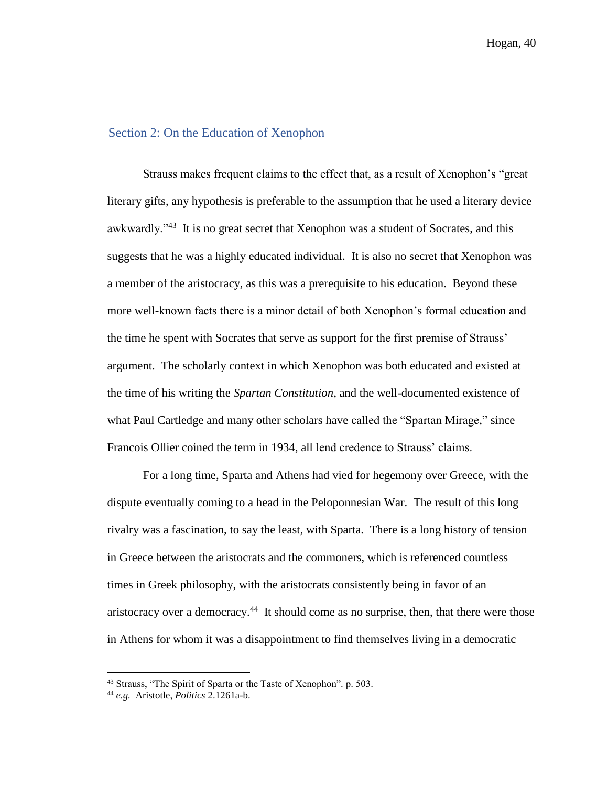## Section 2: On the Education of Xenophon

Strauss makes frequent claims to the effect that, as a result of Xenophon's "great literary gifts, any hypothesis is preferable to the assumption that he used a literary device awkwardly."<sup>43</sup> It is no great secret that Xenophon was a student of Socrates, and this suggests that he was a highly educated individual. It is also no secret that Xenophon was a member of the aristocracy, as this was a prerequisite to his education. Beyond these more well-known facts there is a minor detail of both Xenophon's formal education and the time he spent with Socrates that serve as support for the first premise of Strauss' argument. The scholarly context in which Xenophon was both educated and existed at the time of his writing the *Spartan Constitution*, and the well-documented existence of what Paul Cartledge and many other scholars have called the "Spartan Mirage," since Francois Ollier coined the term in 1934, all lend credence to Strauss' claims.

For a long time, Sparta and Athens had vied for hegemony over Greece, with the dispute eventually coming to a head in the Peloponnesian War. The result of this long rivalry was a fascination, to say the least, with Sparta. There is a long history of tension in Greece between the aristocrats and the commoners, which is referenced countless times in Greek philosophy, with the aristocrats consistently being in favor of an aristocracy over a democracy.<sup>44</sup> It should come as no surprise, then, that there were those in Athens for whom it was a disappointment to find themselves living in a democratic

<sup>&</sup>lt;sup>43</sup> Strauss, "The Spirit of Sparta or the Taste of Xenophon". p. 503.

<sup>44</sup> *e.g.* Aristotle, *Politics* 2.1261a-b.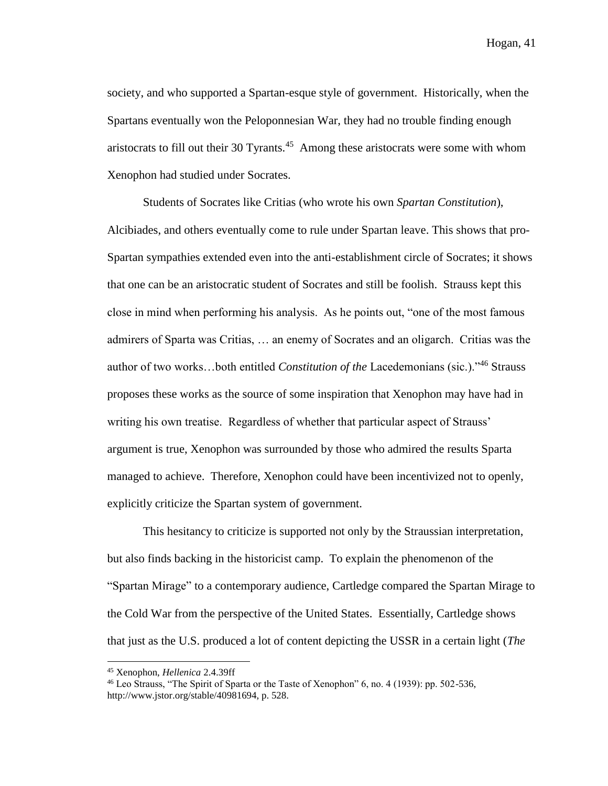society, and who supported a Spartan-esque style of government. Historically, when the Spartans eventually won the Peloponnesian War, they had no trouble finding enough aristocrats to fill out their 30 Tyrants. $45$  Among these aristocrats were some with whom Xenophon had studied under Socrates.

Students of Socrates like Critias (who wrote his own *Spartan Constitution*), Alcibiades, and others eventually come to rule under Spartan leave. This shows that pro-Spartan sympathies extended even into the anti-establishment circle of Socrates; it shows that one can be an aristocratic student of Socrates and still be foolish. Strauss kept this close in mind when performing his analysis. As he points out, "one of the most famous admirers of Sparta was Critias, … an enemy of Socrates and an oligarch. Critias was the author of two works…both entitled *Constitution of the* Lacedemonians (sic.)."<sup>46</sup> Strauss proposes these works as the source of some inspiration that Xenophon may have had in writing his own treatise. Regardless of whether that particular aspect of Strauss' argument is true, Xenophon was surrounded by those who admired the results Sparta managed to achieve. Therefore, Xenophon could have been incentivized not to openly, explicitly criticize the Spartan system of government.

This hesitancy to criticize is supported not only by the Straussian interpretation, but also finds backing in the historicist camp. To explain the phenomenon of the "Spartan Mirage" to a contemporary audience, Cartledge compared the Spartan Mirage to the Cold War from the perspective of the United States. Essentially, Cartledge shows that just as the U.S. produced a lot of content depicting the USSR in a certain light (*The* 

<sup>45</sup> Xenophon, *Hellenica* 2.4.39ff

<sup>46</sup> Leo Strauss, "The Spirit of Sparta or the Taste of Xenophon" 6, no. 4 (1939): pp. 502-536, http://www.jstor.org/stable/40981694, p. 528.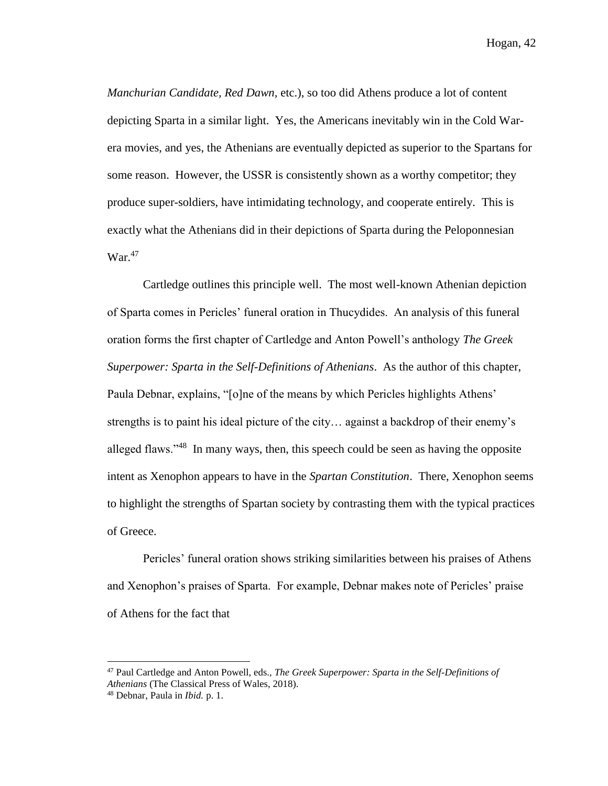*Manchurian Candidate, Red Dawn,* etc.), so too did Athens produce a lot of content depicting Sparta in a similar light. Yes, the Americans inevitably win in the Cold Warera movies, and yes, the Athenians are eventually depicted as superior to the Spartans for some reason. However, the USSR is consistently shown as a worthy competitor; they produce super-soldiers, have intimidating technology, and cooperate entirely. This is exactly what the Athenians did in their depictions of Sparta during the Peloponnesian War.<sup>47</sup>

Cartledge outlines this principle well. The most well-known Athenian depiction of Sparta comes in Pericles' funeral oration in Thucydides. An analysis of this funeral oration forms the first chapter of Cartledge and Anton Powell's anthology *The Greek Superpower: Sparta in the Self-Definitions of Athenians*. As the author of this chapter, Paula Debnar, explains, "[o]ne of the means by which Pericles highlights Athens' strengths is to paint his ideal picture of the city… against a backdrop of their enemy's alleged flaws."<sup>48</sup> In many ways, then, this speech could be seen as having the opposite intent as Xenophon appears to have in the *Spartan Constitution*. There, Xenophon seems to highlight the strengths of Spartan society by contrasting them with the typical practices of Greece.

Pericles' funeral oration shows striking similarities between his praises of Athens and Xenophon's praises of Sparta. For example, Debnar makes note of Pericles' praise of Athens for the fact that

<sup>47</sup> Paul Cartledge and Anton Powell, eds., *The Greek Superpower: Sparta in the Self-Definitions of Athenians* (The Classical Press of Wales, 2018).

<sup>48</sup> Debnar, Paula in *Ibid.* p. 1.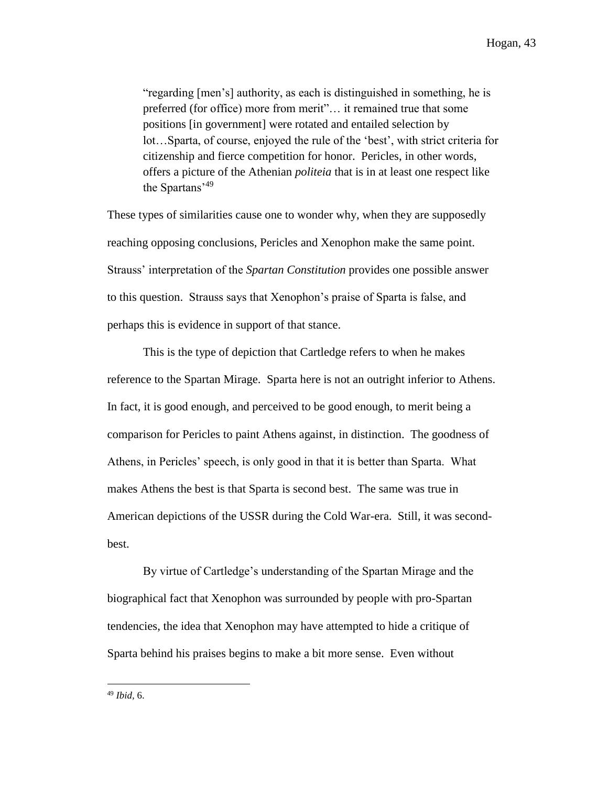"regarding [men's] authority, as each is distinguished in something, he is preferred (for office) more from merit"… it remained true that some positions [in government] were rotated and entailed selection by lot…Sparta, of course, enjoyed the rule of the 'best', with strict criteria for citizenship and fierce competition for honor. Pericles, in other words, offers a picture of the Athenian *politeia* that is in at least one respect like the Spartans'<sup>49</sup>

These types of similarities cause one to wonder why, when they are supposedly reaching opposing conclusions, Pericles and Xenophon make the same point. Strauss' interpretation of the *Spartan Constitution* provides one possible answer to this question. Strauss says that Xenophon's praise of Sparta is false, and perhaps this is evidence in support of that stance.

This is the type of depiction that Cartledge refers to when he makes reference to the Spartan Mirage. Sparta here is not an outright inferior to Athens. In fact, it is good enough, and perceived to be good enough, to merit being a comparison for Pericles to paint Athens against, in distinction. The goodness of Athens, in Pericles' speech, is only good in that it is better than Sparta. What makes Athens the best is that Sparta is second best. The same was true in American depictions of the USSR during the Cold War-era. Still, it was secondbest.

By virtue of Cartledge's understanding of the Spartan Mirage and the biographical fact that Xenophon was surrounded by people with pro-Spartan tendencies, the idea that Xenophon may have attempted to hide a critique of Sparta behind his praises begins to make a bit more sense. Even without

<sup>49</sup> *Ibid,* 6.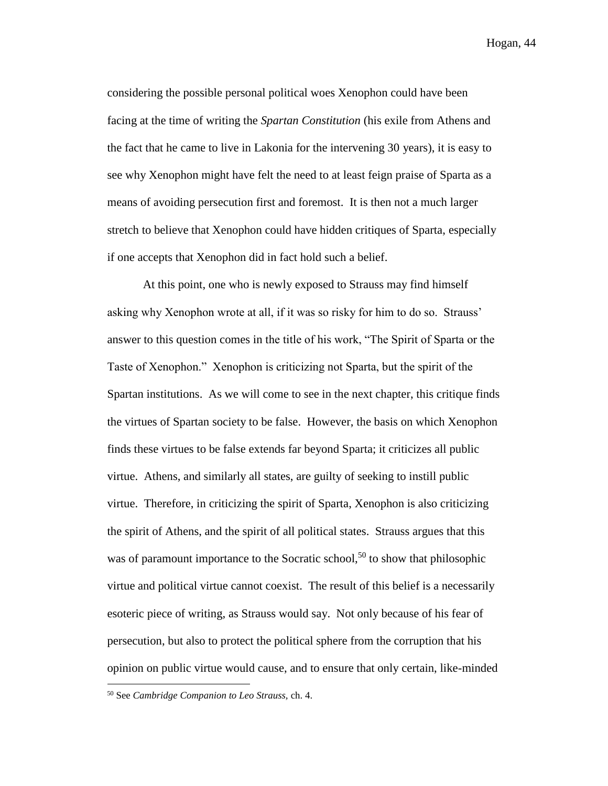considering the possible personal political woes Xenophon could have been facing at the time of writing the *Spartan Constitution* (his exile from Athens and the fact that he came to live in Lakonia for the intervening 30 years), it is easy to see why Xenophon might have felt the need to at least feign praise of Sparta as a means of avoiding persecution first and foremost. It is then not a much larger stretch to believe that Xenophon could have hidden critiques of Sparta, especially if one accepts that Xenophon did in fact hold such a belief.

At this point, one who is newly exposed to Strauss may find himself asking why Xenophon wrote at all, if it was so risky for him to do so. Strauss' answer to this question comes in the title of his work, "The Spirit of Sparta or the Taste of Xenophon." Xenophon is criticizing not Sparta, but the spirit of the Spartan institutions. As we will come to see in the next chapter, this critique finds the virtues of Spartan society to be false. However, the basis on which Xenophon finds these virtues to be false extends far beyond Sparta; it criticizes all public virtue. Athens, and similarly all states, are guilty of seeking to instill public virtue. Therefore, in criticizing the spirit of Sparta, Xenophon is also criticizing the spirit of Athens, and the spirit of all political states. Strauss argues that this was of paramount importance to the Socratic school,<sup>50</sup> to show that philosophic virtue and political virtue cannot coexist. The result of this belief is a necessarily esoteric piece of writing, as Strauss would say. Not only because of his fear of persecution, but also to protect the political sphere from the corruption that his opinion on public virtue would cause, and to ensure that only certain, like-minded

<sup>50</sup> See *Cambridge Companion to Leo Strauss,* ch. 4.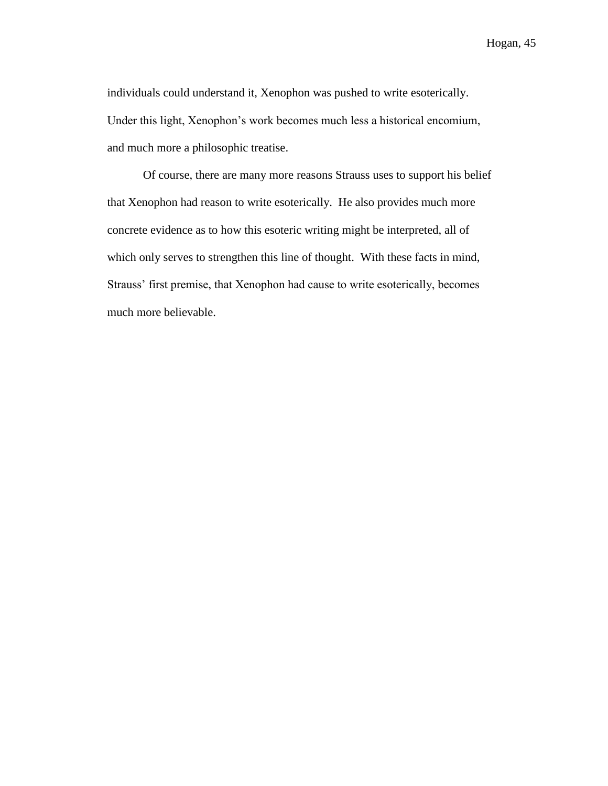individuals could understand it, Xenophon was pushed to write esoterically. Under this light, Xenophon's work becomes much less a historical encomium, and much more a philosophic treatise.

Of course, there are many more reasons Strauss uses to support his belief that Xenophon had reason to write esoterically. He also provides much more concrete evidence as to how this esoteric writing might be interpreted, all of which only serves to strengthen this line of thought. With these facts in mind, Strauss' first premise, that Xenophon had cause to write esoterically, becomes much more believable.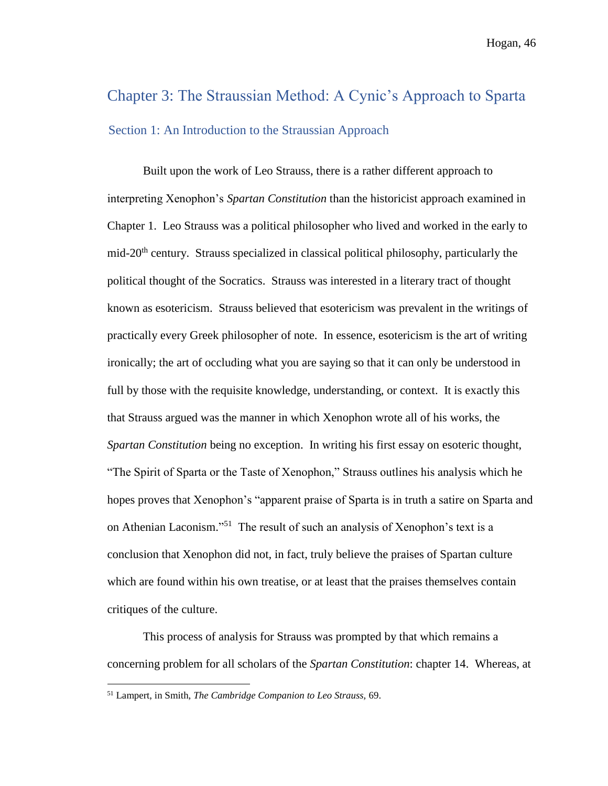# Chapter 3: The Straussian Method: A Cynic's Approach to Sparta Section 1: An Introduction to the Straussian Approach

Built upon the work of Leo Strauss, there is a rather different approach to interpreting Xenophon's *Spartan Constitution* than the historicist approach examined in Chapter 1. Leo Strauss was a political philosopher who lived and worked in the early to mid-20<sup>th</sup> century. Strauss specialized in classical political philosophy, particularly the political thought of the Socratics. Strauss was interested in a literary tract of thought known as esotericism. Strauss believed that esotericism was prevalent in the writings of practically every Greek philosopher of note. In essence, esotericism is the art of writing ironically; the art of occluding what you are saying so that it can only be understood in full by those with the requisite knowledge, understanding, or context. It is exactly this that Strauss argued was the manner in which Xenophon wrote all of his works, the *Spartan Constitution* being no exception. In writing his first essay on esoteric thought, "The Spirit of Sparta or the Taste of Xenophon," Strauss outlines his analysis which he hopes proves that Xenophon's "apparent praise of Sparta is in truth a satire on Sparta and on Athenian Laconism." <sup>51</sup> The result of such an analysis of Xenophon's text is a conclusion that Xenophon did not, in fact, truly believe the praises of Spartan culture which are found within his own treatise, or at least that the praises themselves contain critiques of the culture.

This process of analysis for Strauss was prompted by that which remains a concerning problem for all scholars of the *Spartan Constitution*: chapter 14. Whereas, at

<sup>51</sup> Lampert, in Smith, *The Cambridge Companion to Leo Strauss,* 69.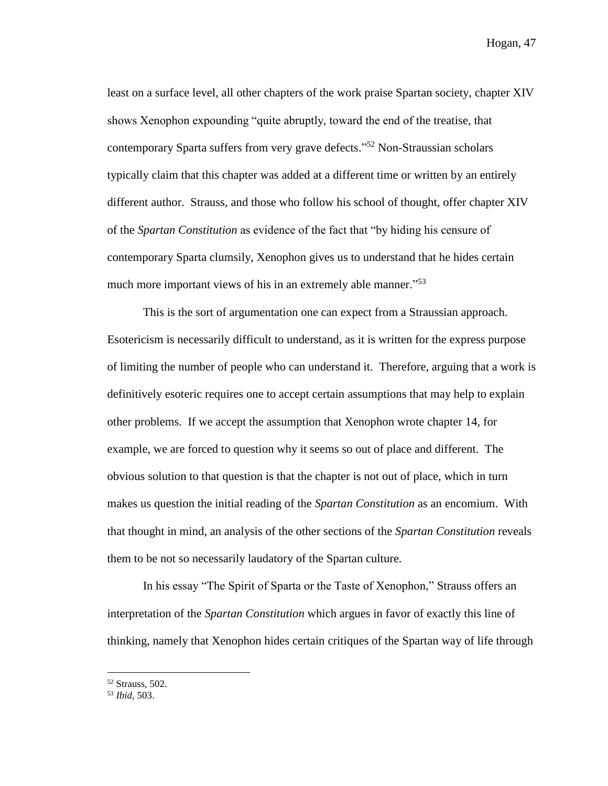least on a surface level, all other chapters of the work praise Spartan society, chapter XIV shows Xenophon expounding "quite abruptly, toward the end of the treatise, that contemporary Sparta suffers from very grave defects." <sup>52</sup> Non-Straussian scholars typically claim that this chapter was added at a different time or written by an entirely different author. Strauss, and those who follow his school of thought, offer chapter XIV of the *Spartan Constitution* as evidence of the fact that "by hiding his censure of contemporary Sparta clumsily, Xenophon gives us to understand that he hides certain much more important views of his in an extremely able manner."<sup>53</sup>

This is the sort of argumentation one can expect from a Straussian approach. Esotericism is necessarily difficult to understand, as it is written for the express purpose of limiting the number of people who can understand it. Therefore, arguing that a work is definitively esoteric requires one to accept certain assumptions that may help to explain other problems. If we accept the assumption that Xenophon wrote chapter 14, for example, we are forced to question why it seems so out of place and different. The obvious solution to that question is that the chapter is not out of place, which in turn makes us question the initial reading of the *Spartan Constitution* as an encomium. With that thought in mind, an analysis of the other sections of the *Spartan Constitution* reveals them to be not so necessarily laudatory of the Spartan culture.

In his essay "The Spirit of Sparta or the Taste of Xenophon," Strauss offers an interpretation of the *Spartan Constitution* which argues in favor of exactly this line of thinking, namely that Xenophon hides certain critiques of the Spartan way of life through

<sup>52</sup> Strauss, 502.

<sup>53</sup> *Ibid,* 503.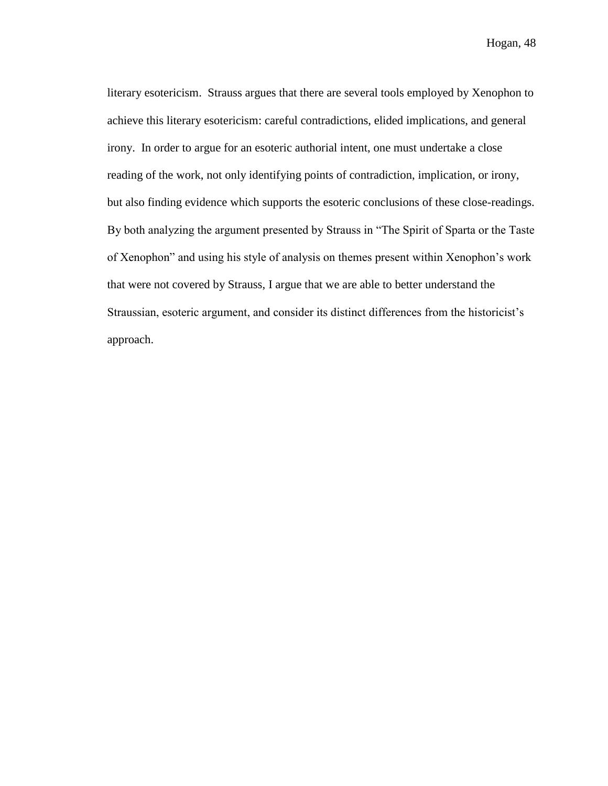literary esotericism. Strauss argues that there are several tools employed by Xenophon to achieve this literary esotericism: careful contradictions, elided implications, and general irony. In order to argue for an esoteric authorial intent, one must undertake a close reading of the work, not only identifying points of contradiction, implication, or irony, but also finding evidence which supports the esoteric conclusions of these close-readings. By both analyzing the argument presented by Strauss in "The Spirit of Sparta or the Taste of Xenophon" and using his style of analysis on themes present within Xenophon's work that were not covered by Strauss, I argue that we are able to better understand the Straussian, esoteric argument, and consider its distinct differences from the historicist's approach.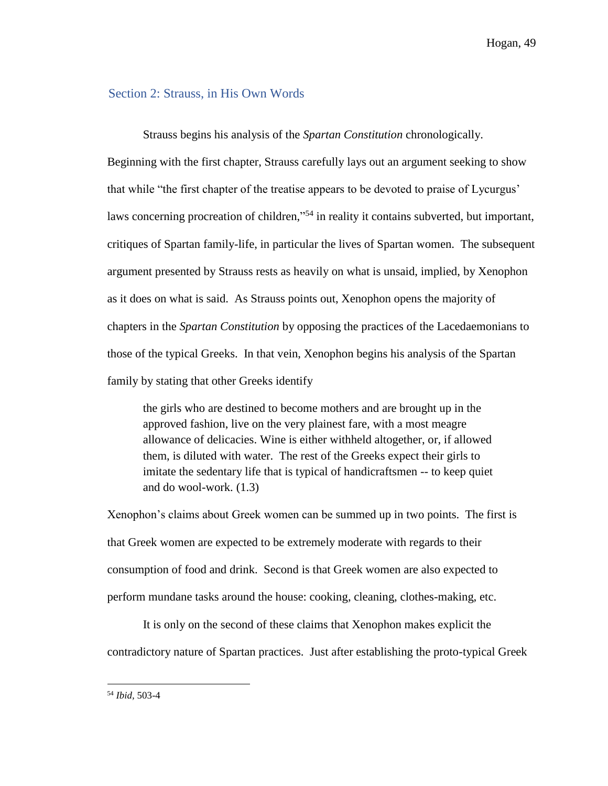#### Section 2: Strauss, in His Own Words

Strauss begins his analysis of the *Spartan Constitution* chronologically. Beginning with the first chapter, Strauss carefully lays out an argument seeking to show that while "the first chapter of the treatise appears to be devoted to praise of Lycurgus' laws concerning procreation of children,"<sup>54</sup> in reality it contains subverted, but important, critiques of Spartan family-life, in particular the lives of Spartan women. The subsequent argument presented by Strauss rests as heavily on what is unsaid, implied, by Xenophon as it does on what is said. As Strauss points out, Xenophon opens the majority of chapters in the *Spartan Constitution* by opposing the practices of the Lacedaemonians to those of the typical Greeks. In that vein, Xenophon begins his analysis of the Spartan family by stating that other Greeks identify

the girls who are destined to become mothers and are brought up in the approved fashion, live on the very plainest fare, with a most meagre allowance of delicacies. Wine is either withheld altogether, or, if allowed them, is diluted with water. The rest of the Greeks expect their girls to imitate the sedentary life that is typical of handicraftsmen -- to keep quiet and do wool-work. (1.3)

Xenophon's claims about Greek women can be summed up in two points. The first is that Greek women are expected to be extremely moderate with regards to their consumption of food and drink. Second is that Greek women are also expected to perform mundane tasks around the house: cooking, cleaning, clothes-making, etc.

It is only on the second of these claims that Xenophon makes explicit the contradictory nature of Spartan practices. Just after establishing the proto-typical Greek

<sup>54</sup> *Ibid,* 503-4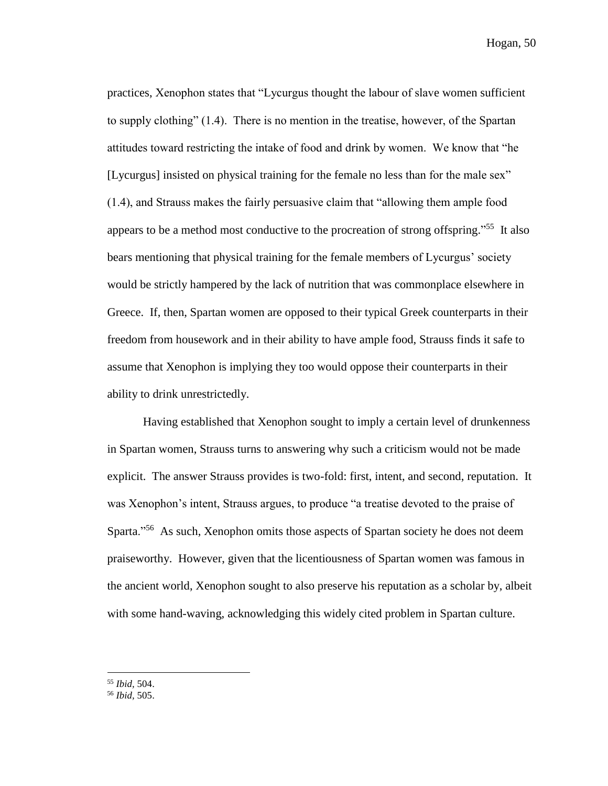practices, Xenophon states that "Lycurgus thought the labour of slave women sufficient to supply clothing" (1.4). There is no mention in the treatise, however, of the Spartan attitudes toward restricting the intake of food and drink by women. We know that "he [Lycurgus] insisted on physical training for the female no less than for the male sex" (1.4), and Strauss makes the fairly persuasive claim that "allowing them ample food appears to be a method most conductive to the procreation of strong offspring."<sup>55</sup> It also bears mentioning that physical training for the female members of Lycurgus' society would be strictly hampered by the lack of nutrition that was commonplace elsewhere in Greece. If, then, Spartan women are opposed to their typical Greek counterparts in their freedom from housework and in their ability to have ample food, Strauss finds it safe to assume that Xenophon is implying they too would oppose their counterparts in their ability to drink unrestrictedly.

Having established that Xenophon sought to imply a certain level of drunkenness in Spartan women, Strauss turns to answering why such a criticism would not be made explicit. The answer Strauss provides is two-fold: first, intent, and second, reputation. It was Xenophon's intent, Strauss argues, to produce "a treatise devoted to the praise of Sparta."<sup>56</sup> As such, Xenophon omits those aspects of Spartan society he does not deem praiseworthy. However, given that the licentiousness of Spartan women was famous in the ancient world, Xenophon sought to also preserve his reputation as a scholar by, albeit with some hand-waving, acknowledging this widely cited problem in Spartan culture.

<sup>55</sup> *Ibid,* 504.

<sup>56</sup> *Ibid,* 505.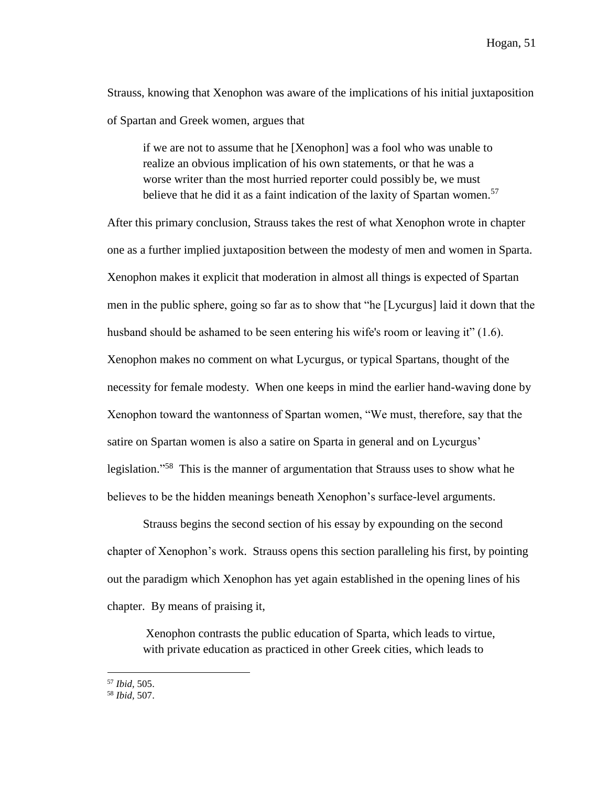Strauss, knowing that Xenophon was aware of the implications of his initial juxtaposition of Spartan and Greek women, argues that

if we are not to assume that he [Xenophon] was a fool who was unable to realize an obvious implication of his own statements, or that he was a worse writer than the most hurried reporter could possibly be, we must believe that he did it as a faint indication of the laxity of Spartan women.<sup>57</sup>

After this primary conclusion, Strauss takes the rest of what Xenophon wrote in chapter one as a further implied juxtaposition between the modesty of men and women in Sparta. Xenophon makes it explicit that moderation in almost all things is expected of Spartan men in the public sphere, going so far as to show that "he [Lycurgus] laid it down that the husband should be ashamed to be seen entering his wife's room or leaving it" (1.6). Xenophon makes no comment on what Lycurgus, or typical Spartans, thought of the necessity for female modesty. When one keeps in mind the earlier hand-waving done by Xenophon toward the wantonness of Spartan women, "We must, therefore, say that the satire on Spartan women is also a satire on Sparta in general and on Lycurgus' legislation."<sup>58</sup> This is the manner of argumentation that Strauss uses to show what he believes to be the hidden meanings beneath Xenophon's surface-level arguments.

Strauss begins the second section of his essay by expounding on the second chapter of Xenophon's work. Strauss opens this section paralleling his first, by pointing out the paradigm which Xenophon has yet again established in the opening lines of his chapter. By means of praising it,

Xenophon contrasts the public education of Sparta, which leads to virtue, with private education as practiced in other Greek cities, which leads to

<sup>57</sup> *Ibid,* 505.

<sup>58</sup> *Ibid,* 507.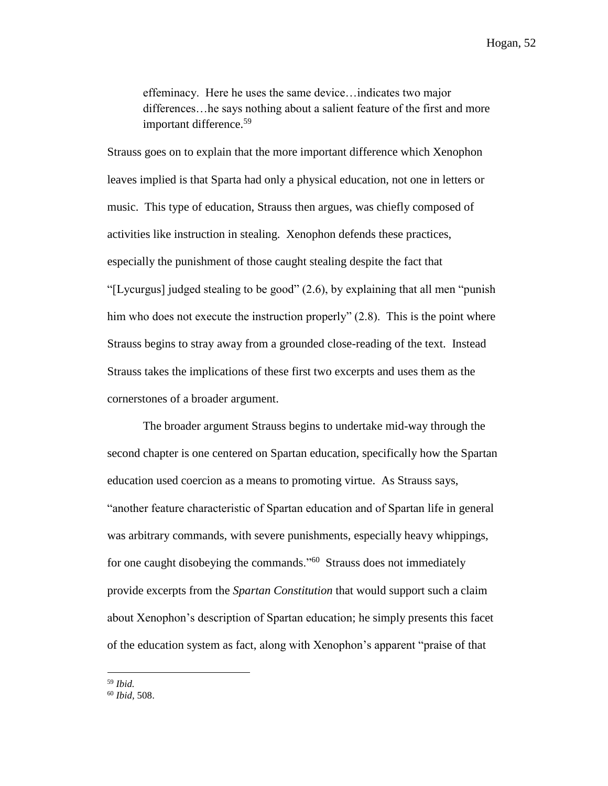effeminacy. Here he uses the same device…indicates two major differences…he says nothing about a salient feature of the first and more important difference.<sup>59</sup>

Strauss goes on to explain that the more important difference which Xenophon leaves implied is that Sparta had only a physical education, not one in letters or music. This type of education, Strauss then argues, was chiefly composed of activities like instruction in stealing. Xenophon defends these practices, especially the punishment of those caught stealing despite the fact that "[Lycurgus] judged stealing to be good" (2.6), by explaining that all men "punish him who does not execute the instruction properly" (2.8). This is the point where Strauss begins to stray away from a grounded close-reading of the text. Instead Strauss takes the implications of these first two excerpts and uses them as the cornerstones of a broader argument.

The broader argument Strauss begins to undertake mid-way through the second chapter is one centered on Spartan education, specifically how the Spartan education used coercion as a means to promoting virtue. As Strauss says, "another feature characteristic of Spartan education and of Spartan life in general was arbitrary commands, with severe punishments, especially heavy whippings, for one caught disobeying the commands.<sup>"60</sup> Strauss does not immediately provide excerpts from the *Spartan Constitution* that would support such a claim about Xenophon's description of Spartan education; he simply presents this facet of the education system as fact, along with Xenophon's apparent "praise of that

<sup>60</sup> *Ibid,* 508.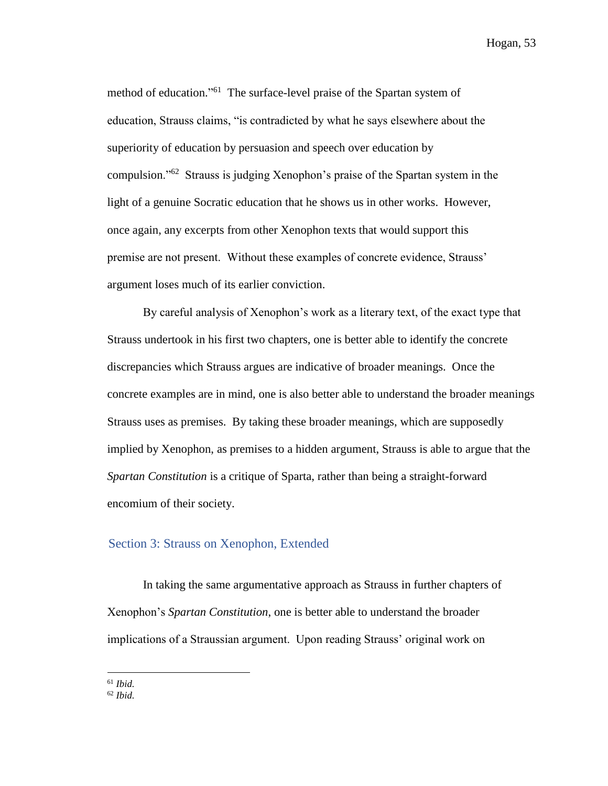method of education."<sup>61</sup> The surface-level praise of the Spartan system of education, Strauss claims, "is contradicted by what he says elsewhere about the superiority of education by persuasion and speech over education by compulsion."<sup>62</sup> Strauss is judging Xenophon's praise of the Spartan system in the light of a genuine Socratic education that he shows us in other works. However, once again, any excerpts from other Xenophon texts that would support this premise are not present. Without these examples of concrete evidence, Strauss' argument loses much of its earlier conviction.

By careful analysis of Xenophon's work as a literary text, of the exact type that Strauss undertook in his first two chapters, one is better able to identify the concrete discrepancies which Strauss argues are indicative of broader meanings. Once the concrete examples are in mind, one is also better able to understand the broader meanings Strauss uses as premises. By taking these broader meanings, which are supposedly implied by Xenophon, as premises to a hidden argument, Strauss is able to argue that the *Spartan Constitution* is a critique of Sparta, rather than being a straight-forward encomium of their society.

### Section 3: Strauss on Xenophon, Extended

In taking the same argumentative approach as Strauss in further chapters of Xenophon's *Spartan Constitution*, one is better able to understand the broader implications of a Straussian argument. Upon reading Strauss' original work on

<sup>61</sup> *Ibid.*

<sup>62</sup> *Ibid.*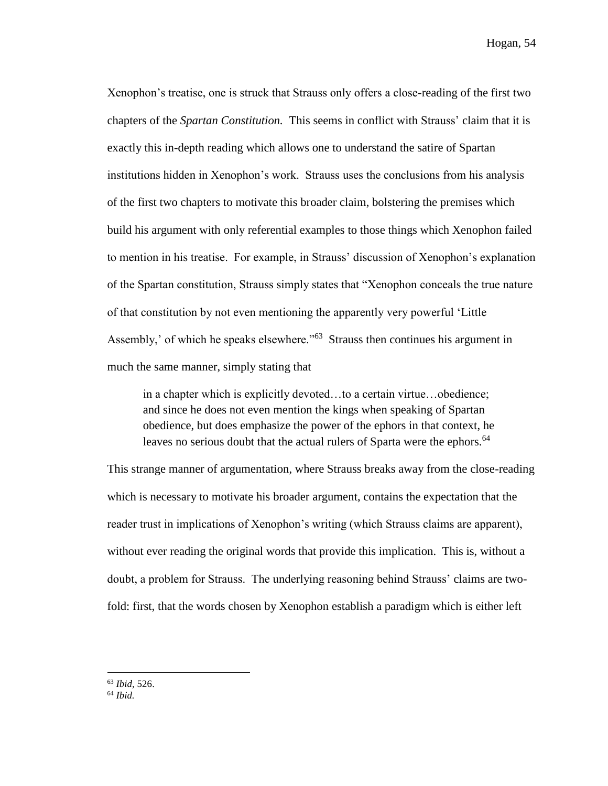Xenophon's treatise, one is struck that Strauss only offers a close-reading of the first two chapters of the *Spartan Constitution.* This seems in conflict with Strauss' claim that it is exactly this in-depth reading which allows one to understand the satire of Spartan institutions hidden in Xenophon's work. Strauss uses the conclusions from his analysis of the first two chapters to motivate this broader claim, bolstering the premises which build his argument with only referential examples to those things which Xenophon failed to mention in his treatise. For example, in Strauss' discussion of Xenophon's explanation of the Spartan constitution, Strauss simply states that "Xenophon conceals the true nature of that constitution by not even mentioning the apparently very powerful 'Little Assembly,' of which he speaks elsewhere."<sup>63</sup> Strauss then continues his argument in much the same manner, simply stating that

in a chapter which is explicitly devoted…to a certain virtue…obedience; and since he does not even mention the kings when speaking of Spartan obedience, but does emphasize the power of the ephors in that context, he leaves no serious doubt that the actual rulers of Sparta were the ephors.<sup>64</sup>

This strange manner of argumentation, where Strauss breaks away from the close-reading which is necessary to motivate his broader argument, contains the expectation that the reader trust in implications of Xenophon's writing (which Strauss claims are apparent), without ever reading the original words that provide this implication. This is, without a doubt, a problem for Strauss. The underlying reasoning behind Strauss' claims are twofold: first, that the words chosen by Xenophon establish a paradigm which is either left

<sup>63</sup> *Ibid,* 526.

<sup>64</sup> *Ibid.*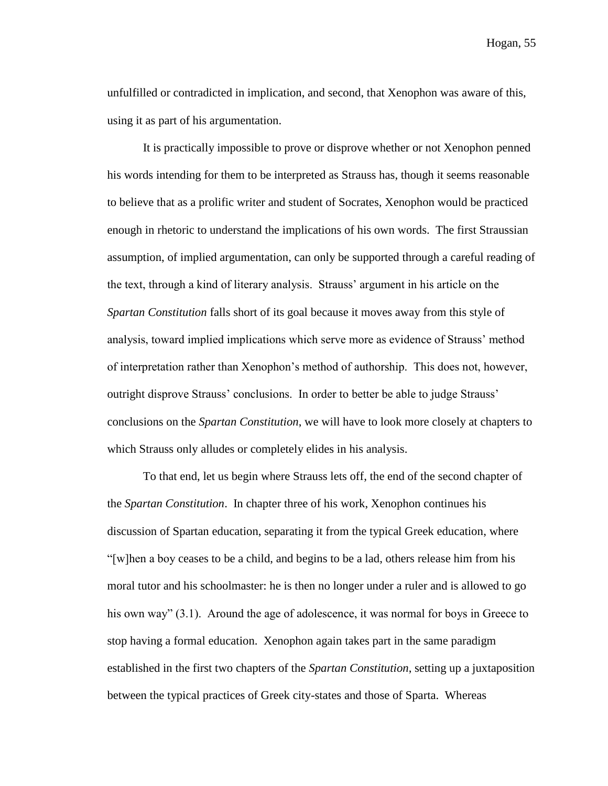unfulfilled or contradicted in implication, and second, that Xenophon was aware of this, using it as part of his argumentation.

It is practically impossible to prove or disprove whether or not Xenophon penned his words intending for them to be interpreted as Strauss has, though it seems reasonable to believe that as a prolific writer and student of Socrates, Xenophon would be practiced enough in rhetoric to understand the implications of his own words. The first Straussian assumption, of implied argumentation, can only be supported through a careful reading of the text, through a kind of literary analysis. Strauss' argument in his article on the *Spartan Constitution* falls short of its goal because it moves away from this style of analysis, toward implied implications which serve more as evidence of Strauss' method of interpretation rather than Xenophon's method of authorship. This does not, however, outright disprove Strauss' conclusions. In order to better be able to judge Strauss' conclusions on the *Spartan Constitution*, we will have to look more closely at chapters to which Strauss only alludes or completely elides in his analysis.

To that end, let us begin where Strauss lets off, the end of the second chapter of the *Spartan Constitution*. In chapter three of his work, Xenophon continues his discussion of Spartan education, separating it from the typical Greek education, where "[w]hen a boy ceases to be a child, and begins to be a lad, others release him from his moral tutor and his schoolmaster: he is then no longer under a ruler and is allowed to go his own way" (3.1). Around the age of adolescence, it was normal for boys in Greece to stop having a formal education. Xenophon again takes part in the same paradigm established in the first two chapters of the *Spartan Constitution*, setting up a juxtaposition between the typical practices of Greek city-states and those of Sparta. Whereas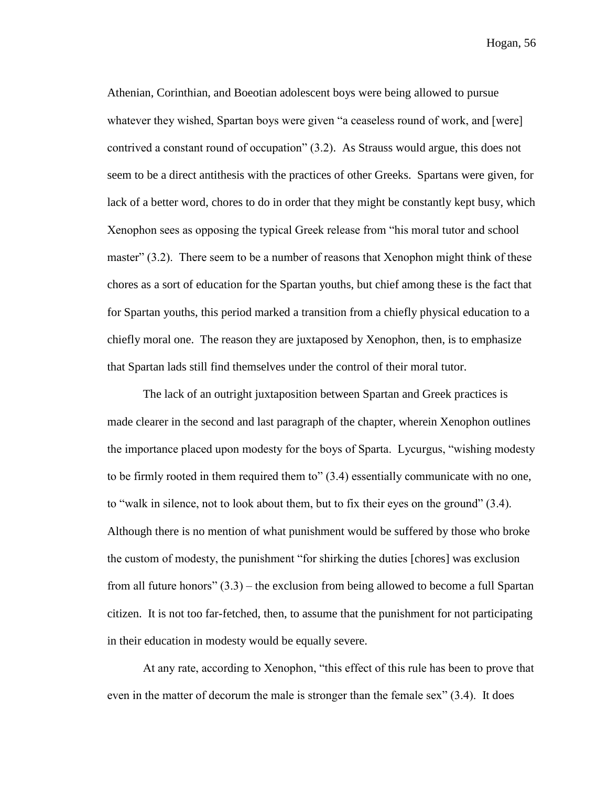Athenian, Corinthian, and Boeotian adolescent boys were being allowed to pursue whatever they wished, Spartan boys were given "a ceaseless round of work, and [were] contrived a constant round of occupation" (3.2). As Strauss would argue, this does not seem to be a direct antithesis with the practices of other Greeks. Spartans were given, for lack of a better word, chores to do in order that they might be constantly kept busy, which Xenophon sees as opposing the typical Greek release from "his moral tutor and school master" (3.2). There seem to be a number of reasons that Xenophon might think of these chores as a sort of education for the Spartan youths, but chief among these is the fact that for Spartan youths, this period marked a transition from a chiefly physical education to a chiefly moral one. The reason they are juxtaposed by Xenophon, then, is to emphasize that Spartan lads still find themselves under the control of their moral tutor.

The lack of an outright juxtaposition between Spartan and Greek practices is made clearer in the second and last paragraph of the chapter, wherein Xenophon outlines the importance placed upon modesty for the boys of Sparta. Lycurgus, "wishing modesty to be firmly rooted in them required them to" (3.4) essentially communicate with no one, to "walk in silence, not to look about them, but to fix their eyes on the ground" (3.4). Although there is no mention of what punishment would be suffered by those who broke the custom of modesty, the punishment "for shirking the duties [chores] was exclusion from all future honors" (3.3) – the exclusion from being allowed to become a full Spartan citizen. It is not too far-fetched, then, to assume that the punishment for not participating in their education in modesty would be equally severe.

At any rate, according to Xenophon, "this effect of this rule has been to prove that even in the matter of decorum the male is stronger than the female sex" (3.4). It does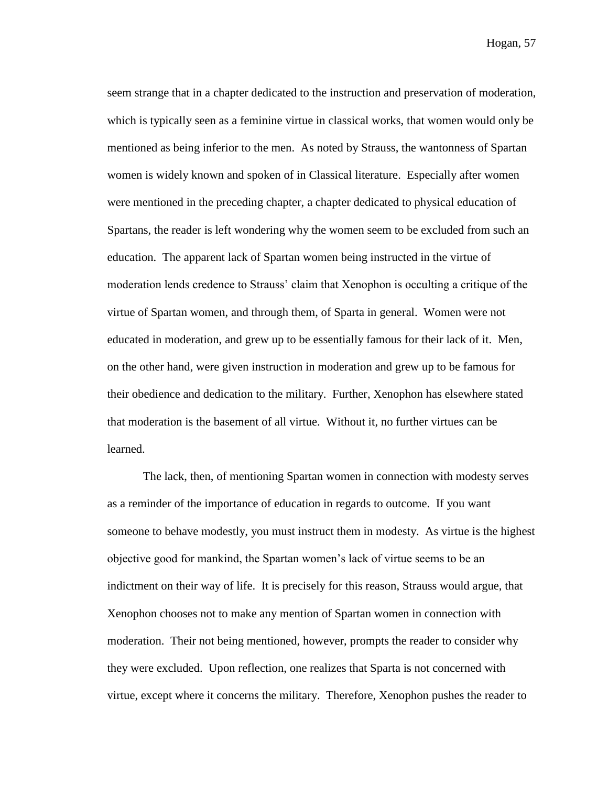seem strange that in a chapter dedicated to the instruction and preservation of moderation, which is typically seen as a feminine virtue in classical works, that women would only be mentioned as being inferior to the men. As noted by Strauss, the wantonness of Spartan women is widely known and spoken of in Classical literature. Especially after women were mentioned in the preceding chapter, a chapter dedicated to physical education of Spartans, the reader is left wondering why the women seem to be excluded from such an education. The apparent lack of Spartan women being instructed in the virtue of moderation lends credence to Strauss' claim that Xenophon is occulting a critique of the virtue of Spartan women, and through them, of Sparta in general. Women were not educated in moderation, and grew up to be essentially famous for their lack of it. Men, on the other hand, were given instruction in moderation and grew up to be famous for their obedience and dedication to the military. Further, Xenophon has elsewhere stated that moderation is the basement of all virtue. Without it, no further virtues can be learned.

The lack, then, of mentioning Spartan women in connection with modesty serves as a reminder of the importance of education in regards to outcome. If you want someone to behave modestly, you must instruct them in modesty. As virtue is the highest objective good for mankind, the Spartan women's lack of virtue seems to be an indictment on their way of life. It is precisely for this reason, Strauss would argue, that Xenophon chooses not to make any mention of Spartan women in connection with moderation. Their not being mentioned, however, prompts the reader to consider why they were excluded. Upon reflection, one realizes that Sparta is not concerned with virtue, except where it concerns the military. Therefore, Xenophon pushes the reader to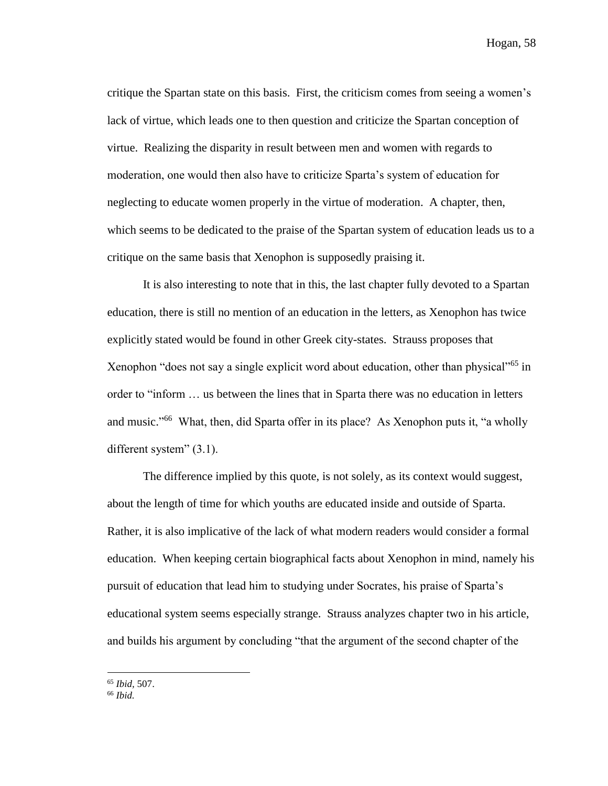critique the Spartan state on this basis. First, the criticism comes from seeing a women's lack of virtue, which leads one to then question and criticize the Spartan conception of virtue. Realizing the disparity in result between men and women with regards to moderation, one would then also have to criticize Sparta's system of education for neglecting to educate women properly in the virtue of moderation. A chapter, then, which seems to be dedicated to the praise of the Spartan system of education leads us to a critique on the same basis that Xenophon is supposedly praising it.

It is also interesting to note that in this, the last chapter fully devoted to a Spartan education, there is still no mention of an education in the letters, as Xenophon has twice explicitly stated would be found in other Greek city-states. Strauss proposes that Xenophon "does not say a single explicit word about education, other than physical"<sup>65</sup> in order to "inform … us between the lines that in Sparta there was no education in letters and music."<sup>66</sup> What, then, did Sparta offer in its place? As Xenophon puts it, "a wholly different system" (3.1).

The difference implied by this quote, is not solely, as its context would suggest, about the length of time for which youths are educated inside and outside of Sparta. Rather, it is also implicative of the lack of what modern readers would consider a formal education. When keeping certain biographical facts about Xenophon in mind, namely his pursuit of education that lead him to studying under Socrates, his praise of Sparta's educational system seems especially strange. Strauss analyzes chapter two in his article, and builds his argument by concluding "that the argument of the second chapter of the

<sup>65</sup> *Ibid,* 507.

<sup>66</sup> *Ibid.*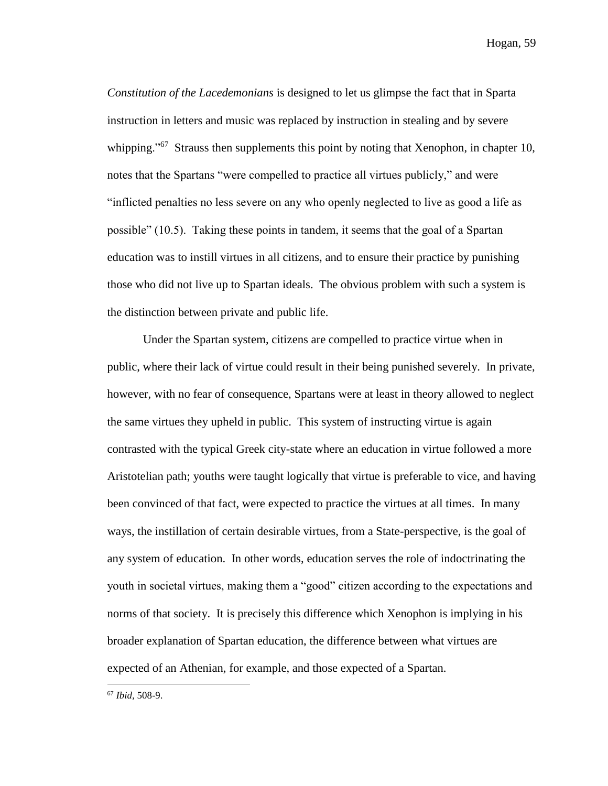*Constitution of the Lacedemonians* is designed to let us glimpse the fact that in Sparta instruction in letters and music was replaced by instruction in stealing and by severe whipping."<sup>67</sup> Strauss then supplements this point by noting that Xenophon, in chapter 10, notes that the Spartans "were compelled to practice all virtues publicly," and were "inflicted penalties no less severe on any who openly neglected to live as good a life as possible" (10.5). Taking these points in tandem, it seems that the goal of a Spartan education was to instill virtues in all citizens, and to ensure their practice by punishing those who did not live up to Spartan ideals. The obvious problem with such a system is the distinction between private and public life.

Under the Spartan system, citizens are compelled to practice virtue when in public, where their lack of virtue could result in their being punished severely. In private, however, with no fear of consequence, Spartans were at least in theory allowed to neglect the same virtues they upheld in public. This system of instructing virtue is again contrasted with the typical Greek city-state where an education in virtue followed a more Aristotelian path; youths were taught logically that virtue is preferable to vice, and having been convinced of that fact, were expected to practice the virtues at all times. In many ways, the instillation of certain desirable virtues, from a State-perspective, is the goal of any system of education. In other words, education serves the role of indoctrinating the youth in societal virtues, making them a "good" citizen according to the expectations and norms of that society. It is precisely this difference which Xenophon is implying in his broader explanation of Spartan education, the difference between what virtues are expected of an Athenian, for example, and those expected of a Spartan.

<sup>67</sup> *Ibid,* 508-9.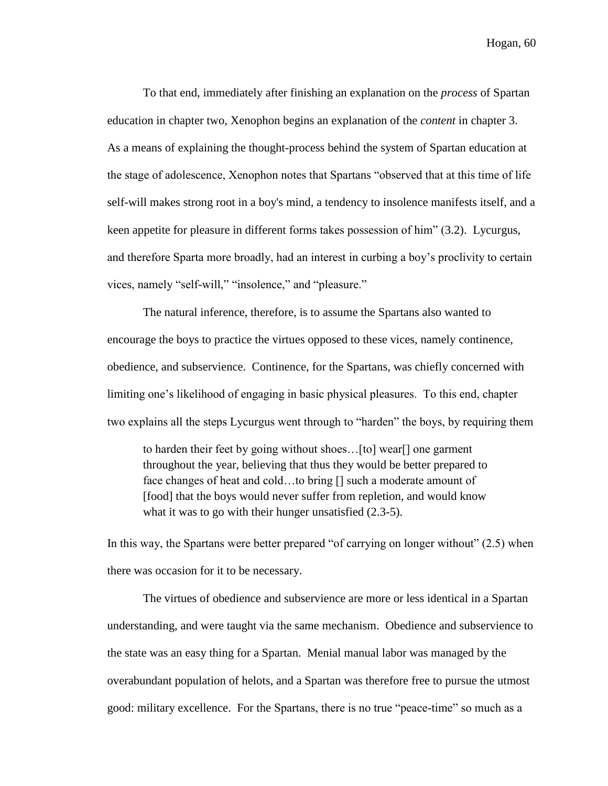To that end, immediately after finishing an explanation on the *process* of Spartan education in chapter two, Xenophon begins an explanation of the *content* in chapter 3. As a means of explaining the thought-process behind the system of Spartan education at the stage of adolescence, Xenophon notes that Spartans "observed that at this time of life self-will makes strong root in a boy's mind, a tendency to insolence manifests itself, and a keen appetite for pleasure in different forms takes possession of him" (3.2). Lycurgus, and therefore Sparta more broadly, had an interest in curbing a boy's proclivity to certain vices, namely "self-will," "insolence," and "pleasure."

The natural inference, therefore, is to assume the Spartans also wanted to encourage the boys to practice the virtues opposed to these vices, namely continence, obedience, and subservience. Continence, for the Spartans, was chiefly concerned with limiting one's likelihood of engaging in basic physical pleasures. To this end, chapter two explains all the steps Lycurgus went through to "harden" the boys, by requiring them

to harden their feet by going without shoes…[to] wear[] one garment throughout the year, believing that thus they would be better prepared to face changes of heat and cold…to bring [] such a moderate amount of [food] that the boys would never suffer from repletion, and would know what it was to go with their hunger unsatisfied  $(2.3-5)$ .

In this way, the Spartans were better prepared "of carrying on longer without" (2.5) when there was occasion for it to be necessary.

The virtues of obedience and subservience are more or less identical in a Spartan understanding, and were taught via the same mechanism. Obedience and subservience to the state was an easy thing for a Spartan. Menial manual labor was managed by the overabundant population of helots, and a Spartan was therefore free to pursue the utmost good: military excellence. For the Spartans, there is no true "peace-time" so much as a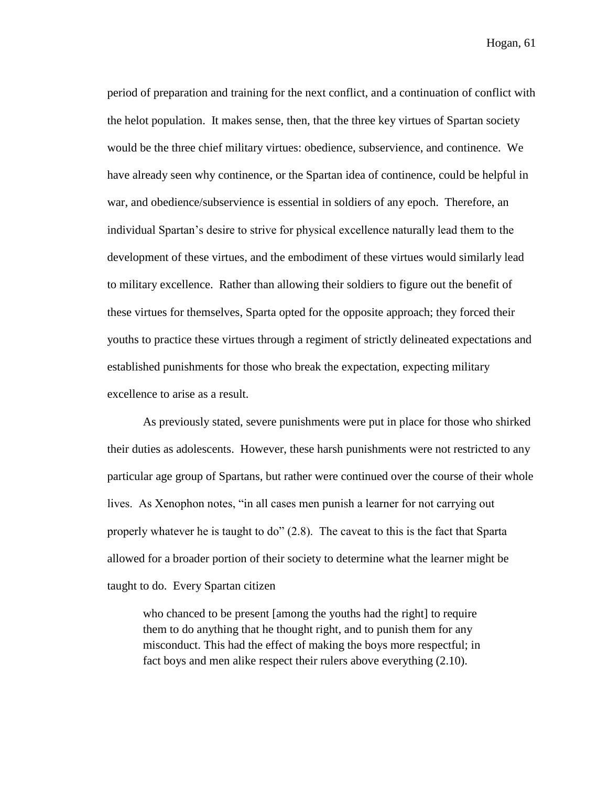period of preparation and training for the next conflict, and a continuation of conflict with the helot population. It makes sense, then, that the three key virtues of Spartan society would be the three chief military virtues: obedience, subservience, and continence. We have already seen why continence, or the Spartan idea of continence, could be helpful in war, and obedience/subservience is essential in soldiers of any epoch. Therefore, an individual Spartan's desire to strive for physical excellence naturally lead them to the development of these virtues, and the embodiment of these virtues would similarly lead to military excellence. Rather than allowing their soldiers to figure out the benefit of these virtues for themselves, Sparta opted for the opposite approach; they forced their youths to practice these virtues through a regiment of strictly delineated expectations and established punishments for those who break the expectation, expecting military excellence to arise as a result.

As previously stated, severe punishments were put in place for those who shirked their duties as adolescents. However, these harsh punishments were not restricted to any particular age group of Spartans, but rather were continued over the course of their whole lives. As Xenophon notes, "in all cases men punish a learner for not carrying out properly whatever he is taught to do" (2.8). The caveat to this is the fact that Sparta allowed for a broader portion of their society to determine what the learner might be taught to do. Every Spartan citizen

who chanced to be present [among the youths had the right] to require them to do anything that he thought right, and to punish them for any misconduct. This had the effect of making the boys more respectful; in fact boys and men alike respect their rulers above everything (2.10).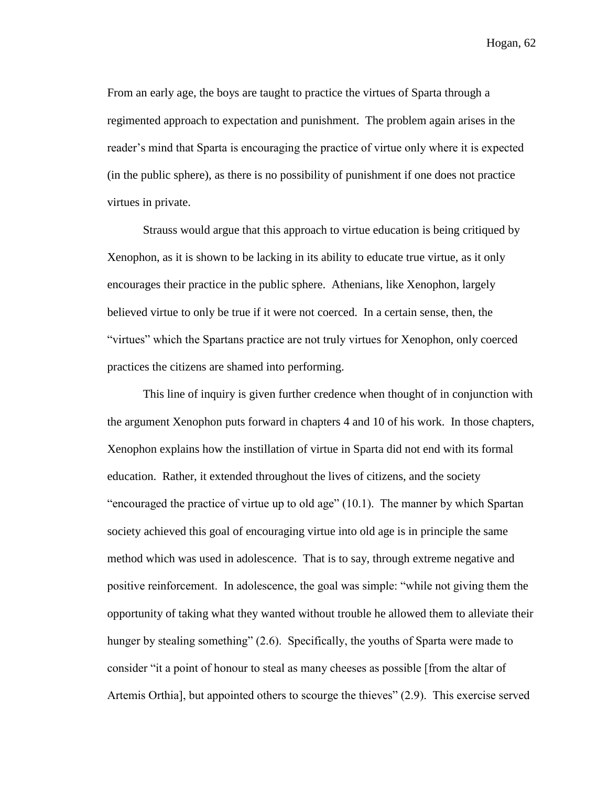From an early age, the boys are taught to practice the virtues of Sparta through a regimented approach to expectation and punishment. The problem again arises in the reader's mind that Sparta is encouraging the practice of virtue only where it is expected (in the public sphere), as there is no possibility of punishment if one does not practice virtues in private.

Strauss would argue that this approach to virtue education is being critiqued by Xenophon, as it is shown to be lacking in its ability to educate true virtue, as it only encourages their practice in the public sphere. Athenians, like Xenophon, largely believed virtue to only be true if it were not coerced. In a certain sense, then, the "virtues" which the Spartans practice are not truly virtues for Xenophon, only coerced practices the citizens are shamed into performing.

This line of inquiry is given further credence when thought of in conjunction with the argument Xenophon puts forward in chapters 4 and 10 of his work. In those chapters, Xenophon explains how the instillation of virtue in Sparta did not end with its formal education. Rather, it extended throughout the lives of citizens, and the society "encouraged the practice of virtue up to old age" (10.1). The manner by which Spartan society achieved this goal of encouraging virtue into old age is in principle the same method which was used in adolescence. That is to say, through extreme negative and positive reinforcement. In adolescence, the goal was simple: "while not giving them the opportunity of taking what they wanted without trouble he allowed them to alleviate their hunger by stealing something" (2.6). Specifically, the youths of Sparta were made to consider "it a point of honour to steal as many cheeses as possible [from the altar of Artemis Orthia], but appointed others to scourge the thieves" (2.9). This exercise served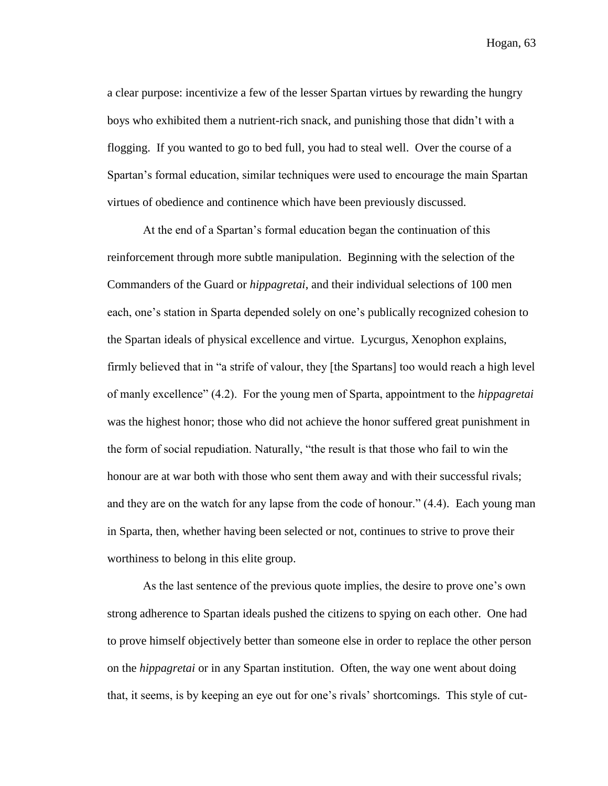a clear purpose: incentivize a few of the lesser Spartan virtues by rewarding the hungry boys who exhibited them a nutrient-rich snack, and punishing those that didn't with a flogging. If you wanted to go to bed full, you had to steal well. Over the course of a Spartan's formal education, similar techniques were used to encourage the main Spartan virtues of obedience and continence which have been previously discussed.

At the end of a Spartan's formal education began the continuation of this reinforcement through more subtle manipulation. Beginning with the selection of the Commanders of the Guard or *hippagretai*, and their individual selections of 100 men each, one's station in Sparta depended solely on one's publically recognized cohesion to the Spartan ideals of physical excellence and virtue. Lycurgus, Xenophon explains, firmly believed that in "a strife of valour, they [the Spartans] too would reach a high level of manly excellence" (4.2). For the young men of Sparta, appointment to the *hippagretai* was the highest honor; those who did not achieve the honor suffered great punishment in the form of social repudiation. Naturally, "the result is that those who fail to win the honour are at war both with those who sent them away and with their successful rivals; and they are on the watch for any lapse from the code of honour." (4.4). Each young man in Sparta, then, whether having been selected or not, continues to strive to prove their worthiness to belong in this elite group.

As the last sentence of the previous quote implies, the desire to prove one's own strong adherence to Spartan ideals pushed the citizens to spying on each other. One had to prove himself objectively better than someone else in order to replace the other person on the *hippagretai* or in any Spartan institution. Often, the way one went about doing that, it seems, is by keeping an eye out for one's rivals' shortcomings. This style of cut-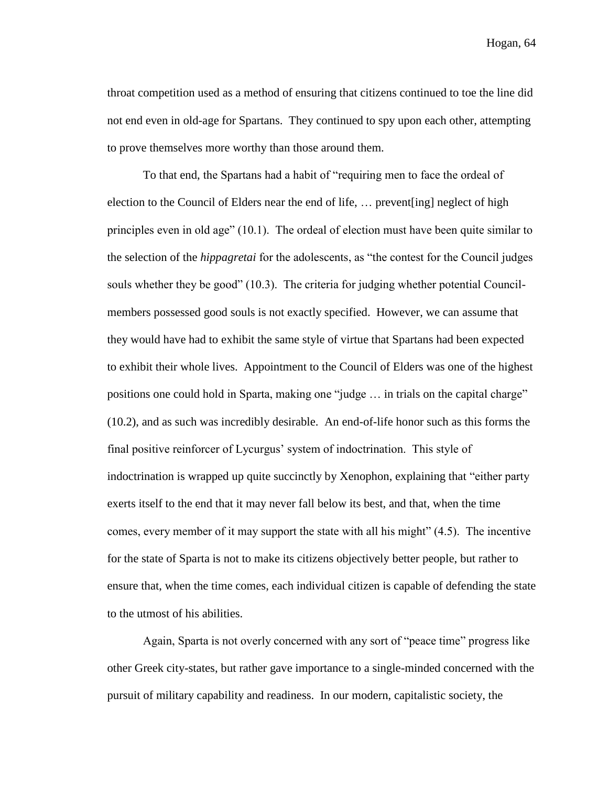throat competition used as a method of ensuring that citizens continued to toe the line did not end even in old-age for Spartans. They continued to spy upon each other, attempting to prove themselves more worthy than those around them.

To that end, the Spartans had a habit of "requiring men to face the ordeal of election to the Council of Elders near the end of life, … prevent[ing] neglect of high principles even in old age" (10.1). The ordeal of election must have been quite similar to the selection of the *hippagretai* for the adolescents, as "the contest for the Council judges souls whether they be good" (10.3). The criteria for judging whether potential Councilmembers possessed good souls is not exactly specified. However, we can assume that they would have had to exhibit the same style of virtue that Spartans had been expected to exhibit their whole lives. Appointment to the Council of Elders was one of the highest positions one could hold in Sparta, making one "judge … in trials on the capital charge" (10.2), and as such was incredibly desirable. An end-of-life honor such as this forms the final positive reinforcer of Lycurgus' system of indoctrination. This style of indoctrination is wrapped up quite succinctly by Xenophon, explaining that "either party exerts itself to the end that it may never fall below its best, and that, when the time comes, every member of it may support the state with all his might" (4.5). The incentive for the state of Sparta is not to make its citizens objectively better people, but rather to ensure that, when the time comes, each individual citizen is capable of defending the state to the utmost of his abilities.

Again, Sparta is not overly concerned with any sort of "peace time" progress like other Greek city-states, but rather gave importance to a single-minded concerned with the pursuit of military capability and readiness. In our modern, capitalistic society, the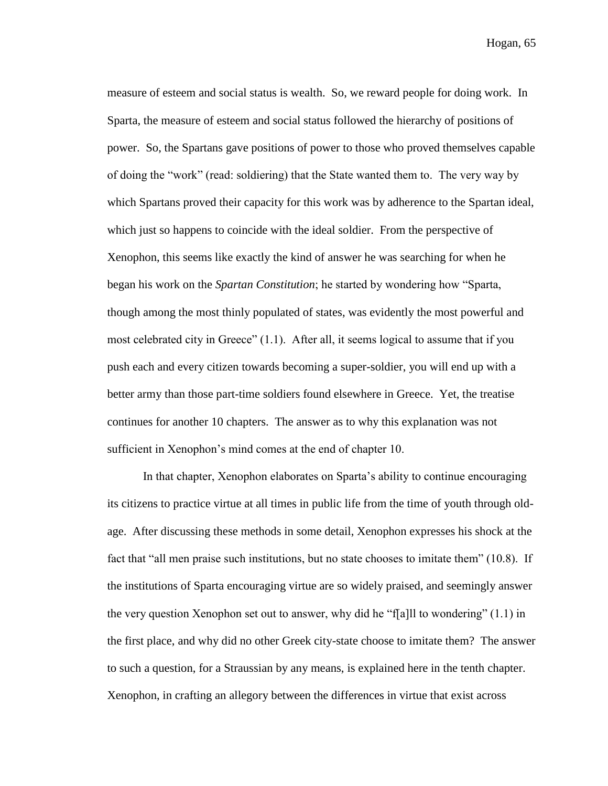measure of esteem and social status is wealth. So, we reward people for doing work. In Sparta, the measure of esteem and social status followed the hierarchy of positions of power. So, the Spartans gave positions of power to those who proved themselves capable of doing the "work" (read: soldiering) that the State wanted them to. The very way by which Spartans proved their capacity for this work was by adherence to the Spartan ideal, which just so happens to coincide with the ideal soldier. From the perspective of Xenophon, this seems like exactly the kind of answer he was searching for when he began his work on the *Spartan Constitution*; he started by wondering how "Sparta, though among the most thinly populated of states, was evidently the most powerful and most celebrated city in Greece" (1.1). After all, it seems logical to assume that if you push each and every citizen towards becoming a super-soldier, you will end up with a better army than those part-time soldiers found elsewhere in Greece. Yet, the treatise continues for another 10 chapters. The answer as to why this explanation was not sufficient in Xenophon's mind comes at the end of chapter 10.

In that chapter, Xenophon elaborates on Sparta's ability to continue encouraging its citizens to practice virtue at all times in public life from the time of youth through oldage. After discussing these methods in some detail, Xenophon expresses his shock at the fact that "all men praise such institutions, but no state chooses to imitate them" (10.8). If the institutions of Sparta encouraging virtue are so widely praised, and seemingly answer the very question Xenophon set out to answer, why did he "f[a]ll to wondering"  $(1.1)$  in the first place, and why did no other Greek city-state choose to imitate them? The answer to such a question, for a Straussian by any means, is explained here in the tenth chapter. Xenophon, in crafting an allegory between the differences in virtue that exist across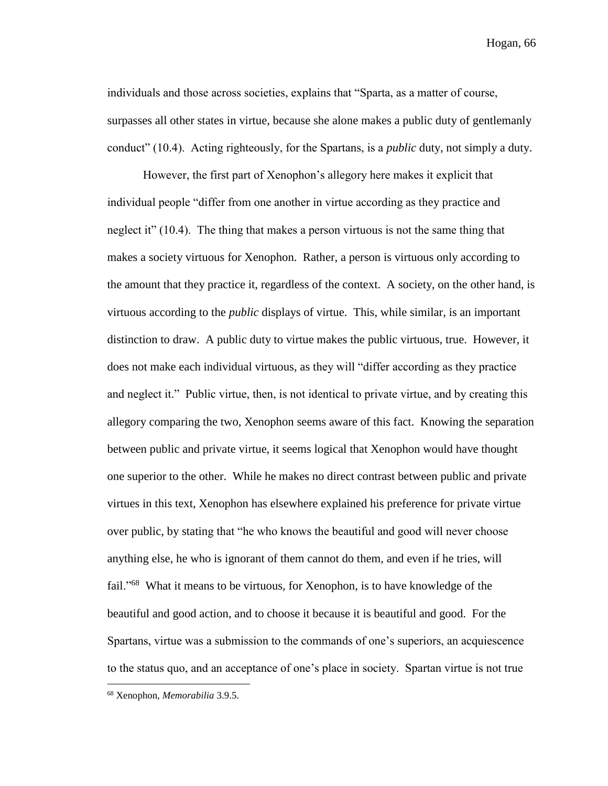individuals and those across societies, explains that "Sparta, as a matter of course, surpasses all other states in virtue, because she alone makes a public duty of gentlemanly conduct" (10.4). Acting righteously, for the Spartans, is a *public* duty, not simply a duty.

However, the first part of Xenophon's allegory here makes it explicit that individual people "differ from one another in virtue according as they practice and neglect it" (10.4). The thing that makes a person virtuous is not the same thing that makes a society virtuous for Xenophon. Rather, a person is virtuous only according to the amount that they practice it, regardless of the context. A society, on the other hand, is virtuous according to the *public* displays of virtue. This, while similar, is an important distinction to draw. A public duty to virtue makes the public virtuous, true. However, it does not make each individual virtuous, as they will "differ according as they practice and neglect it." Public virtue, then, is not identical to private virtue, and by creating this allegory comparing the two, Xenophon seems aware of this fact. Knowing the separation between public and private virtue, it seems logical that Xenophon would have thought one superior to the other. While he makes no direct contrast between public and private virtues in this text, Xenophon has elsewhere explained his preference for private virtue over public, by stating that "he who knows the beautiful and good will never choose anything else, he who is ignorant of them cannot do them, and even if he tries, will fail."<sup>68</sup> What it means to be virtuous, for Xenophon, is to have knowledge of the beautiful and good action, and to choose it because it is beautiful and good. For the Spartans, virtue was a submission to the commands of one's superiors, an acquiescence to the status quo, and an acceptance of one's place in society. Spartan virtue is not true  $\overline{a}$ 

<sup>68</sup> Xenophon, *Memorabilia* 3.9.5.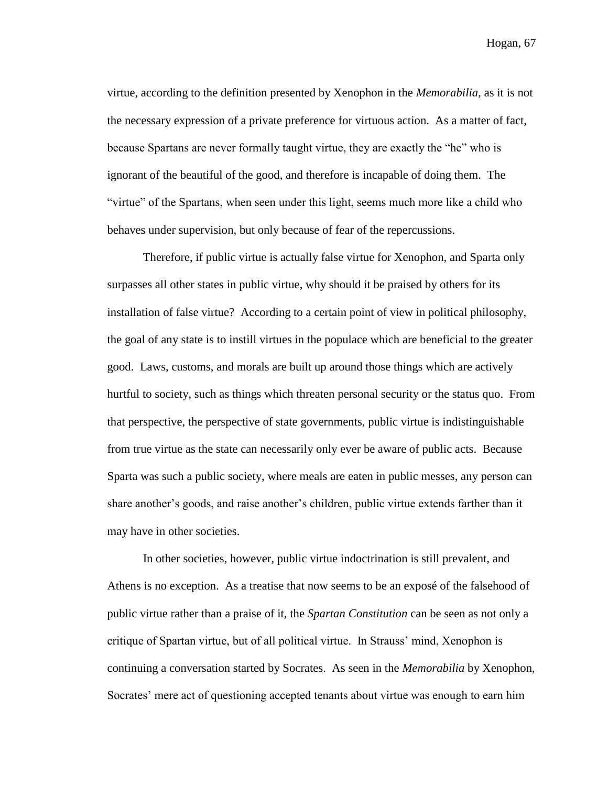virtue, according to the definition presented by Xenophon in the *Memorabilia*, as it is not the necessary expression of a private preference for virtuous action. As a matter of fact, because Spartans are never formally taught virtue, they are exactly the "he" who is ignorant of the beautiful of the good, and therefore is incapable of doing them. The "virtue" of the Spartans, when seen under this light, seems much more like a child who behaves under supervision, but only because of fear of the repercussions.

Therefore, if public virtue is actually false virtue for Xenophon, and Sparta only surpasses all other states in public virtue, why should it be praised by others for its installation of false virtue? According to a certain point of view in political philosophy, the goal of any state is to instill virtues in the populace which are beneficial to the greater good. Laws, customs, and morals are built up around those things which are actively hurtful to society, such as things which threaten personal security or the status quo. From that perspective, the perspective of state governments, public virtue is indistinguishable from true virtue as the state can necessarily only ever be aware of public acts. Because Sparta was such a public society, where meals are eaten in public messes, any person can share another's goods, and raise another's children, public virtue extends farther than it may have in other societies.

In other societies, however, public virtue indoctrination is still prevalent, and Athens is no exception. As a treatise that now seems to be an exposé of the falsehood of public virtue rather than a praise of it, the *Spartan Constitution* can be seen as not only a critique of Spartan virtue, but of all political virtue. In Strauss' mind, Xenophon is continuing a conversation started by Socrates. As seen in the *Memorabilia* by Xenophon, Socrates' mere act of questioning accepted tenants about virtue was enough to earn him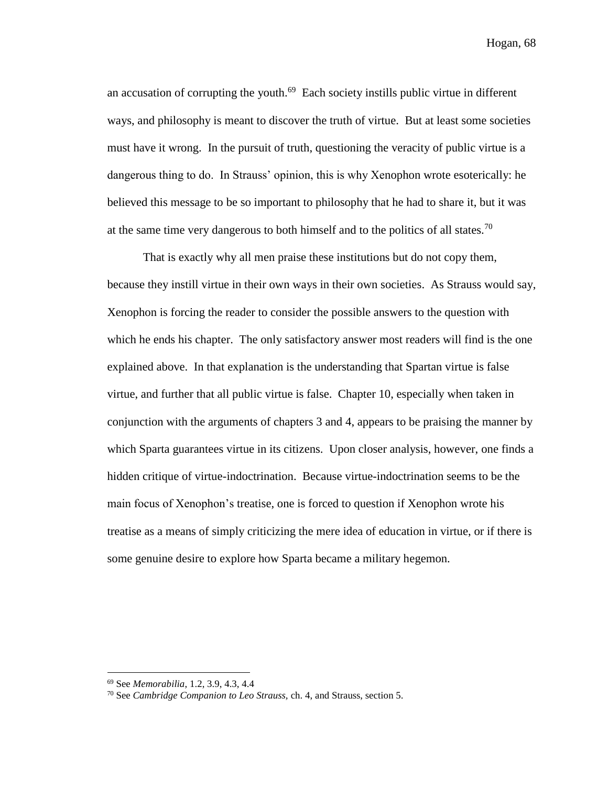an accusation of corrupting the youth.<sup>69</sup> Each society instills public virtue in different ways, and philosophy is meant to discover the truth of virtue. But at least some societies must have it wrong. In the pursuit of truth, questioning the veracity of public virtue is a dangerous thing to do. In Strauss' opinion, this is why Xenophon wrote esoterically: he believed this message to be so important to philosophy that he had to share it, but it was at the same time very dangerous to both himself and to the politics of all states.<sup>70</sup>

That is exactly why all men praise these institutions but do not copy them, because they instill virtue in their own ways in their own societies. As Strauss would say, Xenophon is forcing the reader to consider the possible answers to the question with which he ends his chapter. The only satisfactory answer most readers will find is the one explained above. In that explanation is the understanding that Spartan virtue is false virtue, and further that all public virtue is false. Chapter 10, especially when taken in conjunction with the arguments of chapters 3 and 4, appears to be praising the manner by which Sparta guarantees virtue in its citizens. Upon closer analysis, however, one finds a hidden critique of virtue-indoctrination. Because virtue-indoctrination seems to be the main focus of Xenophon's treatise, one is forced to question if Xenophon wrote his treatise as a means of simply criticizing the mere idea of education in virtue, or if there is some genuine desire to explore how Sparta became a military hegemon.

<sup>69</sup> See *Memorabilia*, 1.2, 3.9, 4.3, 4.4

<sup>70</sup> See *Cambridge Companion to Leo Strauss,* ch. 4, and Strauss, section 5.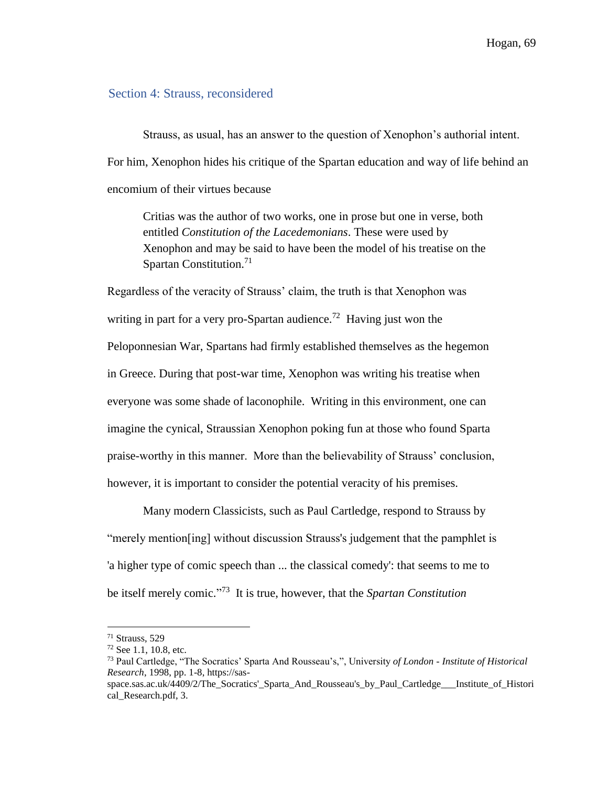## Section 4: Strauss, reconsidered

Strauss, as usual, has an answer to the question of Xenophon's authorial intent. For him, Xenophon hides his critique of the Spartan education and way of life behind an encomium of their virtues because

Critias was the author of two works, one in prose but one in verse, both entitled *Constitution of the Lacedemonians*. These were used by Xenophon and may be said to have been the model of his treatise on the Spartan Constitution.<sup>71</sup>

Regardless of the veracity of Strauss' claim, the truth is that Xenophon was writing in part for a very pro-Spartan audience.<sup>72</sup> Having just won the Peloponnesian War, Spartans had firmly established themselves as the hegemon in Greece. During that post-war time, Xenophon was writing his treatise when everyone was some shade of laconophile. Writing in this environment, one can imagine the cynical, Straussian Xenophon poking fun at those who found Sparta praise-worthy in this manner. More than the believability of Strauss' conclusion, however, it is important to consider the potential veracity of his premises.

Many modern Classicists, such as Paul Cartledge, respond to Strauss by "merely mention[ing] without discussion Strauss's judgement that the pamphlet is 'a higher type of comic speech than ... the classical comedy': that seems to me to be itself merely comic." 73 It is true, however, that the *Spartan Constitution* 

<sup>71</sup> Strauss, 529

<sup>72</sup> See 1.1, 10.8, etc.

<sup>73</sup> Paul Cartledge, "The Socratics' Sparta And Rousseau's,", University *of London - Institute of Historical Research*, 1998, pp. 1-8, https://sas-

space.sas.ac.uk/4409/2/The Socratics' Sparta And Rousseau's by Paul Cartledge Institute of Histori cal\_Research.pdf, 3.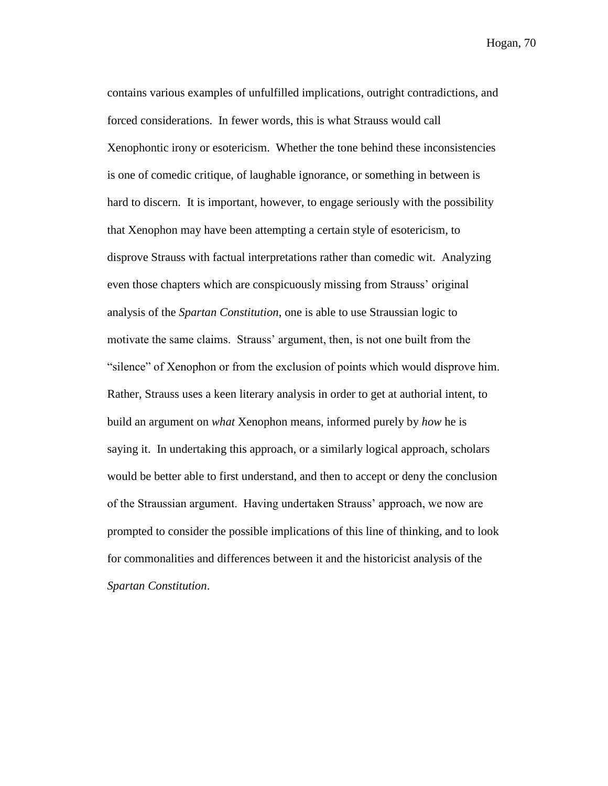contains various examples of unfulfilled implications, outright contradictions, and forced considerations. In fewer words, this is what Strauss would call Xenophontic irony or esotericism. Whether the tone behind these inconsistencies is one of comedic critique, of laughable ignorance, or something in between is hard to discern. It is important, however, to engage seriously with the possibility that Xenophon may have been attempting a certain style of esotericism, to disprove Strauss with factual interpretations rather than comedic wit. Analyzing even those chapters which are conspicuously missing from Strauss' original analysis of the *Spartan Constitution*, one is able to use Straussian logic to motivate the same claims. Strauss' argument, then, is not one built from the "silence" of Xenophon or from the exclusion of points which would disprove him. Rather, Strauss uses a keen literary analysis in order to get at authorial intent, to build an argument on *what* Xenophon means, informed purely by *how* he is saying it. In undertaking this approach, or a similarly logical approach, scholars would be better able to first understand, and then to accept or deny the conclusion of the Straussian argument. Having undertaken Strauss' approach, we now are prompted to consider the possible implications of this line of thinking, and to look for commonalities and differences between it and the historicist analysis of the *Spartan Constitution*.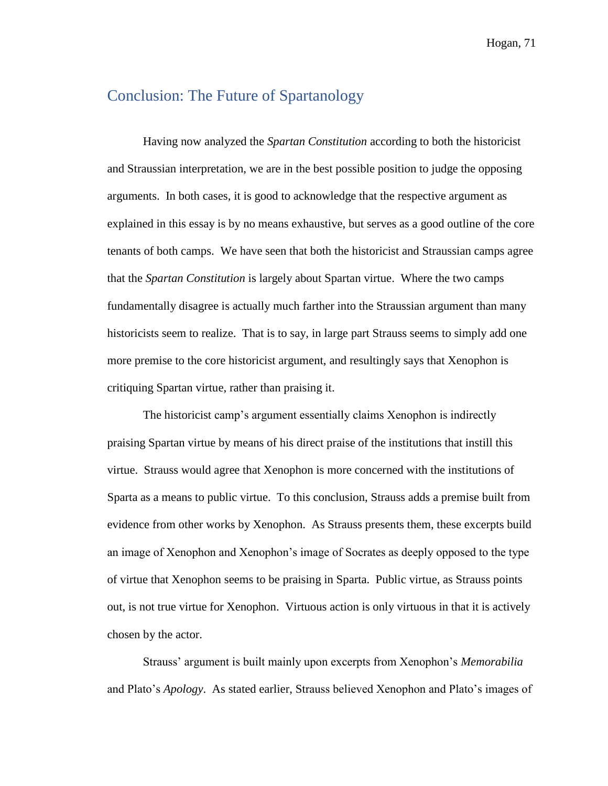## Conclusion: The Future of Spartanology

Having now analyzed the *Spartan Constitution* according to both the historicist and Straussian interpretation, we are in the best possible position to judge the opposing arguments. In both cases, it is good to acknowledge that the respective argument as explained in this essay is by no means exhaustive, but serves as a good outline of the core tenants of both camps. We have seen that both the historicist and Straussian camps agree that the *Spartan Constitution* is largely about Spartan virtue. Where the two camps fundamentally disagree is actually much farther into the Straussian argument than many historicists seem to realize. That is to say, in large part Strauss seems to simply add one more premise to the core historicist argument, and resultingly says that Xenophon is critiquing Spartan virtue, rather than praising it.

The historicist camp's argument essentially claims Xenophon is indirectly praising Spartan virtue by means of his direct praise of the institutions that instill this virtue. Strauss would agree that Xenophon is more concerned with the institutions of Sparta as a means to public virtue. To this conclusion, Strauss adds a premise built from evidence from other works by Xenophon. As Strauss presents them, these excerpts build an image of Xenophon and Xenophon's image of Socrates as deeply opposed to the type of virtue that Xenophon seems to be praising in Sparta. Public virtue, as Strauss points out, is not true virtue for Xenophon. Virtuous action is only virtuous in that it is actively chosen by the actor.

Strauss' argument is built mainly upon excerpts from Xenophon's *Memorabilia*  and Plato's *Apology*. As stated earlier, Strauss believed Xenophon and Plato's images of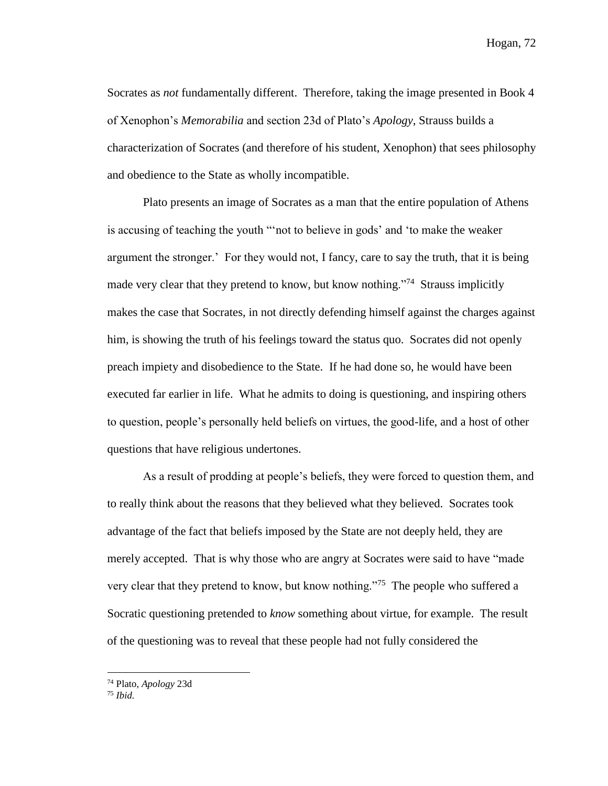Socrates as *not* fundamentally different. Therefore, taking the image presented in Book 4 of Xenophon's *Memorabilia* and section 23d of Plato's *Apology*, Strauss builds a characterization of Socrates (and therefore of his student, Xenophon) that sees philosophy and obedience to the State as wholly incompatible.

Plato presents an image of Socrates as a man that the entire population of Athens is accusing of teaching the youth "'not to believe in gods' and 'to make the weaker argument the stronger.' For they would not, I fancy, care to say the truth, that it is being made very clear that they pretend to know, but know nothing."<sup>74</sup> Strauss implicitly makes the case that Socrates, in not directly defending himself against the charges against him, is showing the truth of his feelings toward the status quo. Socrates did not openly preach impiety and disobedience to the State. If he had done so, he would have been executed far earlier in life. What he admits to doing is questioning, and inspiring others to question, people's personally held beliefs on virtues, the good-life, and a host of other questions that have religious undertones.

As a result of prodding at people's beliefs, they were forced to question them, and to really think about the reasons that they believed what they believed. Socrates took advantage of the fact that beliefs imposed by the State are not deeply held, they are merely accepted. That is why those who are angry at Socrates were said to have "made very clear that they pretend to know, but know nothing."<sup>75</sup> The people who suffered a Socratic questioning pretended to *know* something about virtue, for example. The result of the questioning was to reveal that these people had not fully considered the

<sup>74</sup> Plato, *Apology* 23d

<sup>75</sup> *Ibid.*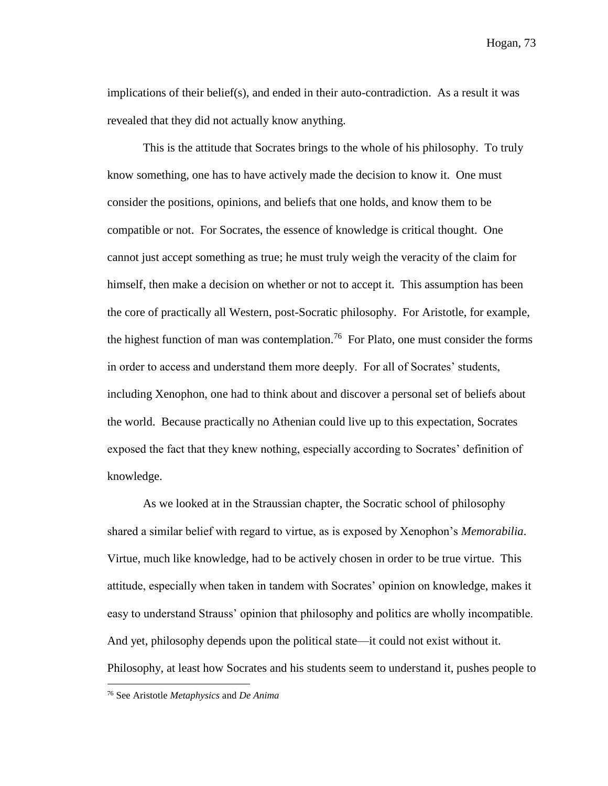implications of their belief(s), and ended in their auto-contradiction. As a result it was revealed that they did not actually know anything.

This is the attitude that Socrates brings to the whole of his philosophy. To truly know something, one has to have actively made the decision to know it. One must consider the positions, opinions, and beliefs that one holds, and know them to be compatible or not. For Socrates, the essence of knowledge is critical thought. One cannot just accept something as true; he must truly weigh the veracity of the claim for himself, then make a decision on whether or not to accept it. This assumption has been the core of practically all Western, post-Socratic philosophy. For Aristotle, for example, the highest function of man was contemplation.<sup>76</sup> For Plato, one must consider the forms in order to access and understand them more deeply. For all of Socrates' students, including Xenophon, one had to think about and discover a personal set of beliefs about the world. Because practically no Athenian could live up to this expectation, Socrates exposed the fact that they knew nothing, especially according to Socrates' definition of knowledge.

As we looked at in the Straussian chapter, the Socratic school of philosophy shared a similar belief with regard to virtue, as is exposed by Xenophon's *Memorabilia*. Virtue, much like knowledge, had to be actively chosen in order to be true virtue. This attitude, especially when taken in tandem with Socrates' opinion on knowledge, makes it easy to understand Strauss' opinion that philosophy and politics are wholly incompatible. And yet, philosophy depends upon the political state—it could not exist without it. Philosophy, at least how Socrates and his students seem to understand it, pushes people to

<sup>76</sup> See Aristotle *Metaphysics* and *De Anima*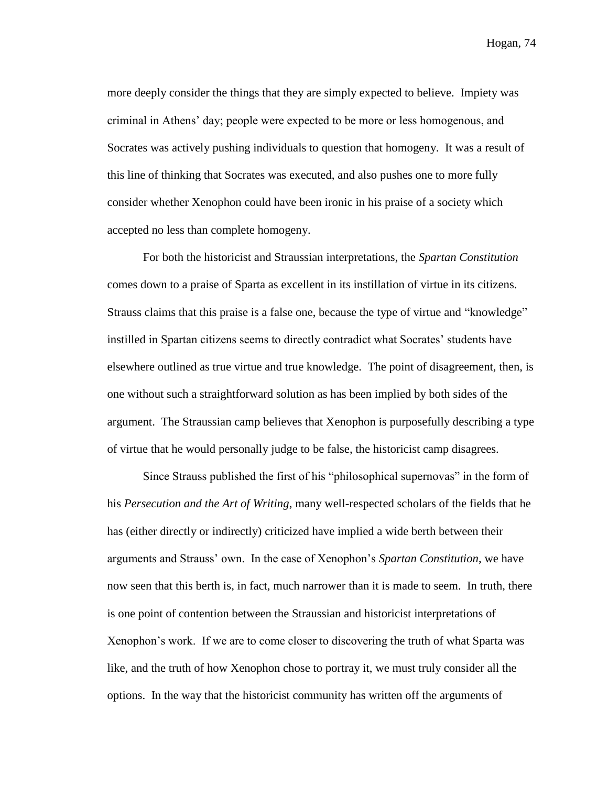more deeply consider the things that they are simply expected to believe. Impiety was criminal in Athens' day; people were expected to be more or less homogenous, and Socrates was actively pushing individuals to question that homogeny. It was a result of this line of thinking that Socrates was executed, and also pushes one to more fully consider whether Xenophon could have been ironic in his praise of a society which accepted no less than complete homogeny.

For both the historicist and Straussian interpretations, the *Spartan Constitution*  comes down to a praise of Sparta as excellent in its instillation of virtue in its citizens. Strauss claims that this praise is a false one, because the type of virtue and "knowledge" instilled in Spartan citizens seems to directly contradict what Socrates' students have elsewhere outlined as true virtue and true knowledge. The point of disagreement, then, is one without such a straightforward solution as has been implied by both sides of the argument. The Straussian camp believes that Xenophon is purposefully describing a type of virtue that he would personally judge to be false, the historicist camp disagrees.

Since Strauss published the first of his "philosophical supernovas" in the form of his *Persecution and the Art of Writing*, many well-respected scholars of the fields that he has (either directly or indirectly) criticized have implied a wide berth between their arguments and Strauss' own. In the case of Xenophon's *Spartan Constitution*, we have now seen that this berth is, in fact, much narrower than it is made to seem. In truth, there is one point of contention between the Straussian and historicist interpretations of Xenophon's work. If we are to come closer to discovering the truth of what Sparta was like, and the truth of how Xenophon chose to portray it, we must truly consider all the options. In the way that the historicist community has written off the arguments of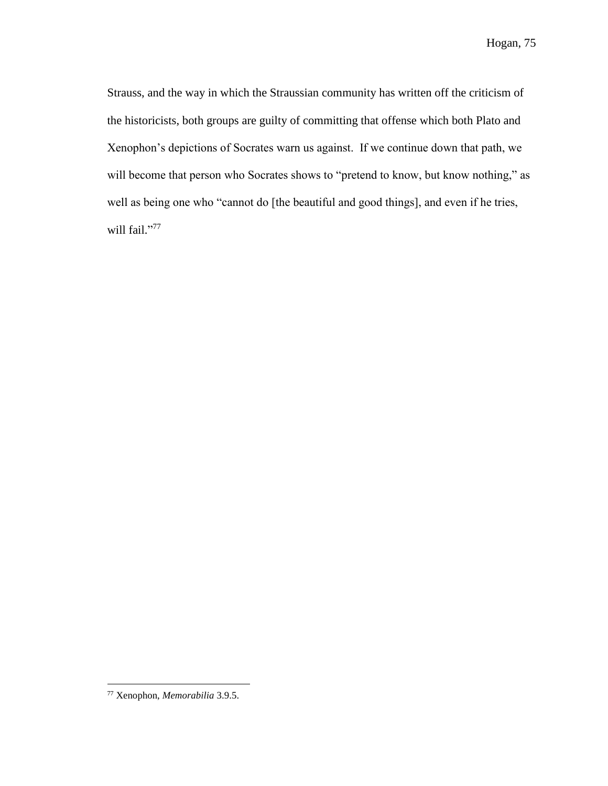Strauss, and the way in which the Straussian community has written off the criticism of the historicists, both groups are guilty of committing that offense which both Plato and Xenophon's depictions of Socrates warn us against. If we continue down that path, we will become that person who Socrates shows to "pretend to know, but know nothing," as well as being one who "cannot do [the beautiful and good things], and even if he tries, will fail."77

<sup>77</sup> Xenophon, *Memorabilia* 3.9.5.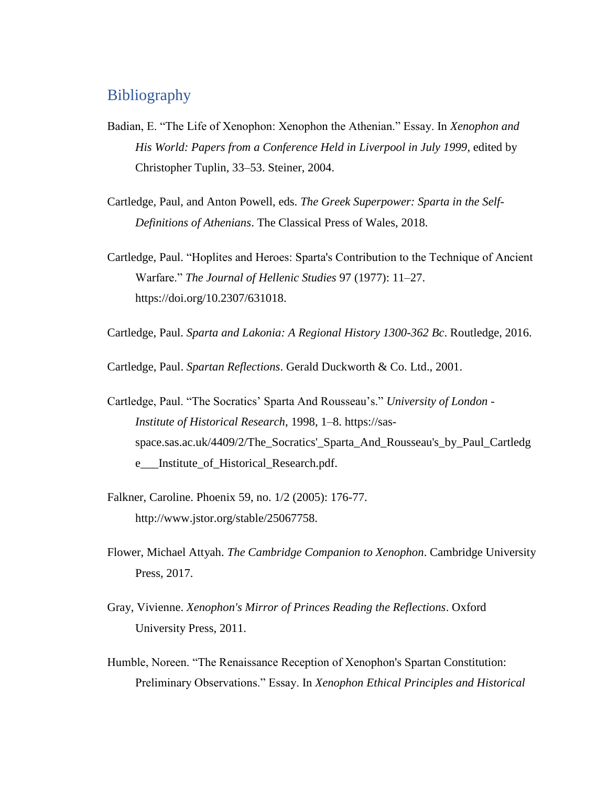## Bibliography

- Badian, E. "The Life of Xenophon: Xenophon the Athenian." Essay. In *Xenophon and His World: Papers from a Conference Held in Liverpool in July 1999*, edited by Christopher Tuplin, 33–53. Steiner, 2004.
- Cartledge, Paul, and Anton Powell, eds. *The Greek Superpower: Sparta in the Self-Definitions of Athenians*. The Classical Press of Wales, 2018.
- Cartledge, Paul. "Hoplites and Heroes: Sparta's Contribution to the Technique of Ancient Warfare." *The Journal of Hellenic Studies* 97 (1977): 11–27. https://doi.org/10.2307/631018.
- Cartledge, Paul. *Sparta and Lakonia: A Regional History 1300-362 Bc*. Routledge, 2016.

Cartledge, Paul. *Spartan Reflections*. Gerald Duckworth & Co. Ltd., 2001.

- Cartledge, Paul. "The Socratics' Sparta And Rousseau's." *University of London - Institute of Historical Research*, 1998, 1–8. https://sasspace.sas.ac.uk/4409/2/The\_Socratics'\_Sparta\_And\_Rousseau's\_by\_Paul\_Cartledg e\_\_\_Institute\_of\_Historical\_Research.pdf.
- Falkner, Caroline. Phoenix 59, no. 1/2 (2005): 176-77. http://www.jstor.org/stable/25067758.
- Flower, Michael Attyah. *The Cambridge Companion to Xenophon*. Cambridge University Press, 2017.
- Gray, Vivienne. *Xenophon's Mirror of Princes Reading the Reflections*. Oxford University Press, 2011.
- Humble, Noreen. "The Renaissance Reception of Xenophon's Spartan Constitution: Preliminary Observations." Essay. In *Xenophon Ethical Principles and Historical*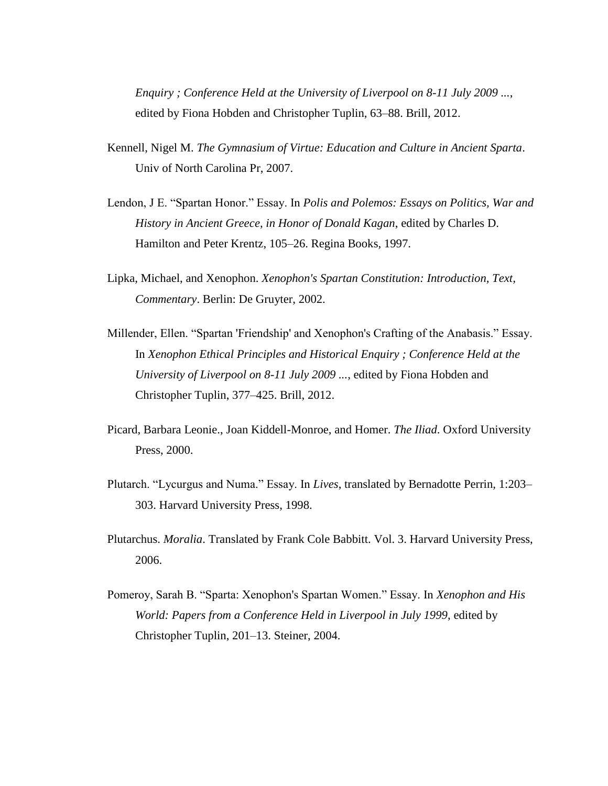*Enquiry ; Conference Held at the University of Liverpool on 8-11 July 2009 ...*, edited by Fiona Hobden and Christopher Tuplin, 63–88. Brill, 2012.

- Kennell, Nigel M. *The Gymnasium of Virtue: Education and Culture in Ancient Sparta*. Univ of North Carolina Pr, 2007.
- Lendon, J E. "Spartan Honor." Essay. In *Polis and Polemos: Essays on Politics, War and History in Ancient Greece, in Honor of Donald Kagan*, edited by Charles D. Hamilton and Peter Krentz, 105–26. Regina Books, 1997.
- Lipka, Michael, and Xenophon. *Xenophon's Spartan Constitution: Introduction, Text, Commentary*. Berlin: De Gruyter, 2002.
- Millender, Ellen. "Spartan 'Friendship' and Xenophon's Crafting of the Anabasis." Essay. In *Xenophon Ethical Principles and Historical Enquiry ; Conference Held at the University of Liverpool on 8-11 July 2009 ...*, edited by Fiona Hobden and Christopher Tuplin, 377–425. Brill, 2012.
- Picard, Barbara Leonie., Joan Kiddell-Monroe, and Homer. *The Iliad*. Oxford University Press, 2000.
- Plutarch. "Lycurgus and Numa." Essay. In *Lives*, translated by Bernadotte Perrin, 1:203– 303. Harvard University Press, 1998.
- Plutarchus. *Moralia*. Translated by Frank Cole Babbitt. Vol. 3. Harvard University Press, 2006.
- Pomeroy, Sarah B. "Sparta: Xenophon's Spartan Women." Essay. In *Xenophon and His World: Papers from a Conference Held in Liverpool in July 1999*, edited by Christopher Tuplin, 201–13. Steiner, 2004.